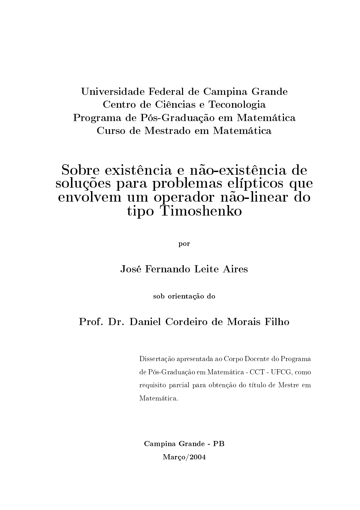### Universidade Federal de Campina Grande Centro de Ciências e Teconologia Programa de Pós-Graduação em Matemática Curso de Mestrado em Matemática

### Sobre existência e não-existência de soluções para problemas elípticos que envolvem um operador não-linear do tipo Timoshenko

por

### José Fernando Leite Aires

sob orientação do

### Prof. Dr. Daniel Cordeiro de Morais Filho

Dissertação apresentada ao Corpo Docente do Programa de Pós-Graduação em Matemática - CCT - UFCG, como requisito parcial para obtenção do título de Mestre em Matemática.

Campina Grande - PB Março/2004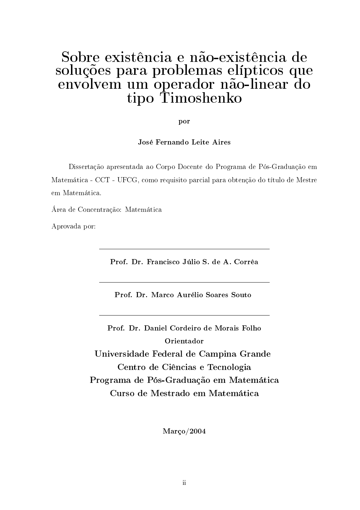### Sobre existência e não-existência de soluções para problemas elípticos que envolvem um operador não-linear do tipo Timoshenko

por

José Fernando Leite Aires

Dissertação apresentada ao Corpo Docente do Programa de Pós-Graduação em Matemática - CCT - UFCG, como requisito parcial para obtenção do título de Mestre em Matemática.

Área de Concentração: Matemática

Aprovada por:

Prof. Dr. Francisco Júlio S. de A. Corrêa

Prof. Dr. Marco Aurélio Soares Souto

Prof. Dr. Daniel Cordeiro de Morais Folho Orientador Universidade Federal de Campina Grande Centro de Ciências e Tecnologia Programa de Pós-Graduação em Matemática Curso de Mestrado em Matemática

Março/2004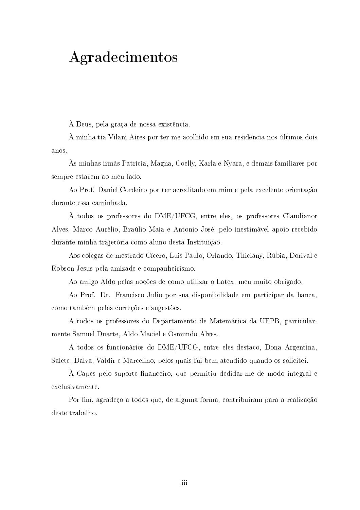# Agradecimentos

À Deus, pela graça de nossa existência.

A minha tia Vilani Aires por ter me acolhido em sua residência nos últimos dois anos.

Às minhas irmãs Patrícia, Magna, Coelly, Karla e Nyara, e demais familiares por sempre estarem ao meu lado.

Ao Prof. Daniel Cordeiro por ter acreditado em mim e pela excelente orientação durante essa caminhada.

À todos os professores do DME/UFCG, entre eles, os professores Claudianor Alves, Marco Aurélio, Braúlio Maia e Antonio José, pelo inestimável apoio recebido durante minha trajetória como aluno desta Instituição.

Aos colegas de mestrado Cícero, Luis Paulo, Orlando, Thiciany, Rúbia, Dorival e Robson Jesus pela amizade e companheirismo.

Ao amigo Aldo pelas noções de como utilizar o Latex, meu muito obrigado.

Ao Prof. Dr. Francisco Julio por sua disponibilidade em participar da banca, como também pelas correções e sugestões.

A todos os professores do Departamento de Matemática da UEPB, particularmente Samuel Duarte, Aldo Maciel e Osmundo Alves.

A todos os funcionários do DME/UFCG, entre eles destaco, Dona Argentina, Salete, Dalva, Valdir e Marcelino, pelos quais fui bem atendido quando os solicitei.

À Capes pelo suporte financeiro, que permitiu dedidar-me de modo integral e exclusivamente.

Por fim, agradeco a todos que, de alguma forma, contribuiram para a realização deste trabalho.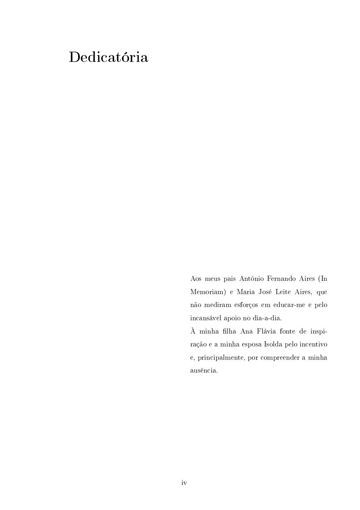# Dedicatória

Aos meus pais Antônio Fernando Aires (In Memoriam) e Maria José Leite Aires, que não mediram esforços em educar-me e pelo incansável apoio no dia-a-dia.

À minha filha Ana Flávia fonte de inspiração e a minha esposa Isolda pelo incentivo e, principalmente, por compreender a minha ausência.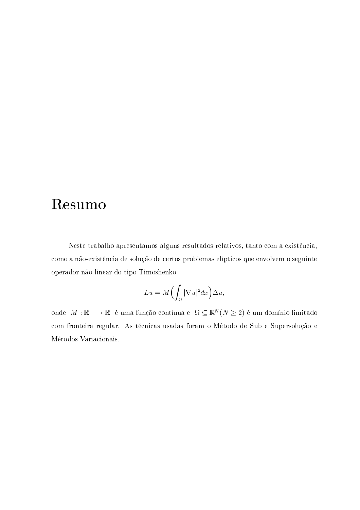## Resumo

Neste trabalho apresentamos alguns resultados relativos, tanto com a existência, como a não-existência de solução de certos problemas elípticos que envolvem o seguinte operador não-linear do tipo Timoshenko

$$
Lu = M\Bigl(\int_{\Omega} |\nabla u|^2 dx\Bigr)\Delta u,
$$

onde $\,M:\mathbb{R}\longrightarrow\mathbb{R}\,$ é uma função contínua e $\,\Omega\subseteq\mathbb{R}^N\,(N\geq2)$ é um domínio limitado com fronteira regular. As técnicas usadas foram o Método de Sub e Supersolução e Métodos Variacionais.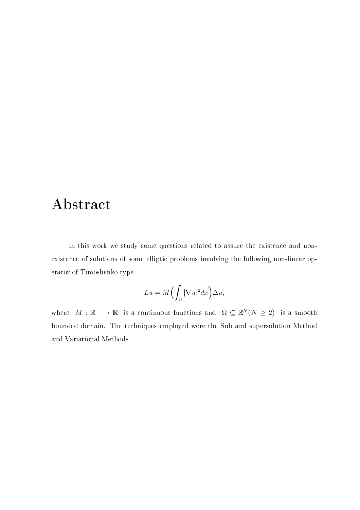## Abstract

In this work we study some questions related to assure the existence and nonexistence of solutions of some elliptic problems involving the following non-linear operator of Timoshenko type

$$
Lu = M\Bigl(\int_{\Omega} |\nabla u|^2 dx\Bigr)\Delta u,
$$

where  $M : \mathbb{R} \longrightarrow \mathbb{R}$  is a continuous functions and  $\Omega \subseteq \mathbb{R}^{N} (N \geq 2)$  is a smooth bounded domain. The techniques employed were the Sub and supersolution Method and Variational Methods.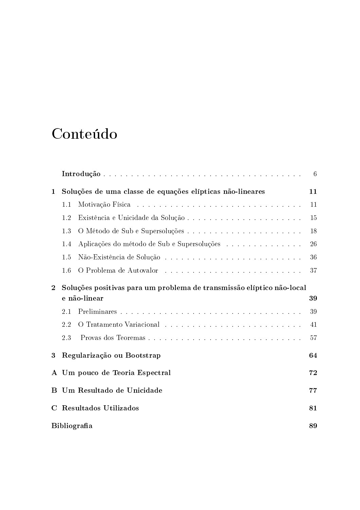# Conteúdo

|              |                                                                       |                                                           | 6  |
|--------------|-----------------------------------------------------------------------|-----------------------------------------------------------|----|
| $\mathbf{1}$ |                                                                       | Soluções de uma classe de equações elípticas não-lineares | 11 |
|              | 1.1                                                                   |                                                           | 11 |
|              | 1.2                                                                   |                                                           | 15 |
|              | 1.3                                                                   |                                                           | 18 |
|              | 1.4                                                                   | Aplicações do método de Sub e Supersoluções               | 26 |
|              | 1.5                                                                   |                                                           | 36 |
|              | 1.6                                                                   |                                                           | 37 |
| $\mathbf{2}$ | Soluções positivas para um problema de transmissão elíptico não-local |                                                           |    |
|              |                                                                       | e não-linear                                              | 39 |
|              | 2.1                                                                   |                                                           | 39 |
|              | 2.2                                                                   |                                                           | 41 |
|              | 2.3                                                                   | Provas dos Teoremas                                       | 57 |
| 3            |                                                                       | Regularização ou Bootstrap                                | 64 |
| $\mathbf{A}$ |                                                                       | Um pouco de Teoria Espectral                              | 72 |
| B            |                                                                       | Um Resultado de Unicidade                                 | 77 |
| $\mathbf C$  |                                                                       | Resultados Utilizados                                     | 81 |
|              | <b>Bibliografia</b><br>89                                             |                                                           |    |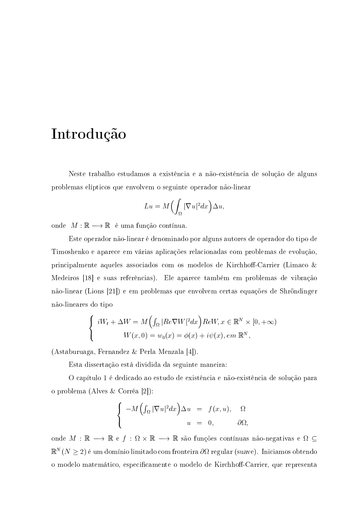## Introdução

Neste trabalho estudamos a existência e a não-existência de solução de alguns problemas elípticos que envolvem o seguinte operador não-linear

$$
Lu = M\left(\int_{\Omega} |\nabla u|^2 dx\right)\Delta u,
$$

onde  $M : \mathbb{R} \longrightarrow \mathbb{R}$  é uma função contínua.

Este operador não-linear é denominado por alguns autores de operador do tipo de Timoshenko e aparece em várias aplicações relacionadas com problemas de evolução, principalmente aqueles associados com os modelos de Kirchhoff-Carrier (Limaco  $\&$ Medeiros [18] e suas referências). Ele aparece também em problemas de vibração não-linear (Lions [21]) e em problemas que envolvem certas equações de Shröndinger não-lineares do tipo

$$
\begin{cases}\ni W_t + \Delta W = M\Big(\int_{\Omega} |Re \nabla W|^2 dx\Big) Re W, x \in \mathbb{R}^N \times [0, +\infty) \\
W(x, 0) = w_0(x) = \phi(x) + i\psi(x), em \mathbb{R}^N,\n\end{cases}
$$

(Astaburuaga, Fernandez & Perla Menzala [4]).

Esta dissertação está dividida da seguinte maneira:

O capítulo 1 é dedicado ao estudo de existência e não-existência de solução para o problema (Alves & Corrêa [2]):

$$
\begin{cases}\n-M\left(\int_{\Omega}|\nabla u|^2dx\right)\Delta u = f(x,u), & \Omega\\ \nu = 0, & \partial\Omega,\n\end{cases}
$$

onde $M\,:\,\mathbb{R}\,\longrightarrow\,\mathbb{R}$ e $f\,:\,\Omega\,\times\,\mathbb{R}\,\longrightarrow\,\mathbb{R}$ são funções contínuas não-negativas e $\,\Omega\,\subseteq\,$  $\mathbb{R}^N(N\geq 2)$  é um domínio limitado com fronteira  $\partial\Omega$  regular (suave). Iniciamos obtendo o modelo matemático, especificamente o modelo de Kirchhoff-Carrier, que representa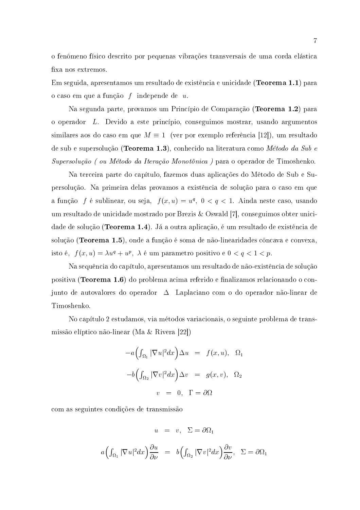o fenômeno físico descrito por pequenas vibrações transversais de uma corda elástica fixa nos extremos.

Em seguida, apresentamos um resultado de existência e unicidade (**Teorema 1.1**) para o caso em que a função  $f$  independe de  $u$ .

Na segunda parte, provamos um Princípio de Comparação (Teorema 1.2) para o operador L. Devido a este princípio, conseguimos mostrar, usando argumentos similares aos do caso em que  $M \equiv 1$  (ver por exemplo referência [12]), um resultado de sub e supersolução (Teorema 1.3), conhecido na literatura como Método da Sub e Supersolução (ou Método da Iteração Monotônica) para o operador de Timoshenko.

Na terceira parte do capítulo, fazemos duas aplicações do Método de Sub e Supersolução. Na primeira delas provamos a existência de solução para o caso em que a função f é sublinear, ou seja,  $f(x, u) = u^q$ ,  $0 < q < 1$ . Ainda neste caso, usando um resultado de unicidade mostrado por Brezis & Oswald [7], conseguimos obter unicidade de solução (**Teorema 1.4**). Já a outra aplicação, é um resultado de existência de solução (Teorema 1.5), onde a função é soma de não-linearidades côncava e convexa, isto é,  $f(x, u) = \lambda u^{q} + u^{p}$ ,  $\lambda$  é um parametro positivo e  $0 < q < 1 < p$ .

Na sequência do capítulo, apresentamos um resultado de não-existência de solução positiva (**Teorema 1.6**) do problema acima referido e finalizamos relacionando o conjunto de autovalores do operador  $\Delta$  Laplaciano com o do operador não-linear de Timoshenko.

No capítulo 2 estudamos, via métodos variacionais, o seguinte problema de transmissão elíptico não-linear (Ma & Rivera [22])

$$
-a\left(\int_{\Omega_1} |\nabla u|^2 dx\right) \Delta u = f(x, u), \quad \Omega_1
$$

$$
-b\left(\int_{\Omega_2} |\nabla v|^2 dx\right) \Delta v = g(x, v), \quad \Omega_2
$$

$$
v = 0, \quad \Gamma = \partial\Omega
$$

com as seguintes condições de transmissão

$$
u = v, \ \Sigma = \partial \Omega_1
$$

$$
a\Big(\int_{\Omega_1}|\nabla u|^2dx\Big)\frac{\partial u}{\partial\nu} = b\Big(\int_{\Omega_2}|\nabla v|^2dx\Big)\frac{\partial v}{\partial\nu}, \quad \Sigma = \partial\Omega_1
$$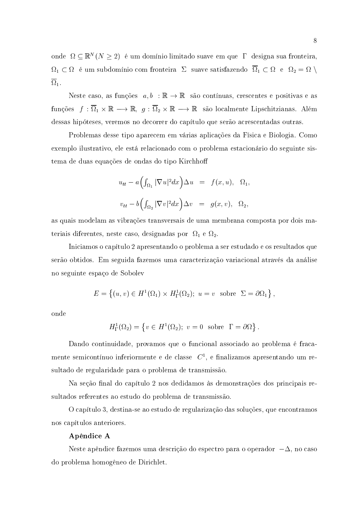onde  $\Omega \subseteq \mathbb{R}^N (N \geq 2)$  é um domínio limitado suave em que  $\Gamma$  designa sua fronteira,  $\Omega_1\subset\Omega_-$ é um subdomínio com fronteira $~\Sigma~$ suave satisfazendo $~\overline\Omega_1\subset\Omega_-$ e $~\Omega_2=\Omega~\backslash$  $\overline{\Omega}_1$ .

Neste caso, as funções  $a, b : \mathbb{R} \to \mathbb{R}$  são contínuas, crescentes e positivas e as funções  $f: \overline{\Omega}_1 \times \mathbb{R} \longrightarrow \mathbb{R}, g: \overline{\Omega}_2 \times \mathbb{R} \longrightarrow \mathbb{R}$  são localmente Lipschitzianas. Além dessas hipóteses, veremos no decorrer do capítulo que serão acrescentadas outras.

Problemas desse tipo aparecem em várias aplicações da Física e Biologia. Como exemplo ilustrativo, ele está relacionado com o problema estacionário do seguinte sistema de duas equações de ondas do tipo Kirchhoff

$$
u_{tt} - a\left(\int_{\Omega_1} |\nabla u|^2 dx\right) \Delta u = f(x, u), \quad \Omega_1,
$$
  

$$
v_{tt} - b\left(\int_{\Omega_2} |\nabla v|^2 dx\right) \Delta v = g(x, v), \quad \Omega_2,
$$

as quais modelam as vibrações transversais de uma membrana composta por dois materiais diferentes, neste caso, designadas por  $\Omega_1$  e  $\Omega_2$ .

Iniciamos o capítulo 2 apresentando o problema a ser estudado e os resultados que serão obtidos. Em seguida fazemos uma caracterização variacional através da análise no seguinte espaço de Sobolev

$$
E = \left\{ (u, v) \in H^1(\Omega_1) \times H^1_{\Gamma}(\Omega_2); u = v \text{ sobre } \Sigma = \partial \Omega_1 \right\},\
$$

onde

$$
H^1_{\Gamma}(\Omega_2) = \{ v \in H^1(\Omega_2); \ v = 0 \text{ sobre } \Gamma = \partial \Omega \}
$$

Dando continuidade, provamos que o funcional associado ao problema é fracamente semicontínuo inferiormente e de classe  $C<sup>1</sup>$ , e finalizamos apresentando um resultado de regularidade para o problema de transmissão.

Na seção final do capítulo 2 nos dedidamos às demonstrações dos principais resultados referentes ao estudo do problema de transmissão

O capítulo 3, destina-se ao estudo de regularização das soluções, que encontramos nos capítulos anteriores.

#### Apêndice A

Neste apêndice fazemos uma descrição do espectro para o operador  $-\Delta$ , no caso do problema homogêneo de Dirichlet.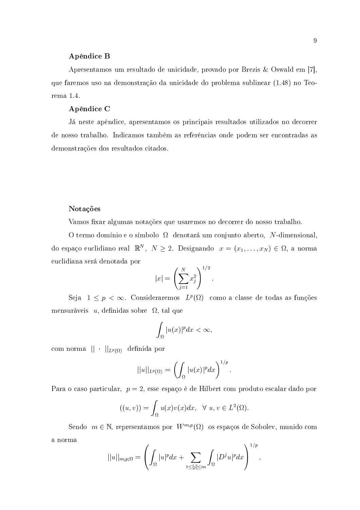#### Apêndice B

Apresentamos um resultado de unicidade, provado por Brezis & Oswald em [7], que faremos uso na demonstração da unicidade do problema sublinear (1.48) no Teorema 1.4.

### Apêndice C

Já neste apêndice, apresentamos os principais resultados utilizados no decorrer de nosso trabalho. Indicamos também as referências onde podem ser encontradas as demonstrações dos resultados citados.

#### Notações

Vamos fixar algumas notações que usaremos no decorrer do nosso trabalho.

O termo domínio e o símbolo  $\Omega$  denotará um conjunto aberto, N-dimensional, do espaço euclidiano real  $\mathbb{R}^N$ ,  $N \geq 2$ . Designando  $x = (x_1, \ldots, x_N) \in \Omega$ , a norma euclidiana será denotada por

$$
|x| = \left(\sum_{j=1}^{N} x_j^2\right)^{1/2}
$$

Seja  $1 \leq p < \infty$ . Consideraremos  $L^p(\Omega)$  como a classe de todas as funções mensuráveis u, definidas sobre  $\Omega$ , tal que

$$
\int_{\Omega} |u(x)|^p dx < \infty,
$$

com norma  $|| \cdot ||_{L^p(\Omega)}$  definida por

$$
||u||_{L^p(\Omega)} = \left(\int_{\Omega} |u(x)|^p dx\right)^{1/p}
$$

Para o caso particular,  $p = 2$ , esse espaço é de Hilbert com produto escalar dado por

$$
((u,v)) = \int_{\Omega} u(x)v(x)dx, \quad \forall u, v \in L^{2}(\Omega).
$$

Sendo  $m \in \mathbb{N}$ , representamos por  $W^{m,p}(\Omega)$  os espaços de Sobolev, munido com a norma  $\overline{a}$ 

$$
||u||_{m,p;\Omega} = \left(\int_{\Omega} |u|^p dx + \sum_{1 \le |j| \le m} \int_{\Omega} |D^j u|^p dx\right)^{1/p}
$$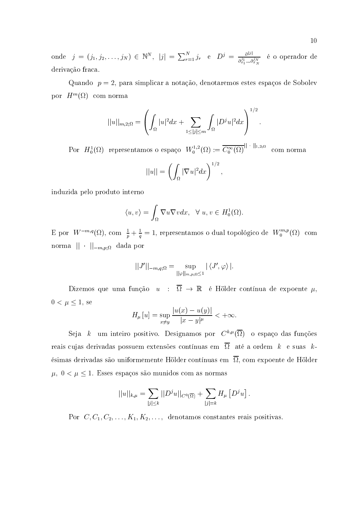onde  $j = (j_1, j_2, \ldots, j_N) \in \mathbb{N}^N$ ,  $|j| = \sum_{r=1}^N j_r$  e  $D^j = \frac{\partial^{|j|}}{\partial x_1^j \ldots \partial x_N^j}$  é o operador de derivação fraca.

Quando  $p = 2$ , para simplicar a notação, denotaremos estes espaços de Sobolev por  $H^m(\Omega)$  com norma

$$
||u||_{m,2;\Omega} = \left(\int_{\Omega} |u|^2 dx + \sum_{1 \le |j| \le m} \int_{\Omega} |D^j u|^2 dx\right)^{1/2}
$$

Por  $H_0^1(\Omega)$  representamos o espaço  $W_0^{1,2}(\Omega) := \overline{C_0^{\infty}(\Omega)}^{\|\cdot\|_{1,2;\Omega}}$  com norma

 $\langle \rangle$ 

$$
||u|| = \left(\int_{\Omega} |\nabla u|^2 dx\right)^{1/2}
$$

induzida pelo produto interno

$$
\langle u, v \rangle = \int_{\Omega} \nabla u \nabla v dx, \quad \forall \ u, v \in H_0^1(\Omega).
$$

E por  $W^{-m,q}(\Omega)$ , com  $\frac{1}{p} + \frac{1}{q} = 1$ , representamos o dual topológico de  $W_0^{m,p}(\Omega)$  com norma  $|| \cdot ||_{-m,p;\Omega}$  dada por

$$
|J'||_{-m,q;\Omega} = \sup_{||\varphi||_{m,p;\Omega} \leq 1} |\langle J',\varphi \rangle|.
$$

Dizemos que uma função  $u : \overline{\Omega} \to \mathbb{R}$  é Hölder contínua de expoente  $\mu$ ,  $0 < \mu \leq 1$ , se

$$
H_{\mu}[u] = \sup_{x \neq y} \frac{|u(x) - u(y)|}{|x - y|^{\mu}} < +\infty.
$$

Seja k um inteiro positivo. Designamos por  $C^{k,\mu}(\overline{\Omega})$  o espaço das funções reais cujas derivadas possuem extensões contínuas em  $\overline{\Omega}$  até a ordem k e suas késimas derivadas são uniformemente Hölder contínuas em  $\overline{\Omega}$ , com expoente de Hölder  $\mu,~0<\mu\leq 1.$ Esses espaços são munidos com as normas

$$
||u||_{k,\mu} = \sum_{|j| \leq k} ||D^j u||_{C^0(\overline{\Omega})} + \sum_{|j|=k} H_{\mu} [D^j u].
$$

Por  $C, C_1, C_2, \ldots, K_1, K_2, \ldots$ , denotamos constantes reais positivas.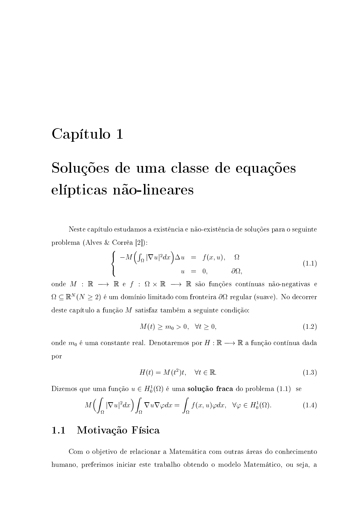### Capítulo 1

# Soluções de uma classe de equações elípticas não-lineares

Neste capítulo estudamos a existência e não-existência de soluções para o seguinte problema (Alves & Corrêa [2]):

$$
\begin{cases}\n-M\left(\int_{\Omega}|\nabla u|^{2}dx\right)\Delta u = f(x,u), & \Omega \\
u = 0, & \partial\Omega,\n\end{cases}
$$
\n(1.1)

onde  $M\,:\,\mathbb{R}\,\longrightarrow\,\mathbb{R}$ e $f\,:\,\Omega\,\times\,\mathbb{R}\,\longrightarrow\,\mathbb{R}$ são funções contínuas não-negativas e  $\Omega \subseteq \mathbb{R}^N (N \geq 2)$  é um domínio limitado com fronteira  $\partial \Omega$  regular (suave). No decorrer deste capítulo a função  $M$  satisfaz também a seguinte condição:

$$
M(t) \ge m_0 > 0, \quad \forall t \ge 0,
$$
\n
$$
(1.2)
$$

onde  $m_0$ é uma constante real. Denotaremos por  $H:\mathbb{R}\longrightarrow\mathbb{R}$ a função contínua dada por

$$
H(t) = M(t^2)t, \quad \forall t \in \mathbb{R}.\tag{1.3}
$$

Dizemos que uma função  $u \in H_0^1(\Omega)$  é uma **solução fraca** do problema (1.1) se

$$
M\left(\int_{\Omega} |\nabla u|^2 dx\right) \int_{\Omega} \nabla u \nabla \varphi dx = \int_{\Omega} f(x, u) \varphi dx, \quad \forall \varphi \in H_0^1(\Omega). \tag{1.4}
$$

#### $1.1$ Motivação Física

Com o objetivo de relacionar a Matemática com outras áreas do conhecimento humano, preferimos iniciar este trabalho obtendo o modelo Matemático, ou seja, a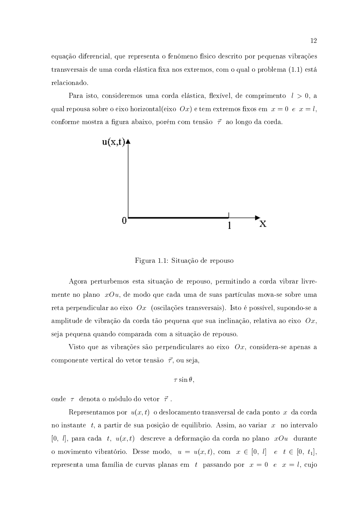equação diferencial, que representa o fenômeno físico descrito por pequenas vibrações transversais de uma corda elástica fixa nos extremos, com o qual o problema (1.1) está relacionado.

Para isto, consideremos uma corda elástica, flexível, de comprimento  $l > 0$ , a qual repousa sobre o eixo horizontal(eixo  $Ox$ ) e tem extremos fixos em  $x = 0$  e  $x = l$ , conforme mostra a figura abaixo, porém com tensão  $\vec{\tau}$  ao longo da corda.



Figura 1.1: Situação de repouso

Agora perturbemos esta situação de repouso, permitindo a corda vibrar livremente no plano  $x\mathcal{O}u$ , de modo que cada uma de suas partículas mova-se sobre uma reta perpendicular ao eixo  $Qx$  (oscilações transversais). Isto é possível, supondo-se a amplitude de vibração da corda tão pequena que sua inclinação, relativa ao eixo  $Ox$ , seja pequena quando comparada com a situação de repouso.

Visto que as vibrações são perpendiculares ao eixo  $Ox$ , considera-se apenas a componente vertical do vetor tensão  $\vec{\tau}$ , ou seja,

$$
\tau \sin \theta.
$$

onde  $\tau$  denota o módulo do vetor  $\vec{\tau}$ .

Representamos por  $u(x,t)$  o deslocamento transversal de cada ponto x da corda no instante t, a partir de sua posição de equilibrio. Assim, ao variar x no intervalo  $[0, l]$ , para cada t,  $u(x, t)$  descreve a deformação da corda no plano  $xDu$  durante o movimento vibratório. Desse modo,  $u = u(x,t)$ , com  $x \in [0, l]$  e  $t \in [0, t_1]$ , representa uma família de curvas planas em t passando por  $x = 0$  e  $x = l$ , cujo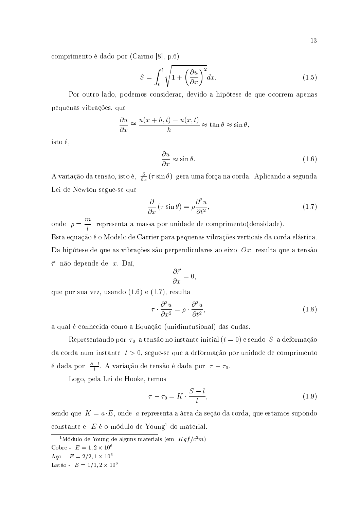comprimento é dado por (Carmo [8], p.6)

$$
S = \int_0^l \sqrt{1 + \left(\frac{\partial u}{\partial x}\right)^2} dx.
$$
 (1.5)

Por outro lado, podemos considerar, devido a hipótese de que ocorrem apenas pequenas vibrações, que

$$
\frac{\partial u}{\partial x} \cong \frac{u(x+h,t) - u(x,t)}{h} \approx \tan \theta \approx \sin \theta,
$$

isto é,

$$
\frac{\partial u}{\partial x} \approx \sin \theta. \tag{1.6}
$$

A variação da tensão, isto é,  $\frac{\partial}{\partial x}(\tau \sin \theta)$  gera uma força na corda. Aplicando a segunda Lei de Newton segue-se que

$$
\frac{\partial}{\partial x} \left( \tau \sin \theta \right) = \rho \frac{\partial^2 u}{\partial t^2},\tag{1.7}
$$

onde  $\rho = \frac{m}{l}$  representa a massa por unidade de comprimento(densidade). Esta equação é o Modelo de Carrier para pequenas vibrações verticais da corda elástica. Da hipótese de que as vibrações são perpendiculares ao eixo  $Ox$  resulta que a tensão  $\vec{\tau}$  não depende de x. Daí,

$$
\frac{\partial \vec{\tau}}{\partial x} = 0,
$$

que por sua vez, usando  $(1.6)$  e  $(1.7)$ , resulta

$$
\tau \cdot \frac{\partial^2 u}{\partial x^2} = \rho \cdot \frac{\partial^2 u}{\partial t^2},\tag{1.8}
$$

a qual é conhecida como a Equação (unidimensional) das ondas.

Representando por  $\tau_0$  a tensão no instante inicial  $(t=0)$  e sendo S a deformação da corda num instante  $t > 0$ , segue-se que a deformação por unidade de comprimento é dada por  $\frac{S-l}{l}$ . A variação de tensão é dada por  $\tau-\tau_0$ .

Logo, pela Lei de Hooke, temos

$$
\tau - \tau_0 = K \cdot \frac{S - l}{l},\tag{1.9}
$$

sendo que  $K = a \cdot E$ , onde a representa a área da seção da corda, que estamos supondo constante e  $E$  é o módulo de Young<sup>1</sup> do material.

<sup>&</sup>lt;sup>1</sup>Módulo de Young de alguns materiais (em  $Kqf/c^2m$ ):

Cobre -  $E = 1, 2 \times 10^6$ 

Aço -  $E = 2/2, 1 \times 10^6$ 

Latão -  $E = 1/1, 2 \times 10^6$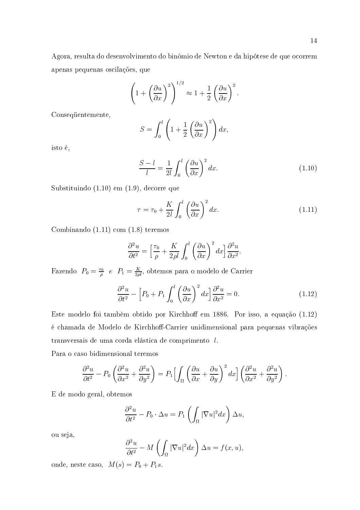14

Agora, resulta do desenvolvimento do binômio de Newton e da hipótese de que ocorrem apenas pequenas oscilações, que

$$
\left(1+\left(\frac{\partial u}{\partial x}\right)^2\right)^{1/2}\approx 1+\frac{1}{2}\left(\frac{\partial u}{\partial x}\right)^2.
$$

Consequentemente,

$$
S = \int_0^l \left( 1 + \frac{1}{2} \left( \frac{\partial u}{\partial x} \right)^2 \right) dx
$$

isto é,

$$
\frac{S-l}{l} = \frac{1}{2l} \int_0^l \left(\frac{\partial u}{\partial x}\right)^2 dx.
$$
 (1.10)

Substituindo  $(1.10)$  em  $(1.9)$ , decorre que

$$
\tau = \tau_0 + \frac{K}{2l} \int_0^l \left(\frac{\partial u}{\partial x}\right)^2 dx.
$$
\n(1.11)

Combinando  $(1.11)$  com  $(1.8)$  teremos

$$
\frac{\partial^2 u}{\partial t^2} = \left[\frac{\tau_0}{\rho} + \frac{K}{2\rho l} \int_0^l \left(\frac{\partial u}{\partial x}\right)^2 dx\right] \frac{\partial^2 u}{\partial x^2}.
$$

Fazendo  $P_0 = \frac{\tau_0}{\rho} e$   $P_1 = \frac{K}{2\rho l}$ , obtemos para o modelo de Carrier

$$
\frac{\partial^2 u}{\partial t^2} - \left[ P_0 + P_1 \int_0^l \left( \frac{\partial u}{\partial x} \right)^2 dx \right] \frac{\partial^2 u}{\partial x^2} = 0. \tag{1.12}
$$

Este modelo foi também obtido por Kirchhoff em 1886. Por isso, a equação (1.12) é chamada de Modelo de Kirchhoff-Carrier unidimensional para pequenas vibrações transversais de uma corda elástica de comprimento  $l$ .

Para o caso bidimensional teremos

$$
\frac{\partial^2 u}{\partial t^2} - P_0 \left( \frac{\partial^2 u}{\partial x^2} + \frac{\partial^2 u}{\partial y^2} \right) = P_1 \Biggl[ \int_{\Omega} \left( \frac{\partial u}{\partial x} + \frac{\partial u}{\partial y} \right)^2 dx \Biggr] \left( \frac{\partial^2 u}{\partial x^2} + \frac{\partial^2 u}{\partial y^2} \right).
$$

E de modo geral, obtemos

$$
\frac{\partial^2 u}{\partial t^2} - P_0 \cdot \Delta u = P_1 \left( \int_{\Omega} |\nabla u|^2 dx \right) \Delta u,
$$

ou seja,

$$
\frac{\partial^2 u}{\partial t^2} - M \left( \int_{\Omega} |\nabla u|^2 dx \right) \Delta u = f(x, u),
$$

onde, neste caso,  $M(s) = P_0 + P_1 s$ .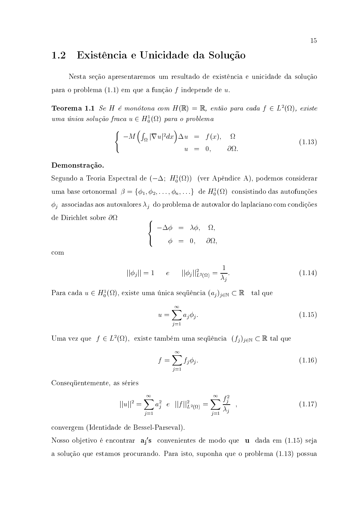#### Existência e Unicidade da Solução 1.2

Nesta seção apresentaremos um resultado de existência e unicidade da solução para o problema  $(1.1)$  em que a função f independe de u.

**Teorema 1.1** Se H é monótona com  $H(\mathbb{R}) = \mathbb{R}$ , então para cada  $f \in L^2(\Omega)$ , existe uma única solução fraca  $u \in H_0^1(\Omega)$  para o problema

$$
\begin{cases}\n-M\left(\int_{\Omega}|\nabla u|^{2}dx\right)\Delta u = f(x), & \Omega \\
u = 0, & \partial\Omega.\n\end{cases}
$$
\n(1.13)

### Demonstração.

Segundo a Teoria Espectral de  $(-\Delta; H_0^1(\Omega))$  (ver Apêndice A), podemos considerar uma base ortonormal  $\beta = \{\phi_1, \phi_2, \dots, \phi_n, \dots\}$  de  $H_0^1(\Omega)$  consistindo das autofunções  $\phi_j$  associadas aos autovalores  $\lambda_j$  do problema de autovalor do laplaciano com condições de Dirichlet sobre  $\partial\Omega$ 

$$
\begin{cases}\n-\Delta \phi &= \lambda \phi, & \Omega, \\
\phi &= 0, & \partial \Omega\n\end{cases}
$$

 $com$ 

$$
||\phi_j|| = 1 \qquad e \qquad ||\phi_j||_{L^2(\Omega)}^2 = \frac{1}{\lambda_j}.\tag{1.14}
$$

Para cada  $u \in H_0^1(\Omega)$ , existe uma única sequência  $(a_j)_{j \in \mathbb{N}} \subset \mathbb{R}$  tal que

$$
u = \sum_{j=1}^{\infty} a_j \phi_j.
$$
\n(1.15)

Uma vez que  $f \in L^2(\Omega)$ , existe também uma sequência  $(f_j)_{j \in \mathbb{N}} \subset \mathbb{R}$  tal que

$$
f = \sum_{j=1}^{\infty} f_j \phi_j.
$$
 (1.16)

Consequentemente, as séries

$$
||u||^2 = \sum_{j=1}^{\infty} a_j^2 e ||f||^2_{L^2(\Omega)} = \sum_{j=1}^{\infty} \frac{f_j^2}{\lambda_j} , \qquad (1.17)
$$

convergem (Identidade de Bessel-Parseval).

Nosso objetivo é encontrar aj's convenientes de modo que u dada em (1.15) seja a solução que estamos procurando. Para isto, suponha que o problema (1.13) possua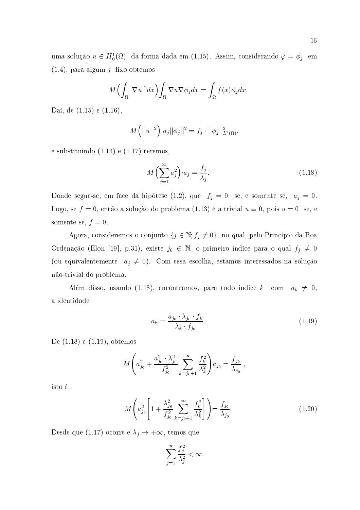uma solução  $u \in H_0^1(\Omega)$  da forma dada em (1.15). Assim, considerando  $\varphi = \phi_i$  em  $(1.4)$ , para algum  $j$  fixo obtemos

$$
M\Bigl(\int_{\Omega}|\nabla u|^{2}dx\Bigr)\int_{\Omega}\nabla u\nabla \phi_{j}dx=\int_{\Omega}f(x)\phi_{j}dx,
$$

Daí, de  $(1.15)$  e  $(1.16)$ ,

$$
M(||u||^2) \cdot a_j ||\phi_j||^2 = f_j \cdot ||\phi_j||^2_{L^2(\Omega)},
$$

 $\rm e \; substitution do \; (1.14) \; e \; (1.17) \; terms,$ 

$$
M\left(\sum_{j=1}^{\infty} a_j^2\right) \cdot a_j = \frac{f_j}{\lambda_j}.\tag{1.18}
$$

Donde segue-se, em face da hipótese (1.2), que  $f_i = 0$  se, e somente se,  $a_i = 0$ . Logo, se  $f=0$ , então a solução do problema  $(1.13)$  é a trivial  $u\equiv 0$ , pois  $u=0$  se, e somente se,  $f=0$ . !

Agora, consideremos o conjunto  $\{j \in \mathbb{N}; f_j \neq 0\}$ , no qual, pelo Princípio da Boa Ordenação (Elon [19], p.31), existe  $j_0 \in \mathbb{N}$ , o primeiro indíce para o qual  $f_j \neq 0$ (ou equivalentemente  $a_i \neq 0$ ). Com essa escolha, estamos interessados na solução não-trivial do problema.

Além disso, usando (1.18), encontramos, para todo indíce  $k$  -com  $a_k \neq 0,$ a identidade **Australia** 

$$
a_k = \frac{a_{j_0} \cdot \lambda_{j_0} \cdot f_k}{\lambda_k \cdot f_{j_0}}.\tag{1.19}
$$

De  $(1.18)$  e  $(1.19)$ , obtemos

$$
M\Bigg(a_{j_0}^2 + \frac{a_{j_0}^2 \cdot \lambda_{j_0}^2}{f_{j_0}^2} \sum_{k=j_0+1}^{\infty} \frac{f_k^2}{\lambda_k^2}\Bigg) a_{j_0} = \frac{f_{j_0}}{\lambda_{j_0}} ,
$$

isto é, la composición de la composición de la composición de la comunicación de la comunicación de la comunic

$$
M\left(a_{j_0}^2 \left[1 + \frac{\lambda_{j_0}^2}{f_{j_0}^2} \sum_{k=j_0+1}^\infty \frac{f_k^2}{\lambda_k^2}\right]\right) = \frac{f_{j_0}}{\lambda_{j_0}}.\tag{1.20}
$$

Desde que (1.17) ocorre e  $\lambda_j \rightarrow +\infty$ , temos que

$$
\sum_{j=1}^{\infty}\frac{f_j^2}{\lambda_j^2}<\infty
$$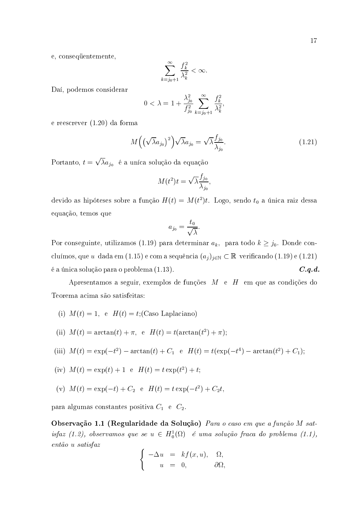e, consequentemente,

$$
\sum_{k=j_0+1}^{\infty} \frac{f_k^2}{\lambda_k^2} < \infty.
$$

Daí, podemos considerar

$$
0 < \lambda = 1 + \frac{\lambda_{j_0}^2}{f_{j_0}^2} \sum_{k=j_0+1}^{\infty} \frac{f_k^2}{\lambda_k^2},
$$

e reescrever  $(1.20)$  da forma

$$
M\left(\left(\sqrt{\lambda}a_{j_0}\right)^2\right)\sqrt{\lambda}a_{j_0} = \sqrt{\lambda}\frac{f_{j_0}}{\lambda_{j_0}}.\tag{1.21}
$$

Portanto,  $t = \sqrt{\lambda} a_{i_0}$  é a uníca solução da equação

$$
M(t^2)t = \sqrt{\lambda} \frac{f_{j_0}}{\lambda_{j_0}},
$$

devido as hipóteses sobre a função  $H(t) = M(t^2)t$ . Logo, sendo  $t_0$  a única raiz dessa equação, temos que

$$
a_{j_0} = \frac{t_0}{\sqrt{\lambda}}.
$$

Por conseguinte, utilizamos (1.19) para determinar  $a_k$ , para todo  $k \geq j_0$ . Donde concluímos, que u dada em (1.15) e com a sequência  $(a_j)_{j\in\mathbb{N}}\subset\mathbb{R}$  verificando (1.19) e (1.21) é a única solução para o problema (1.13).  $C.q.d.$ 

Apresentamos a seguir, exemplos de funções  $M$  e  $H$  em que as condições do Teorema acima são satisfeitas:

(i) 
$$
M(t) = 1
$$
, e  $H(t) = t$ ; (Caso Laplaciano)

(ii) 
$$
M(t) = \arctan(t) + \pi
$$
, e  $H(t) = t(\arctan(t^2) + \pi)$ ;

(iii) 
$$
M(t) = \exp(-t^2) - \arctan(t) + C_1
$$
 e  $H(t) = t(\exp(-t^4) - \arctan(t^2) + C_1)$ ;

(iv) 
$$
M(t) = \exp(t) + 1
$$
 e  $H(t) = t \exp(t^2) + t$ ;

(v)  $M(t) = \exp(-t) + C_2$  e  $H(t) = t \exp(-t^2) + C_2 t$ ,

para algumas constantes positiva  $C_1$  e  $C_2$ .

Observação 1.1 (Regularidade da Solução) Para o caso em que a função M satisfaz (1.2), observamos que se  $u \in H_0^1(\Omega)$  é uma solução fraca do problema (1.1), então u satisfaz

$$
\begin{cases}\n-\Delta u = k f(x, u), & \Omega, \\
u = 0, & \partial \Omega,\n\end{cases}
$$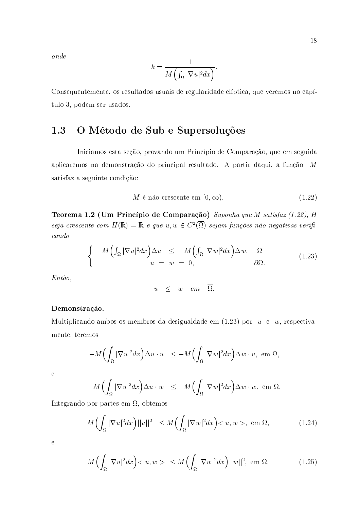$\emph{onde}$ 

$$
k = \frac{1}{M\left(\int_{\Omega} |\nabla u|^2 dx\right)}
$$

Consequentemente, os resultados usuais de regularidade elíptica, que veremos no capítulo 3, podem ser usados.

#### 1.3 O Método de Sub e Supersoluções

Iniciamos esta seção, provando um Princípio de Comparação, que em seguida aplicaremos na demonstração do principal resultado. A partir daqui, a função M satisfaz a seguinte condição:

$$
M \land \text{a\~ao-crescente em } [0, \infty). \tag{1.22}
$$

Teorema 1.2 (Um Princípio de Comparação) Suponha que M satisfaz (1.22), H seja crescente com  $H(\mathbb{R}) = \mathbb{R}$  e que  $u, w \in C^2(\overline{\Omega})$  sejam funções não-negativas verifi $cando$ 

$$
\begin{cases}\n-M\left(\int_{\Omega}|\nabla u|^{2}dx\right)\Delta u & \leq -M\left(\int_{\Omega}|\nabla w|^{2}dx\right)\Delta w, & \Omega \\
u = w = 0, & \partial\Omega.\n\end{cases}
$$
\n(1.23)

 $Ent\tilde{a}o$ ,

$$
u \leq w \quad e m \quad \overline{\Omega}.
$$

### Demonstração.

Multiplicando ambos os membros da desigualdade em  $(1.23)$  por  $u \in w$ , respectivamente, teremos

$$
-M\Bigl(\int_{\Omega}|\nabla u|^{2}dx\Bigr)\Delta u\cdot u\quad \leq -M\Bigl(\int_{\Omega}|\nabla w|^{2}dx\Bigr)\Delta w\cdot u,\text{ em }\Omega
$$

 $\mathbf{e}$ 

$$
-M\Bigl(\int_{\Omega}|\nabla u|^2dx\Bigr)\Delta u\cdot w\ \leq -M\Bigl(\int_{\Omega}|\nabla w|^2dx\Bigr)\Delta w\cdot w,\text{ em }\Omega
$$

Integrando por partes em  $\Omega$ , obtemos

$$
M\left(\int_{\Omega} |\nabla u|^2 dx\right) ||u||^2 \le M\left(\int_{\Omega} |\nabla w|^2 dx\right) < u, w > \text{, em } \Omega,\tag{1.24}
$$

 $\rm e$ 

$$
M\left(\int_{\Omega} |\nabla u|^2 dx\right) < u, w > \leq M\left(\int_{\Omega} |\nabla w|^2 dx\right) ||w||^2, \text{ em } \Omega. \tag{1.25}
$$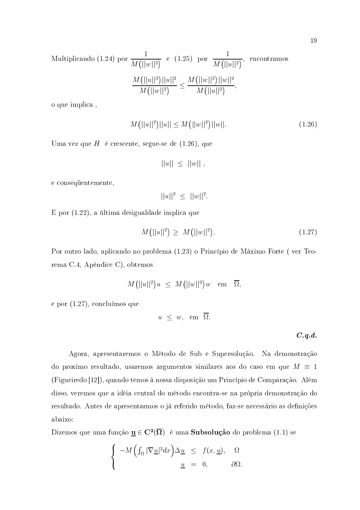Multiplicando (1.24) por 
$$
\frac{1}{M(||w||^2)}
$$
 e (1.25) por  $\frac{1}{M(||u||^2)}$ , encontramos
$$
\frac{M(||u||^2)||u||^2}{M(||w||^2)} \le \frac{M(||w||^2)||w||^2}{M(||u||^2)},
$$

o que implica,

$$
M(||u||2)||u|| \le M(||w||2)||w||.
$$
\n(1.26)

Uma vez que H é crescente, segue-se de  $(1.26)$ , que

$$
||u|| \leq ||w||
$$

e consequentemente,

$$
||u||^2 \leq ||w||^2.
$$

E por (1.22), a última desigualdade implica que

$$
M(||u||^2) \ge M(||w||^2). \tag{1.27}
$$

Por outro lado, aplicando no problema (1.23) o Princípio de Máximo Forte (ver Teorema C.4, Apêndice C), obtemos

$$
M\big(||u||^2\big)u\ \ \leq\ \ M\big(||w||^2\big)w\quad \text{em}\quad \overline{\Omega},
$$

e por  $(1.27)$ , concluímos que

$$
u \leq w, \text{ em } \overline{\Omega}.
$$

 $C.q.d.$ 

Agora, apresentaremos o Método de Sub e Supersolução. Na demonstração do proxímo resultado, usaremos argumentos similares aos do caso em que  $M \equiv 1$ (Figueiredo [12]), quando temos à nossa disposição um Princípio de Comparação. Além disso, veremos que a idéia central do método encontra-se na própria demonstração do resultado. Antes de apresentarmos o já referido método, faz-se necessário as definições abaixo:

Dizemos que uma função  $\underline{\mathbf{u}} \in \mathbf{C}^2(\overline{\Omega})$  é uma **Subsolução** do problema (1.1) se

$$
\begin{cases}\n-M\left(\int_{\Omega}|\nabla\underline{u}|^2dx\right)\Delta\underline{u} & \leq f(x,\underline{u}), \quad \Omega \\
\underline{u} & = 0, \quad \partial\Omega.\n\end{cases}
$$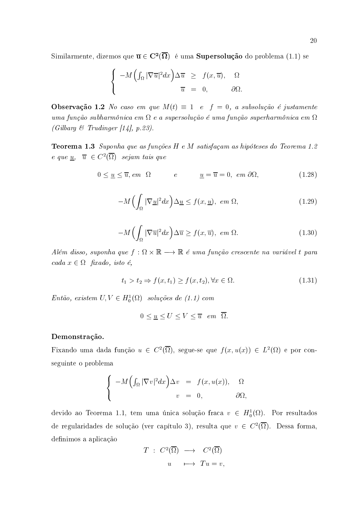Similarmente, dizemos que  $\overline{u} \in C^2(\overline{\Omega})$  é uma **Supersolução** do problema (1.1) se

$$
\begin{cases}\n-M\left(\int_{\Omega}|\nabla \overline{u}|^2 dx\right)\Delta \overline{u} & \geq f(x,\overline{u}), \quad \Omega \\
\overline{u} = 0, \quad \partial \Omega.\n\end{cases}
$$

**Observação 1.2** No caso em que  $M(t) \equiv 1$  e  $f = 0$ , a subsolução é justamente uma função subharmônica em  $\Omega$  e a supersolução é uma função superharmônica em  $\Omega$ (Gilbarg & Trudinger [14], p.23).

**Teorema 1.3** Suponha que as funções  $H$  e  $M$  satisfaçam as hipóteses do Teorema 1.2 e que  $u, \bar{u} \in C^2(\overline{\Omega})$  sejam tais que

$$
0 \le \underline{u} \le \overline{u}, \, em \ \Omega \qquad \qquad e \qquad \qquad \underline{u} = \overline{u} = 0, \, em \ \partial \Omega, \tag{1.28}
$$

$$
-M\left(\int_{\Omega}|\nabla \underline{u}|^2 dx\right)\Delta \underline{u} \le f(x,\underline{u}), \ \ em \ \Omega,\tag{1.29}
$$

$$
-M\left(\int_{\Omega}|\nabla \overline{u}|^2dx\right)\Delta \overline{u}\ge f(x,\overline{u}),\ \ em\ \Omega.
$$
 (1.30)

Além disso, suponha que  $f : \Omega \times \mathbb{R} \longrightarrow \mathbb{R}$  é uma função crescente na variável t para cada  $x \in \Omega$  fixado, isto é,

$$
t_1 > t_2 \Rightarrow f(x, t_1) \ge f(x, t_2), \forall x \in \Omega.
$$
\n
$$
(1.31)
$$

Então, existem  $U, V \in H_0^1(\Omega)$  soluções de (1.1) com

$$
0 \le \underline{u} \le U \le V \le \overline{u} \quad em \quad \overline{\Omega}.
$$

### Demonstração.

Fixando uma dada função  $u \in C^2(\overline{\Omega})$ , segue-se que  $f(x, u(x)) \in L^2(\Omega)$  e por conseguinte o problema

$$
\begin{cases}\n-M\left(\int_{\Omega}|\nabla v|^2dx\right)\Delta v = f(x,u(x)), & \Omega\\ \nv = 0, & \partial\Omega,\n\end{cases}
$$

devido ao Teorema 1.1, tem uma única solução fraca  $v \in H_0^1(\Omega)$ . Por resultados de regularidades de solução (ver capítulo 3), resulta que  $v \in C^2(\overline{\Omega})$ . Dessa forma, definimos a aplicação

$$
T : C^2(\overline{\Omega}) \longrightarrow C^2(\overline{\Omega})
$$
  

$$
u \longmapsto Tu = v,
$$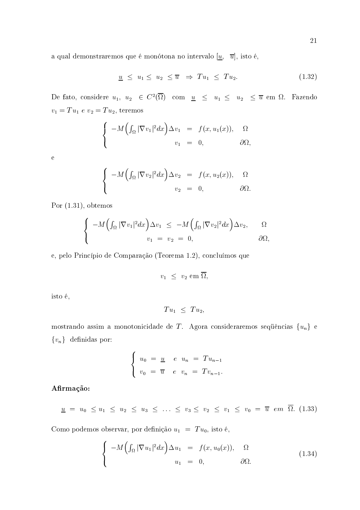a qual demonstraremos que é monótona no intervalo  $[\underline{u}, \overline{u}]$ , isto é,

$$
\underline{u} \leq u_1 \leq u_2 \leq \overline{u} \Rightarrow Tu_1 \leq Tu_2. \tag{1.32}
$$

De fato, considere  $u_1, u_2 \in C^2(\overline{\Omega})$  com  $\underline{u} \leq u_1 \leq u_2 \leq \overline{u}$  em  $\Omega$ . Fazendo  $v_1 = Tu_1 e v_2 = Tu_2$ , teremos

$$
\begin{cases}\n-M\left(\int_{\Omega}|\nabla v_1|^2dx\right)\Delta v_1 = f(x,u_1(x)), & \Omega\\ \nv_1 = 0, & \partial\Omega,\n\end{cases}
$$

 $\overline{e}$ 

$$
\begin{cases}\n-M\left(\int_{\Omega}|\nabla v_2|^2dx\right)\Delta v_2 = f(x,u_2(x)), & \Omega \\
v_2 = 0, & \partial\Omega.\n\end{cases}
$$

Por  $(1.31)$ , obtemos

$$
\begin{cases}\n-M\Big(\int_{\Omega}|\nabla v_1|^2dx\Big)\Delta v_1 \leq -M\Big(\int_{\Omega}|\nabla v_2|^2dx\Big)\Delta v_2, & \Omega \\
v_1 = v_2 = 0, & \partial\Omega,\n\end{cases}
$$

e, pelo Princípio de Comparação (Teorema 1.2), concluímos que

 $v_1 \leq v_2 \text{ em } \overline{\Omega},$ 

isto é,

$$
Tu_1 \leq Tu_2,
$$

mostrando assim a monotonicidade de  $T$ . Agora consideraremos sequências  $\{u_n\}$ e  $\{v_n\}$  definidas por:

$$
\begin{cases}\nu_0 = \underline{u} & e \quad u_n = Tu_{n-1} \\
v_0 = \overline{u} & e \quad v_n = Tv_{n-1}.\n\end{cases}
$$

Afirmação:

$$
\underline{u} = u_0 \le u_1 \le u_2 \le u_3 \le \ldots \le v_3 \le v_2 \le v_1 \le v_0 = \overline{u} \ \text{em} \ \Omega. (1.33)
$$

Como podemos observar, por definição $u_1~=~\mathit{T}u_0,$ isto é,

$$
\begin{cases}\n-M\left(\int_{\Omega}|\nabla u_1|^2dx\right)\Delta u_1 = f(x,u_0(x)), & \Omega \\
u_1 = 0, & \partial\Omega.\n\end{cases}
$$
\n(1.34)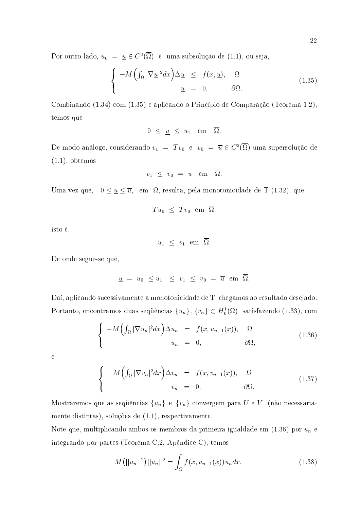Por outro lado,  $u_0 = \underline{u} \in C^2(\Omega)$  é uma subsolução de (1.1), ou seja,

$$
\begin{cases}\n-M\left(\int_{\Omega}|\nabla\underline{u}|^2dx\right)\Delta\underline{u} & \leq f(x,\underline{u}), \quad \Omega \\
\underline{u} & = 0, \quad \partial\Omega.\n\end{cases}
$$
\n(1.35)

Combinando (1.34) com (1.35) e aplicando o Princípio de Comparação (Teorema 1.2), temos que

$$
0 \leq \underline{u} \leq u_1 \quad \text{em} \quad \overline{\Omega}.
$$

De modo análogo, considerando  $v_1$  =  $Tv_0$  e  $v_0$  =  $\overline{u} \in C^2(\Omega)$  uma supersolução de  $(1.1)$ , obtemos

$$
v_1 \ \leq \ v_0 \ = \ \overline{u} \quad \mathrm{em} \quad \overline{\Omega}.
$$

Uma vez que,  $\hspace{.1cm} 0 \leq \underline{u} \leq \overline{u}, \hspace{.1cm} \text{em} \hspace{.1cm} \Omega, \text{ resulta, pela monotonicidade de T (1.32), que}$ 

$$
Tu_0 \leq Tv_0 \text{ em } \overline{\Omega},
$$

isto é, la composición de la composición de la composición de la comunicación de la comunicación de la comunic

$$
u_1 \leq v_1 \quad \text{em} \quad \overline{\Omega}.
$$

De onde segue-se que,

$$
\underline{u} \,\,=\,\, u_0 \,\,\leq\, u_1 \,\,\leq\,\, v_1 \,\,\leq\,\, v_0 \,\,=\,\, \overline{u} \,\,\text{ em }\,\, \overline{\Omega}.
$$

 $\rm D$ aí, aplicando sucessivamente a monotonicidade de T, chegamos ao resultado desejado Portanto, encontramos duas seqüências  $\{u_n\}$  ,  $\{v_n\}\subset H^1_0(\Omega)$  satisfazendo  $(1.33)$ , com

$$
\begin{cases}\n-M\left(\int_{\Omega}|\nabla u_{n}|^{2}dx\right)\Delta u_{n} = f(x, u_{n-1}(x)), & \Omega \\
u_{n} = 0, & \partial\Omega,\n\end{cases}
$$
\n(1.36)

 $\mathbf{e}$ 

$$
\begin{cases}\n-M\left(\int_{\Omega}|\nabla v_{n}|^{2}dx\right)\Delta v_{n} = f(x,v_{n-1}(x)), & \Omega \\
v_{n} = 0, & \partial\Omega.\n\end{cases}
$$
\n(1.37)

Mostraremos que as seqüências  $\{u_n\}$  e  $\{v_n\}$  convergem para  $U$  e  $V$  (não necessariamente distintas), soluções de (1.1), respectivamente.

Note que, multiplicando ambos os membros da primeira igualdade em (1.36) por  $u_n$  e integrando por partes (Teorema C.2, Apêndice C), temo  $\mathbf{s}$  and  $\mathbf{s}$ 

$$
M(||u_n||^2)||u_n||^2 = \int_{\Omega} f(x, u_{n-1}(x))u_n dx.
$$
 (1.38)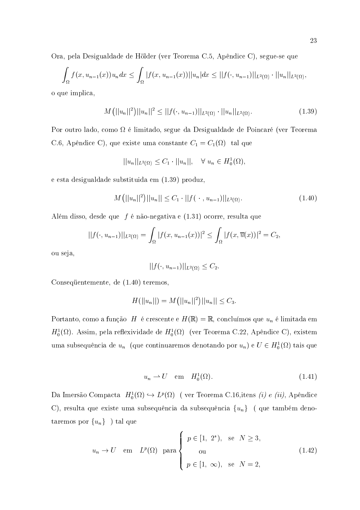Ora, pela Desigualdade de Hölder (ver Teorema C.5, Apêndice C), segue-se que

$$
\int_{\Omega} f(x, u_{n-1}(x))u_n dx \leq \int_{\Omega} |f(x, u_{n-1}(x))||u_n| dx \leq ||f(\cdot, u_{n-1})||_{L^2(\Omega)} \cdot ||u_n||_{L^2(\Omega)}
$$

o que implica,

$$
M(||u_n||^2)||u_n||^2 \le ||f(\cdot, u_{n-1})||_{L^2(\Omega)} \cdot ||u_n||_{L^2(\Omega)}.
$$
\n(1.39)

Por outro lado, como  $\Omega$  é limitado, segue da Desigualdade de Poincaré (ver Teorema C.6, Apêndice C), que existe uma constante  $C_1 = C_1(\Omega)$  tal que

$$
||u_n||_{L^2(\Omega)} \leq C_1 \cdot ||u_n||, \quad \forall \ u_n \in H_0^1(\Omega),
$$

e esta desigualdade substituida em (1.39) produz.

$$
M(||u_n||^2)||u_n|| \leq C_1 \cdot ||f(\cdot, u_{n-1})||_{L^2(\Omega)}.
$$
\n(1.40)

Além disso, desde que  $f$  é não-negativa e (1.31) ocorre, resulta que

$$
||f(\cdot, u_{n-1})||_{L^2(\Omega)} = \int_{\Omega} |f(x, u_{n-1}(x))|^2 \le \int_{\Omega} |f(x, \overline{u}(x))|^2 = C_2,
$$

ou seja,

$$
||f(\cdot, u_{n-1})||_{L^2(\Omega)} \leq C_2
$$

Consequentemente, de (1.40) teremos,

$$
H(||u_n||) = M(||u_n||^2)||u_n|| \leq C_3.
$$

Portanto, como a função  $\,H\,$ é crescente e  $H(\mathbb{R})\,=\,\mathbb{R},$  concluímos que  $u_n$  é limitada em  $H_0^1(\Omega)$ . Assim, pela reflexividade de  $H_0^1(\Omega)$  (ver Teorema C.22, Apêndice C), existem uma subsequência de  $u_n$  (que continuaremos denotando por  $u_n$ ) e  $U \in H_0^1(\Omega)$  tais que

$$
u_n \rightharpoonup U \quad \text{em} \quad H_0^1(\Omega). \tag{1.41}
$$

Da Imersão Compacta  $H_0^1(\Omega) \hookrightarrow L^p(\Omega)$  (ver Teorema C.16, itens *(i) e (ii)*, Apêndice C), resulta que existe uma subsequência da subsequência  $\{u_n\}$  (que também denotaremos por  $\{u_n\}$ ) tal que

$$
u_n \to U \quad \text{em} \quad L^p(\Omega) \quad \text{para} \left\{ \begin{array}{ll} p \in [1, 2^*), & \text{se} \quad N \ge 3, \\ \text{ou} \\ p \in [1, \infty), & \text{se} \quad N = 2, \end{array} \right. \tag{1.42}
$$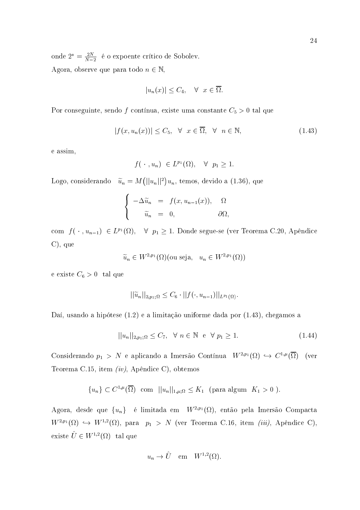onde  $2^* = \frac{2N}{N-2}$  é o expoente crítico de Sobolev. Agora, observe que para todo  $n \in \mathbb{N}$ ,

$$
|u_n(x)| \le C_4, \quad \forall \ \ x \in \overline{\Omega}.
$$

Por conseguinte, sendo f contínua, existe uma constante  $C_5 > 0$  tal que

$$
|f(x, u_n(x))| \le C_5, \quad \forall \quad x \in \overline{\Omega}, \quad \forall \quad n \in \mathbb{N}, \tag{1.43}
$$

e assim,

$$
f(\cdot \, , u_n) \ \in L^{p_1}(\Omega), \quad \forall \ \ p_1 \geq 1.
$$

Logo, considerando  $\tilde{u}_n = M(||u_n||^2)u_n$ , temos, devido a (1.36), que

$$
\begin{cases}\n-\Delta \widetilde{u}_n = f(x, u_{n-1}(x)), & \Omega \\
\widetilde{u}_n = 0, & \partial \Omega,\n\end{cases}
$$

com  $f(\cdot, u_{n-1}) \in L^{p_1}(\Omega)$ ,  $\forall p_1 \geq 1$ . Donde segue-se (ver Teorema C.20, Apêndice  $C$ ), que

 $\widetilde{u}_n \in W^{2,p_1}(\Omega)$ (ou seja,  $u_n \in W^{2,p_1}(\Omega)$ )

e existe $C_6 > 0$ tal que

$$
||\widetilde{u}_n||_{2,p_1;\Omega} \leq C_6 \cdot ||f(\cdot, u_{n-1})||_{L^{p_1}(\Omega)}.
$$

Daí, usando a hipótese (1.2) e a limitação uniforme dada por (1.43), chegamos a

$$
||u_n||_{2,p_1;\Omega} \le C_7, \quad \forall \ n \in \mathbb{N} \quad e \quad \forall \ p_1 \ge 1. \tag{1.44}
$$

Considerando  $p_1 > N$  e aplicando a Imersão Contínua  $W^{2,p_1}(\Omega) \hookrightarrow C^{1,\mu}(\overline{\Omega})$  (ver Teorema C.15, item  $(iv)$ , Apêndice C), obtemos

$$
\{u_n\} \subset C^{1,\mu}(\overline{\Omega}) \text{ com } ||u_n||_{1,\mu;\Omega} \leq K_1 \text{ (para algum } K_1 > 0 ).
$$

Agora, desde que  $\{u_n\}$  é limitada em  $W^{2,p_1}(\Omega)$ , então pela Imersão Compacta  $W^{2,p_1}(\Omega) \hookrightarrow W^{1,2}(\Omega)$ , para  $p_1 > N$  (ver Teorema C.16, item *(iii)*, Apêndice C), existe $\hat{U} \in W^{1,2}(\Omega) \;$ tal que

$$
u_n\to \hat U \quad \text{em} \quad W^{1,2}(\Omega).
$$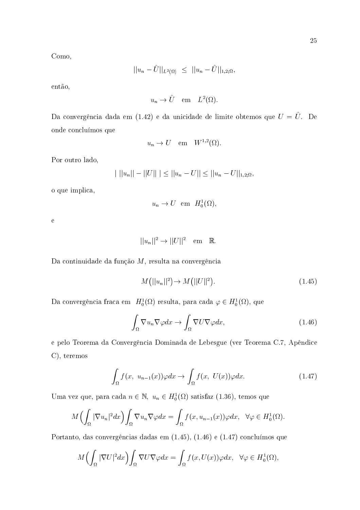Como,

$$
||u_n - \hat{U}||_{L^2(\Omega)} \le ||u_n - \hat{U}||_{1,2;\Omega},
$$

então,

$$
u_n \to \hat{U} \quad \text{em} \quad L^2(\Omega).
$$

Da convergência dada em (1.42) e da unicidade de limite obtemos que  $U = \hat{U}$ . De onde concluímos que

$$
u_n \to U \quad \text{em} \quad W^{1,2}(\Omega)
$$

Por outro lado,

$$
| ||u_n|| - ||U|| | \le ||u_n - U|| \le ||u_n - U||_{1,2;\Omega}
$$

o que implica,

$$
u_n \to U
$$
 em  $H_0^1(\Omega)$ 

 $\mathbf{e}$ 

$$
||u_n||^2 \to ||U||^2 \quad \text{em} \quad \mathbb{R}.
$$

Da continuidade da função  $M$ , resulta na convergência

$$
M(||u_n||^2) \to M(||U||^2). \tag{1.45}
$$

Da convergência fraca em $\;H_{0}^{1}(\Omega )$ resulta, para cada  $\varphi \in H_{0}^{1}(\Omega ),$ que

$$
\int_{\Omega} \nabla u_n \nabla \varphi dx \to \int_{\Omega} \nabla U \nabla \varphi dx, \tag{1.46}
$$

e pelo Teorema da Convergência Dominada de Lebesgue (ver Teorema C.7, Apêndice  $C$ , teremos

$$
\int_{\Omega} f(x, u_{n-1}(x)) \varphi dx \to \int_{\Omega} f(x, U(x)) \varphi dx. \tag{1.47}
$$

Uma vez que, para cada $n \in \mathbb{N}, u_n \in H_0^1(\Omega)$  satisfaz (1.36), temos que

$$
M\Big(\int_{\Omega}|\nabla u_n|^2dx\Big)\int_{\Omega}\nabla u_n\nabla\varphi dx=\int_{\Omega}f(x,u_{n-1}(x))\varphi dx,\quad \forall \varphi\in H_0^1(\Omega).
$$

Portanto, das convergências dadas em (1.45), (1.46) e (1.47) concluímos que

$$
M\Big(\int_{\Omega}|\nabla U|^2dx\Big)\int_{\Omega}\nabla U\nabla\varphi dx=\int_{\Omega}f(x,U(x))\varphi dx,\ \ \forall\varphi\in H^1_0(\Omega),
$$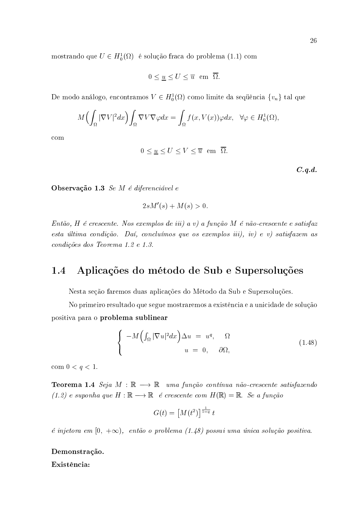mostrando que  $U \in H_0^1(\Omega)$  é solução fraca do problema (1.1) com

$$
0 \le \underline{u} \le U \le \overline{u} \text{ em } \overline{\Omega}
$$

De modo análogo, encontramos  $V \in H_0^1(\Omega)$  como limite da sequência  $\{v_n\}$  tal que

$$
M\Big(\int_{\Omega}|\nabla V|^2dx\Big)\int_{\Omega}\nabla V\nabla\varphi dx=\int_{\Omega}f(x,V(x))\varphi dx,\ \ \forall\varphi\in H^1_0(\Omega),
$$

 $com$ 

$$
0 \le \underline{u} \le U \le V \le \overline{u} \quad \text{em} \quad \overline{\Omega}.
$$

 $C.q.d.$ 

Observação 1.3 Se M é diferenciável e

$$
2sM'(s) + M(s) > 0.
$$

Então, H é crescente. Nos exemplos de iii) a v) a função M é não-crescente e satisfaz esta última condição. Daí, concluímos que os exemplos  $iii$ ,  $iv$ ) e v) satisfazem as condições dos Teorema 1.2 e 1.3.

#### Aplicações do método de Sub e Supersoluções 1.4

Nesta seção faremos duas aplicações do Método da Sub e Supersoluções.

No primeiro resultado que segue mostraremos a existência e a unicidade de solução positiva para o problema sublinear

$$
\begin{cases}\n-M\left(\int_{\Omega}|\nabla u|^{2}dx\right)\Delta u = u^{q}, & \Omega \\
u = 0, & \partial\Omega,\n\end{cases}
$$
\n(1.48)

com  $0 < q < 1$ .

**Teorema 1.4** Seja  $M : \mathbb{R} \longrightarrow \mathbb{R}$  uma função contínua não-crescente satisfazendo  $(1.2)$  e suponha que  $H : \mathbb{R} \longrightarrow \mathbb{R}$  é crescente com  $H(\mathbb{R}) = \mathbb{R}$ . Se a função

$$
G(t) = \left[M(t^2)\right]^{\frac{1}{1-q}}t
$$

é injetora em  $[0, +\infty)$ , então o problema (1.48) possui uma única solução positiva.

### Demonstração.

Existência: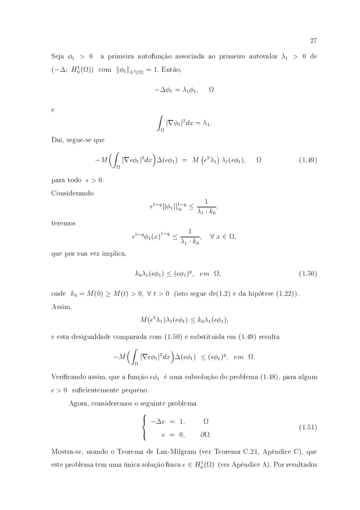Seja $\phi_1 > 0$ a primeira autofunção associada ao primeiro autovalor $\lambda_1 > 0$ de  $(-\Delta; H_0^1(\Omega))$  com  $\|\phi_1\|_{L^2(\Omega)} = 1$ . Então,

$$
-\Delta \phi_1 = \lambda_1 \phi_1, \quad \Omega
$$

 $\overline{e}$ 

$$
\int_{\Omega} |\nabla \phi_1|^2 dx = \lambda_1
$$

Daí, segue-se que

$$
-M\left(\int_{\Omega} |\nabla \epsilon \phi_1|^2 dx\right) \Delta(\epsilon \phi_1) = M\left(\epsilon^2 \lambda_1\right) \lambda_1(\epsilon \phi_1), \quad \Omega \tag{1.49}
$$

para todo  $\epsilon > 0$ .

Considerando

$$
\epsilon^{1-q}||\phi_1||_{\infty}^{1-q} \le \frac{1}{\lambda_1 \cdot k_0},
$$

teremos

$$
\epsilon^{1-q}\phi_1(x)^{1-q} \le \frac{1}{\lambda_1 \cdot k_0}, \quad \forall \ x \in \Omega,
$$

que por sua vez implica,

$$
k_0 \lambda_1(\epsilon \phi_1) \le (\epsilon \phi_1)^q, \quad em \quad \Omega,\tag{1.50}
$$

onde  $k_0 = M(0) \ge M(t) > 0$ ,  $\forall t > 0$  (isto segue de(1.2) e da hipótese (1.22)). Assim,

$$
M(\epsilon^2\lambda_1)\lambda_1(\epsilon\phi_1)\leq k_0\lambda_1(\epsilon\phi_1),
$$

e esta desigualdade comparada com  $(1.50)$  e substituida em  $(1.49)$  resulta

$$
-M\Big(\int_{\Omega}|\nabla \epsilon \phi_1|^2 dx\Big) \Delta(\epsilon \phi_1) \leq (\epsilon \phi_1)^q, \quad em \quad \Omega.
$$

Verificando assim, que a função  $\epsilon\phi_1$  é uma subsolução do problema (1.48), para algum  $\epsilon > 0$  suficientemente pequeno.

Agora, consideremos o seguinte problema

$$
\begin{cases}\n-\Delta e = 1, & \Omega \\
e = 0, & \partial\Omega.\n\end{cases}
$$
\n(1.51)

Mostra-se, usando o Teorema de Lax-Milgram (ver Teorema C.21, Apêndice C), que este problema tem uma única solução fraca  $e \in H_0^1(\Omega)$  (ver Apêndice A). Por resultados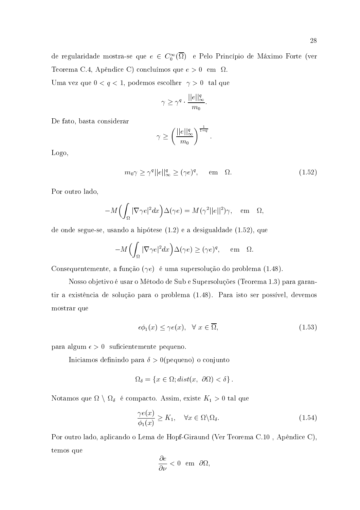$$
\gamma \geq \gamma^q \cdot \frac{||e||_\infty^q}{m_0}.
$$

De fato, basta considerar

$$
\gamma \ge \left(\frac{||e||_\infty^q}{m_0}\right)^{\frac{1}{1-q}}
$$

Logo,

$$
m_0 \gamma \ge \gamma^q ||e||_{\infty}^q \ge (\gamma e)^q, \quad \text{em} \quad \Omega.
$$
 (1.52)

Por outro lado,

$$
-M\Big(\int_{\Omega}|\nabla \gamma e|^2 dx\Big)\Delta(\gamma e)=M(\gamma^2||e||^2)\gamma,\quad \text{em}\quad \Omega,
$$

de onde segue-se, usando a hipótese  $(1.2)$  e a desigualdade  $(1.52)$ , que

$$
-M\Big(\int_{\Omega}|\nabla \gamma e|^2 dx\Big)\Delta(\gamma e) \ge (\gamma e)^q, \quad \text{em} \quad \Omega.
$$

Consequentemente, a função  $(\gamma e)$  é uma supersolução do problema (1.48).

Nosso objetivo é usar o Método de Sub e Supersoluções (Teorema 1.3) para garantir a existência de solução para o problema (1.48). Para isto ser possível, devemos mostrar que

$$
\epsilon \phi_1(x) \le \gamma e(x), \quad \forall \ x \in \overline{\Omega}, \tag{1.53}
$$

para algum  $\epsilon > 0$  suficientemente pequeno.

Iniciamos definindo para  $\delta > 0$ (pequeno) o conjunto

$$
\Omega_{\delta} = \{ x \in \Omega; dist(x, \partial \Omega) < \delta \} .
$$

Notamos que  $\Omega \setminus \Omega_{\delta}$  é compacto. Assim, existe  $K_1 > 0$  tal que

$$
\frac{\gamma e(x)}{\phi_1(x)} \ge K_1, \quad \forall x \in \Omega \backslash \Omega_\delta. \tag{1.54}
$$

Por outro lado, aplicando o Lema de Hopf-Giraund (Ver Teorema C.10, Apêndice C), temos que

$$
\frac{\partial e}{\partial \nu} < 0 \quad \text{em} \quad \partial \Omega
$$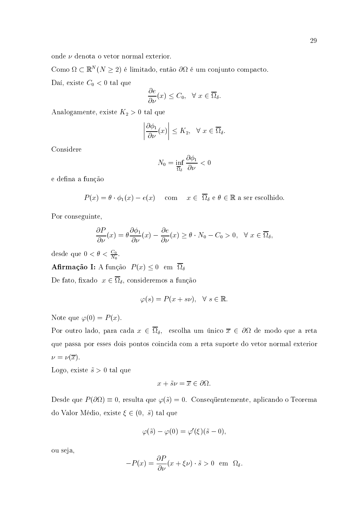onde  $\nu$  denota o vetor normal exterior.

Como  $\Omega \subset \mathbb{R}^N (N \geq 2)$  é limitado, então  $\partial \Omega$  é um conjunto compacto.

Daí, existe  $C_0 < 0$  tal que

$$
\frac{\partial e}{\partial \nu}(x) \le C_0, \quad \forall \ x \in \overline{\Omega}_{\delta}
$$

Analogamente, existe $K_2>0$ tal que

$$
\left|\frac{\partial \phi_1}{\partial \nu}(x)\right| \le K_2, \ \ \forall \ x \in \overline{\Omega}_{\delta}
$$

Considere

$$
N_0 = \inf_{\overline{\Omega}_\delta} \frac{\partial \phi_1}{\partial \nu} < 0
$$

e defina a função

$$
P(x) = \theta \cdot \phi_1(x) - e(x) \quad \text{com} \quad x \in \overline{\Omega}_{\delta} \text{ e } \theta \in \mathbb{R} \text{ a ser escolhido}
$$

Por conseguinte,

$$
\frac{\partial P}{\partial \nu}(x) = \theta \frac{\partial \phi_1}{\partial \nu}(x) - \frac{\partial e}{\partial \nu}(x) \ge \theta \cdot N_0 - C_0 > 0, \quad \forall \ x \in \overline{\Omega}_\delta,
$$

desde que  $0 < \theta < \frac{C_0}{N_0}$ .

**Afirmação I:** A função  $P(x) \leq 0$  em  $\overline{\Omega}_{\delta}$ 

De fato, fixado $x\in\overline{\Omega}_\delta,$ consideremos a função

$$
\varphi(s) = P(x + s\nu), \quad \forall \ s \in \mathbb{R}.
$$

Note que  $\varphi(0) = P(x)$ .

Por outro lado, para cada  $x \in \overline{\Omega}_{\delta}$ , escolha um único  $\overline{x} \in \partial \Omega$  de modo que a reta que passa por esses dois pontos coincida com a reta suporte do vetor normal exterior  $\nu = \nu(\overline{x}).$ 

Logo, existe  $\tilde{s} > 0$  tal que

$$
x + \tilde{s}\nu = \overline{x} \in \partial\Omega.
$$

Desde que  $P(\partial\Omega) \equiv 0$ , resulta que  $\varphi(\tilde{s}) = 0$ . Consequentemente, aplicando o Teorema do Valor Médio, existe  $\xi \in (0, \tilde{s})$  tal que

$$
\varphi(\tilde{s}) - \varphi(0) = \varphi'(\xi)(\tilde{s} - 0),
$$

ou seja,

$$
-P(x) = \frac{\partial P}{\partial \nu}(x + \xi \nu) \cdot \tilde{s} > 0 \text{ em } \Omega_{\delta}.
$$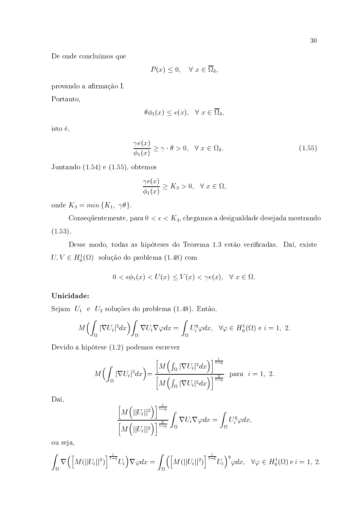De onde concluímos que

$$
P(x) \le 0, \quad \forall \ x \in \overline{\Omega}_{\delta}
$$

provando a afirmação I.

Portanto,

$$
\theta \phi_1(x) \le e(x), \quad \forall \ x \in \overline{\Omega}_\delta,
$$

isto é,

$$
\frac{\gamma e(x)}{\phi_1(x)} \ge \gamma \cdot \theta > 0, \quad \forall \ x \in \Omega_{\delta}.\tag{1.55}
$$

Juntando  $(1.54)$  e  $(1.55)$ , obtemos

$$
\frac{\gamma e(x)}{\phi_1(x)} \ge K_3 > 0, \quad \forall \ x \in \Omega,
$$

onde  $K_3 = min\{K_1, \gamma\theta\}.$ 

Consequentemente, para  $0 < \epsilon < K_3$ , chegamos a desigualdade desejada mostrando  $(1.53).$ 

Desse modo, todas as hipóteses do Teorema 1.3 estão verificadas. Daí, existe  $U,V\in H^1_0(\Omega)\;$ solução do problema (1.48) com

$$
0 < \epsilon \phi_1(x) < U(x) \le V(x) < \gamma e(x), \quad \forall \ x \in \Omega.
$$

### Unicidade:

Sejam $\ U_1\ \ e\ \ U_2$ soluções do problema (1.48). Então,

$$
M\Big(\int_{\Omega}|\nabla U_i|^2dx\Big)\int_{\Omega}\nabla U_i\nabla\varphi dx=\int_{\Omega}U_i^q\varphi dx,\ \ \forall\varphi\in H_0^1(\Omega)\ \mathrm{e}\ i=1,\ 2.
$$

Devido a hipótese  $(1.2)$  podemos escrever

$$
M\Big(\int_{\Omega}|\nabla U_i|^2dx\Big) = \frac{\Big[M\Big(\int_{\Omega}|\nabla U_i|^2dx\Big)\Big]^{\frac{1}{1-q}}}{\Big[M\Big(\int_{\Omega}|\nabla U_i|^2dx\Big)\Big]^{\frac{q}{1-q}}}\quad\text{para}\quad i=1,\ 2.
$$

Daí,

$$
\frac{\left[M\left(||U_i||^2\right)\right]^{\frac{1}{1-q}}}{\left[M\left(||U_i||^2\right)\right]^{\frac{q}{1-q}}}\int_{\Omega}\nabla U_i\nabla\varphi dx=\int_{\Omega}U_i^q\varphi dx,
$$

ou seja,

$$
\int_{\Omega} \nabla \Big( \Big[ M(||U_i||^2) \Big]^{\frac{1}{1-q}} U_i \Big) \nabla \varphi dx = \int_{\Omega} \Big( \Big[ M(||U_i||^2) \Big]^{\frac{1}{1-q}} U_i \Big)^{q} \varphi dx, \quad \forall \varphi \in H_0^1(\Omega) \text{ e } i = 1, 2.
$$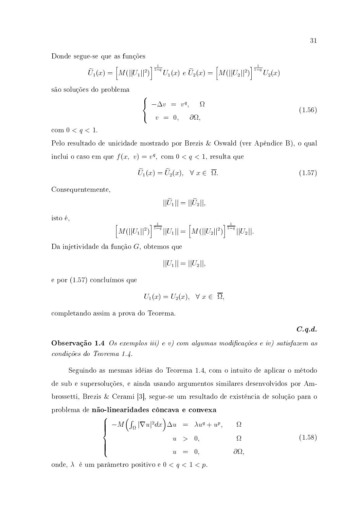Donde segue-se que as funções

$$
\widetilde{U}_1(x) = \left[M(||U_1||^2)\right]^{\frac{1}{1-q}} U_1(x) e \widetilde{U}_2(x) = \left[M(||U_2||^2)\right]^{\frac{1}{1-q}} U_2(x)
$$

são soluções do problema

$$
\begin{cases}\n-\Delta v = v^q, & \Omega \\
v = 0, & \partial\Omega,\n\end{cases}
$$
\n(1.56)

com  $0 \le q \le 1$ .

Pelo resultado de unicidade mostrado por Brezis & Oswald (ver Apêndice B), o qual inclui o caso em que  $f(x, v) = v^q$ , com  $0 < q < 1$ , resulta que

$$
\widetilde{U}_1(x) = \widetilde{U}_2(x), \quad \forall \ x \in \ \overline{\Omega}.\tag{1.57}
$$

Consequentemente,

$$
||\widetilde{U}_1||=||\widetilde{U}_2||,
$$

isto é, la composición de la composición de la composición de la comunicación de la comunicación de la comunic

$$
\left[M(||U_1||^2)\right]^{\frac{1}{1-q}}||U_1|| = \left[M(||U_2||^2)\right]^{\frac{1}{1-q}}||U_2||.
$$

Da injetividade da função  $G,$  obtemos que

$$
||U_1|| = ||U_2||,
$$

e por (1.57) concluímos que

$$
U_1(x) = U_2(x), \quad \forall \ x \in \ \overline{\Omega},
$$

completando assim a prova do Teorema.

---

represent to the contract of the contract of the contract of the contract of the contract of the contract of th ( /  "#1#

Seguindo as mesmas idéias do Teorema 1.4, com o intuito de aplicar o método de sub e supersoluções, e ainda usando argumentos similares desenvolvidos por Ambrossetti, Brezis & Cerami [3], segue-se um resultado de existência de solução para o problema de **não-linearidades côncava e convexa** 

$$
\begin{cases}\n-M\left(\int_{\Omega}|\nabla u|^2dx\right)\Delta u = \lambda u^q + u^p, & \Omega \\
u > 0, & \Omega \\
u = 0, & \partial\Omega,\n\end{cases}
$$
\n(1.58)

onde,  $\lambda$  é um parâmetro positivo e  $0 < q < 1 < p$ .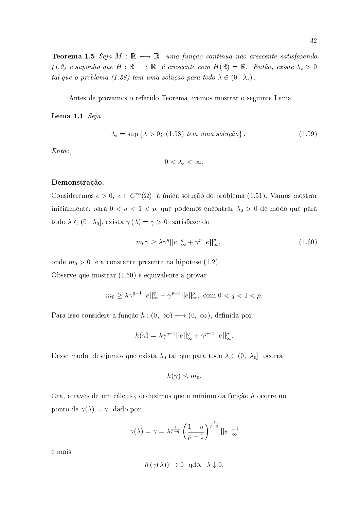**Teorema 1.5** Seja  $M : \mathbb{R} \longrightarrow \mathbb{R}$  uma função contínua não-crescente satisfazendo  $(1.2)$  e suponha que  $H : \mathbb{R} \longrightarrow \mathbb{R}$  é crescente com  $H(\mathbb{R}) = \mathbb{R}$ . Então, existe  $\lambda_* > 0$ tal que o problema (1.58) tem uma solução para todo  $\lambda \in (0, \lambda_*)$ .

Antes de provamos o referido Teorema, iremos mostrar o seguinte Lema.

Lema 1.1  $Seja$ 

$$
\lambda_* = \sup \{ \lambda > 0; \ (1.58) \ \text{tem uma } solução \}. \tag{1.59}
$$

 $Ent\tilde{a}o$ ,

 $0 < \lambda_* < \infty$ .

### Demonstração.

Consideremos  $e > 0$ ,  $e \in C^{\infty}(\overline{\Omega})$  a única solução do problema (1.51). Vamos mostrar inicialmente, para  $0 < q < 1 < p$ , que podemos encontrar $\lambda_0 > 0$ de modo que para todo $\lambda \in (0, \lambda_0]$ exista $\gamma(\lambda) = \gamma > 0$ satisfazendo

$$
m_0 \gamma \ge \lambda \gamma^q ||e||_{\infty}^q + \gamma^p ||e||_{\infty}^p, \tag{1.60}
$$

onde  $m_0 > 0$  é a constante presente na hipótese (1.2).

Observe que mostrar (1.60) é equivalente a provar

$$
m_0 \geq \lambda \gamma^{q-1} ||e||_{\infty}^q + \gamma^{p-1} ||e||_{\infty}^p
$$
, com  $0 < q < 1 < p$ .

Para isso considere a função  $h:(0, \infty) \longrightarrow (0, \infty)$ , definida por

$$
h(\gamma) = \lambda \gamma^{q-1} ||e||_{\infty}^q + \gamma^{p-1} ||e||_{\infty}^p.
$$

Desse modo, desejamos que exista  $\lambda_0$  tal que para todo  $\lambda \in (0, \lambda_0]$  ocorra

$$
h(\gamma) \leq m_0
$$

Ora, através de um cálculo, deduzimos que o mínimo da função h ocorre no ponto de  $\gamma(\lambda) = \gamma$  dado por

$$
\gamma(\lambda) = \gamma = \lambda^{\frac{1}{p-q}} \left( \frac{1-q}{p-1} \right)^{\frac{1}{p-q}} ||e||_{\infty}^{-1}
$$

e mais

$$
h(\gamma(\lambda)) \to 0 \quad \text{qdo.} \quad \lambda \downarrow 0
$$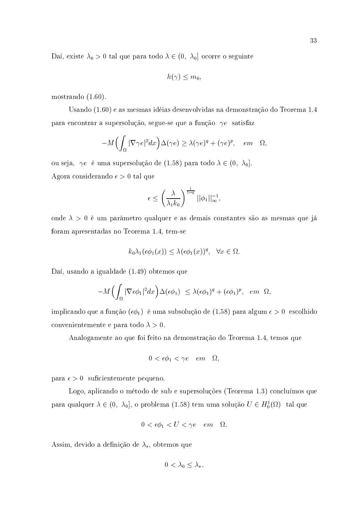Daí, existe  $\lambda_0 > 0$  tal que para todo  $\lambda \in (0, \lambda_0]$  ocorre o seguinte

$$
h(\gamma)\leq m_0
$$

mostrando  $(1.60)$ .

Usando (1.60) e as mesmas idéias desenvolvidas na demonstração do Teorema 1.4 para encontrar a supersolução, segue-se que a função  $\gamma e$  satisfaz

$$
-M\Big(\int_{\Omega}|\nabla \gamma e|^2 dx\Big)\Delta(\gamma e) \geq \lambda(\gamma e)^q + (\gamma e)^p, \quad em \quad \Omega,
$$

ou seja,  $\gamma e$  é uma supersolução de (1.58) para todo  $\lambda \in (0, \lambda_0]$ . Agora considerando  $\epsilon > 0$  tal que

$$
\epsilon \le \left(\frac{\lambda}{\lambda_1 k_0}\right)^{\frac{1}{1-q}} ||\phi_1||_{\infty}^{-1},
$$

onde  $\lambda > 0$  é um parâmetro qualquer e as demais constantes são as mesmas que já foram apresentadas no Teorema 1.4, tem-se

$$
k_0\lambda_1(\epsilon\phi_1(x)) \leq \lambda(\epsilon\phi_1(x))^q, \quad \forall x \in \Omega.
$$

Daí, usando a igualdade (1.49) obtemos que

$$
-M\Big(\int_{\Omega}|\nabla \epsilon \phi_1|^2 dx\Big) \Delta(\epsilon \phi_1) \leq \lambda(\epsilon \phi_1)^q + (\epsilon \phi_1)^p, \quad em \quad \Omega
$$

implicando que a função  $(\epsilon \phi_1)$  é uma subsolução de (1.58) para algum  $\epsilon > 0$  escolhido convenientemente e para todo  $\lambda > 0$ .

Analogamente ao que foi feito na demonstração do Teorema 1.4, temos que

$$
0 < \epsilon \phi_1 < \gamma e \quad e m \quad \Omega,
$$

para  $\epsilon > 0$  suficientemente pequeno.

Logo, aplicando o método de sub e supersoluções (Teorema 1.3) concluímos que para qualquer  $\lambda \in (0, \lambda_0]$ , o problema (1.58) tem uma solução  $U \in H_0^1(\Omega)$  tal que

$$
0 < \epsilon \phi_1 < U < \gamma e \quad e m \quad \Omega.
$$

Assim, devido a definição de  $\lambda_{*}$ , obtemos que

$$
0<\lambda_0\leq \lambda_*.
$$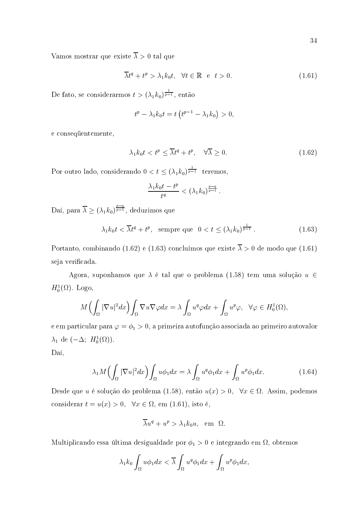Vamos mostrar que existe  $\overline{\lambda} > 0$  tal que

$$
\overline{\lambda}t^{q} + t^{p} > \lambda_{1}k_{0}t, \quad \forall t \in \mathbb{R} \quad e \quad t > 0. \tag{1.61}
$$

De fato, se considerarmos  $t > (\lambda_1 k_0)^{\frac{1}{p-1}}$ , então

$$
t^{p} - \lambda_{1}k_{0}t = t\left(t^{p-1} - \lambda_{1}k_{0}\right) > 0,
$$

e consequentemente,

$$
\lambda_1 k_0 t < t^p \le \overline{\lambda} t^q + t^p, \quad \forall \overline{\lambda} \ge 0. \tag{1.62}
$$

Por outro lado, considerando  $0 < t \leq (\lambda_1 k_0)^{\frac{1}{p-1}}$  teremos,

$$
\frac{\lambda_1 k_0 t - t^p}{t^q} < \left(\lambda_1 k_0\right)^{\frac{p-q}{p-1}}.
$$

Daí, para  $\overline{\lambda} \geq (\lambda_1 k_0)^{\frac{p-q}{p-1}}$ , deduzimos que

$$
\lambda_1 k_0 t < \overline{\lambda} t^q + t^p, \quad \text{sempre que} \quad 0 < t \le (\lambda_1 k_0)^{\frac{1}{p-1}}. \tag{1.63}
$$

Portanto, combinando (1.62) e (1.63) concluímos que existe  $\overline{\lambda} > 0$  de modo que (1.61) seja verificada.

Agora, suponhamos que  $\lambda$  é tal que o problema (1.58) tem uma solução  $u \in$  $H_0^1(\Omega)$ . Logo,

$$
M\Big(\int_{\Omega}|\nabla u|^2dx\Big)\int_{\Omega}\nabla u\nabla\varphi dx=\lambda\int_{\Omega}u^q\varphi dx+\int_{\Omega}u^p\varphi,\ \ \forall\varphi\in H^1_0(\Omega)
$$

e em particular para  $\varphi = \phi_1 > 0$ , a primeira autofunção associada ao primeiro autovalor  $\lambda_1$  de ( $-\Delta$ ;  $H_0^1(\Omega)$ ).

Daí,

$$
\lambda_1 M \left( \int_{\Omega} |\nabla u|^2 dx \right) \int_{\Omega} u \phi_1 dx = \lambda \int_{\Omega} u^q \phi_1 dx + \int_{\Omega} u^p \phi_1 dx. \tag{1.64}
$$

Desde que u é solução do problema (1.58), então  $u(x) > 0$ ,  $\forall x \in \Omega$ . Assim, podemos considerar  $t = u(x) > 0$ ,  $\forall x \in \Omega$ , em (1.61), isto é,

$$
\overline{\lambda}u^{q} + u^{p} > \lambda_{1}k_{0}u, \text{ em } \Omega
$$

Multiplicando essa última desigualdade por  $\phi_1 > 0$  e integrando em  $\Omega$ , obtemos

$$
\lambda_1 k_0 \int_{\Omega} u \phi_1 dx < \overline{\lambda} \int_{\Omega} u^q \phi_1 dx + \int_{\Omega} u^p \phi_1 dx,
$$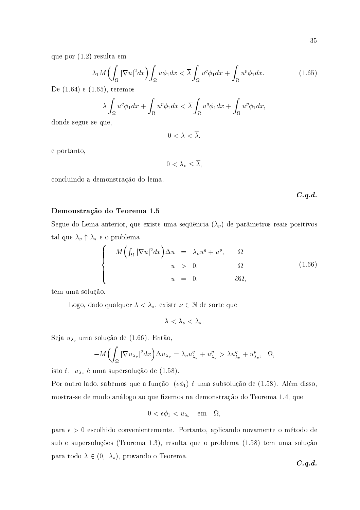que por  $(1.2)$  resulta em

$$
\lambda_1 M \Big(\int_{\Omega} |\nabla u|^2 dx\Big) \int_{\Omega} u \phi_1 dx < \overline{\lambda} \int_{\Omega} u^q \phi_1 dx + \int_{\Omega} u^p \phi_1 dx. \tag{1.65}
$$

De  $(1.64)$  e  $(1.65)$ , teremos

$$
\lambda \int_{\Omega} u^q \phi_1 dx + \int_{\Omega} u^p \phi_1 dx < \overline{\lambda} \int_{\Omega} u^q \phi_1 dx + \int_{\Omega} u^p \phi_1 dx
$$

donde segue-se que,

$$
0 < \lambda < \overline{\lambda}
$$

e portanto,

$$
0<\lambda_*\leq \overline{\lambda},
$$

concluindo a demonstração do lema.

 $C.q.d.$ 

## Demonstração do Teorema 1.5

Segue do Lema anterior, que existe uma sequência  $(\lambda_{\nu})$  de parâmetros reais positivos tal que  $\lambda_{\nu}\uparrow\lambda_{\ast}$ e o problema

$$
\begin{cases}\n-M\left(\int_{\Omega}|\nabla u|^{2}dx\right)\Delta u = \lambda_{\nu}u^{q} + u^{p}, & \Omega \\
u > 0, & \Omega \\
u = 0, & \partial\Omega,\n\end{cases}
$$
\n(1.66)

tem uma solução.

Logo, dado qualquer  $\lambda < \lambda_*$ , existe  $\nu \in \mathbb{N}$  de sorte que

 $\lambda < \lambda_{\nu} < \lambda_{*}.$ 

Seja  $u_{\lambda_{\nu}}$  uma solução de (1.66). Então,

$$
-M\Big(\int_{\Omega}|\nabla u_{\lambda_{\nu}}|^2dx\Big)\Delta u_{\lambda_{\nu}}=\lambda_{\nu}u_{\lambda_{\nu}}^q+u_{\lambda_{\nu}}^p>\lambda u_{\lambda_{\nu}}^q+u_{\lambda_{\nu}}^p,\ \Omega
$$

isto é,  $u_{\lambda_{\nu}}$  é uma supersolução de (1.58).

Por outro lado, sabemos que a função  $(\epsilon \phi_1)$  é uma subsolução de (1.58). Além disso, mostra-se de modo análogo ao que fizemos na demonstração do Teorema 1.4, que

$$
0 < \epsilon \phi_1 < u_{\lambda_\nu} \quad \text{em} \quad \Omega,
$$

para  $\epsilon > 0$  escolhido convenientemente. Portanto, aplicando novamente o método de sub e supersoluções (Teorema 1.3), resulta que o problema (1.58) tem uma solução para todo  $\lambda \in (0, \lambda_*)$ , provando o Teorema.

 $C.q.d.$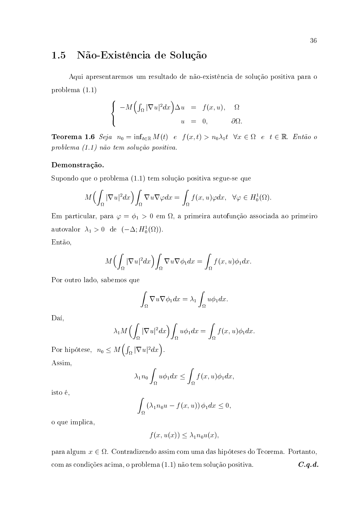#### Não-Existência de Solução 1.5

Aqui apresentaremos um resultado de não-existência de solução positiva para o problema $(1.1)$ 

$$
\begin{cases}\n-M\left(\int_{\Omega}|\nabla u|^2dx\right)\Delta u = f(x,u), & \Omega\\
u = 0, & \partial\Omega\n\end{cases}
$$

**Teorema 1.6** Seja  $n_0 = \inf_{t \in \mathbb{R}} M(t)$  e  $f(x,t) > n_0 \lambda_1 t$   $\forall x \in \Omega$  e  $t \in \mathbb{R}$ . Então o problema (1.1) não tem solução positiva.

#### Demonstração.

Supondo que o problema (1.1) tem solução positiva segue-se que

$$
M\Big(\int_{\Omega}|\nabla u|^{2}dx\Big)\int_{\Omega}\nabla u\nabla \varphi dx=\int_{\Omega}f(x,u)\varphi dx, \quad \forall \varphi\in H_{0}^{1}(\Omega).
$$

Em particular, para  $\varphi = \phi_1 > 0$  em  $\Omega$ , a primeira autofunção associada ao primeiro autovalor  $\lambda_1 > 0$  de  $(-\Delta; H_0^1(\Omega)).$ 

Então,

$$
M\Big(\int_{\Omega}|\nabla u|^{2}dx\Big)\int_{\Omega}\nabla u\nabla\phi_{1}dx=\int_{\Omega}f(x,u)\phi_{1}dx
$$

Por outro lado, sabemos que

$$
\int_{\Omega} \nabla u \nabla \phi_1 dx = \lambda_1 \int_{\Omega} u \phi_1 dx.
$$

Daí.

$$
\lambda_1 M \left( \int_{\Omega} |\nabla u|^2 dx \right) \int_{\Omega} u \phi_1 dx = \int_{\Omega} f(x, u) \phi_1 dx.
$$

Por hipótese,  $n_0 \leq M\left(\int_{\Omega} |\nabla u|^2 dx\right)$ . Assim,

$$
\lambda_1 n_0 \int_{\Omega} u \phi_1 dx \le \int_{\Omega} f(x, u) \phi_1 dx
$$

isto é,

$$
\int_{\Omega} \left(\lambda_1 n_0 u - f(x, u)\right) \phi_1 dx \leq 0,
$$

o que implica,

$$
f(x, u(x)) \leq \lambda_1 n_0 u(x)
$$

para algum  $x \in \Omega$ . Contradizendo assim com uma das hipóteses do Teorema. Portanto, com as condições acima, o problema (1.1) não tem solução positiva.  $C.q.d.$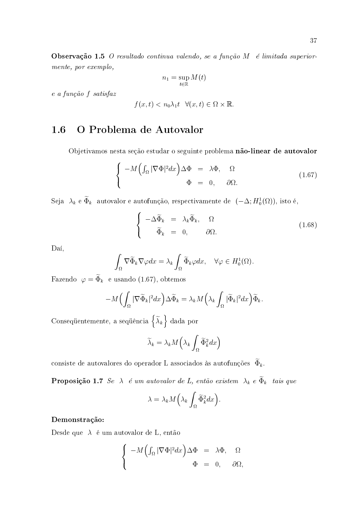Observação 1.5 O resultado continua valendo, se a função  $M$  é limitada superiormente, por exemplo,

$$
n_1 = \sup_{t \in \mathbb{R}} M(t)
$$

e a função f satisfaz

$$
f(x,t) < n_0 \lambda_1 t \quad \forall (x,t) \in \Omega \times \mathbb{R}.
$$

#### O Problema de Autovalor 1.6

Objetivamos nesta seção estudar o seguinte problema não-linear de autovalor

$$
\begin{cases}\n-M\left(\int_{\Omega}|\nabla\Phi|^{2}dx\right)\Delta\Phi = \lambda\Phi, & \Omega\\ \Phi = 0, & \partial\Omega.\n\end{cases}
$$
\n(1.67)

Seja  $\lambda_k$  e  $\widetilde{\Phi}_k$  autovalor e autofunção, respectivamente de  $(-\Delta; H_0^1(\Omega))$ , isto é,

$$
\begin{cases}\n-\Delta \widetilde{\Phi}_k = \lambda_k \widetilde{\Phi}_k, & \Omega \\
\widetilde{\Phi}_k = 0, & \partial \Omega.\n\end{cases}
$$
\n(1.68)

Daí.

$$
\int_{\Omega} \nabla \widetilde{\Phi}_k \nabla \varphi dx = \lambda_k \int_{\Omega} \widetilde{\Phi}_k \varphi dx, \quad \forall \varphi \in H_0^1(\Omega).
$$

Fazendo  $\varphi = \widetilde{\Phi}_k$  e usando (1.67), obtemos

$$
-M\Big(\int_{\Omega}|\nabla\widetilde{\Phi}_k|^2dx\Big)\Delta\widetilde{\Phi}_k=\lambda_kM\Big(\lambda_k\int_{\Omega}|\widetilde{\Phi}_k|^2dx\Big)\widetilde{\Phi}_k
$$

Consequentemente, a sequência $\left\{\widetilde{\lambda}_k\right\}$ dada por

$$
\widetilde{\lambda}_k = \lambda_k M\left(\lambda_k \int_{\Omega} \widetilde{\Phi}_k^2 dx\right)
$$

consiste de autovalores do operador L associados às autofunções  $\widetilde{\Phi}_k$ .

**Proposição 1.7** Se  $\lambda$  é um autovalor de L, então existem  $\lambda_k$  e  $\widetilde{\Phi}_k$  tais que

$$
\lambda = \lambda_k M\left(\lambda_k \int_{\Omega} \widetilde{\Phi}_k^2 dx\right).
$$

#### Demonstração:

Desde que  $\lambda$  é um autovalor de L, então

$$
\begin{cases}\n-M\left(\int_{\Omega}|\nabla\Phi|^2dx\right)\Delta\Phi = \lambda\Phi, & \Omega\\ \Phi = 0, & \partial\Omega\n\end{cases}
$$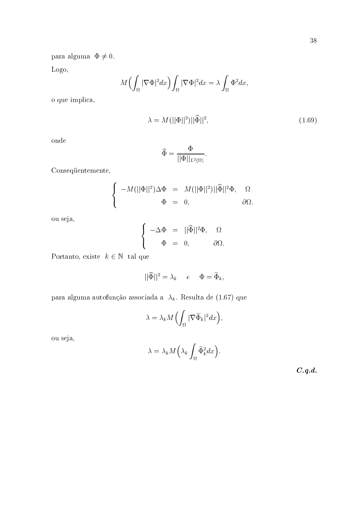para alguma  $\Phi \neq 0$ .

Logo,

$$
M\Big(\int_{\Omega}|\nabla\Phi|^2dx\Big)\int_{\Omega}|\nabla\Phi|^2dx=\lambda\int_{\Omega}\Phi^2dx.
$$

o que implica,

$$
\lambda = M(||\Phi||^2) ||\widehat{\Phi}||^2, \tag{1.69}
$$

onde

$$
\widehat{\Phi} = \frac{\Phi}{||\Phi||_{L^2(\Omega)}}.
$$

Consequentemente,

$$
\label{eq:2.1} \left\{ \begin{array}{rcl} -M(||\Phi||^2)\Delta\Phi &=& M(||\Phi||^2)||\widehat{\Phi}||^2\Phi, \quad \ \Omega \\ \Phi &=& 0, \end{array} \right.
$$

ou seja,

$$
\begin{cases}\n-\Delta \Phi &= ||\widehat{\Phi}||^2 \Phi, & \Omega \\
\Phi &= 0, & \partial \Omega\n\end{cases}
$$

Portanto, existe  $k \in \mathbb{N}$  tal que

$$
||\widehat{\Phi}||^2 = \lambda_k \quad e \quad \Phi = \widetilde{\Phi}_k
$$

para alguma autofunção associada a $\lambda_k$ . Resulta de (1.67) que

$$
\lambda = \lambda_k M \left( \int_{\Omega} |\nabla \widetilde{\Phi}_k|^2 dx \right)
$$

ou seja,

$$
\lambda = \lambda_k M\left(\lambda_k \int_{\Omega} \widetilde{\Phi}_k^2 dx\right).
$$

 $C.q.d.$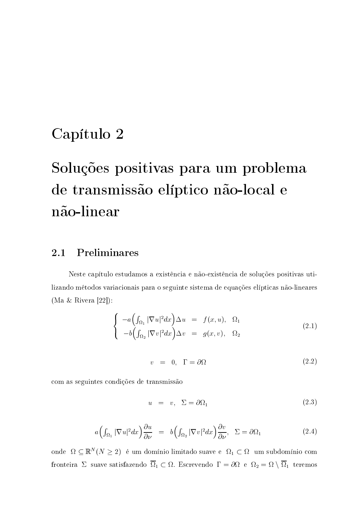## Capítulo 2

# Soluções positivas para um problema de transmissão elíptico não-local e não-linear

#### Preliminares 2.1

Neste capítulo estudamos a existência e não-existência de soluções positivas utilizando métodos variacionais para o seguinte sistema de equações elípticas não-lineares (Ma & Rivera [22]):

$$
\begin{cases}\n-a\left(\int_{\Omega_1} |\nabla u|^2 dx\right) \Delta u = f(x, u), & \Omega_1 \\
-b\left(\int_{\Omega_2} |\nabla v|^2 dx\right) \Delta v = g(x, v), & \Omega_2\n\end{cases}
$$
\n(2.1)

$$
v = 0, \Gamma = \partial \Omega \tag{2.2}
$$

com as seguintes condições de transmissão

$$
u = v, \Sigma = \partial \Omega_1 \tag{2.3}
$$

$$
a\Big(\int_{\Omega_1} |\nabla u|^2 dx\Big)\frac{\partial u}{\partial \nu} = b\Big(\int_{\Omega_2} |\nabla v|^2 dx\Big)\frac{\partial v}{\partial \nu}, \quad \Sigma = \partial \Omega_1 \tag{2.4}
$$

onde  $\Omega \subseteq \mathbb{R}^N (N \geq 2)$ é um domínio limitado suave e $\Omega_1 \subset \Omega$ um subdomínio com fronteira $\Sigma$ suave satisfazendo $\overline{\Omega}_1\subset \Omega.$  Escrevendo $\,\Gamma=\partial\Omega\,$ e $\,\Omega_2=\Omega\setminus\overline{\Omega}_1\,$ teremos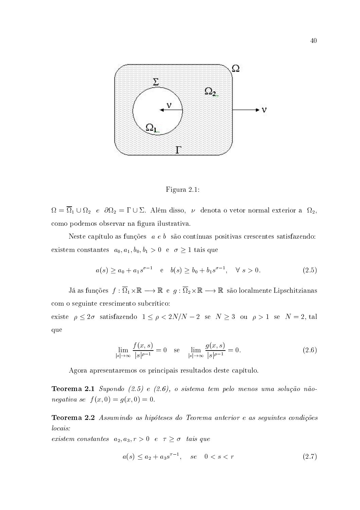



 $\Omega = \overline{\Omega}_1 \cup \Omega_2$  e  $\partial\Omega_2 = \Gamma \cup \Sigma$ . Além disso,  $\nu$  denota o vetor normal exterior a  $\Omega_2$ , como podemos observar na figura ilustrativa.

Neste capítulo as funções  $a e b$  são contínuas positivas crescentes satisfazendo: existem constantes  $a_0, a_1, b_0, b_1 > 0$  e  $\sigma \ge 1$  tais que

$$
a(s) \ge a_0 + a_1 s^{\sigma - 1} \quad e \quad b(s) \ge b_0 + b_1 s^{\sigma - 1}, \quad \forall \ s > 0. \tag{2.5}
$$

Já as funções  $f: \overline{\Omega}_1 \times \mathbb{R} \longrightarrow \mathbb{R}$  e  $g: \overline{\Omega}_2 \times \mathbb{R} \longrightarrow \mathbb{R}$  são localmente Lipschitzianas com o seguinte crescimento subcrítico: existe  $\rho \leq 2\sigma$  satisfazendo  $1 \leq \rho < 2N/N - 2$  se  $N \geq 3$  ou  $\rho > 1$  se  $N = 2$ , tal que

$$
\lim_{|s| \to \infty} \frac{f(x, s)}{|s|^{\rho - 1}} = 0 \quad \text{se} \quad \lim_{|s| \to \infty} \frac{g(x, s)}{|s|^{\rho - 1}} = 0. \tag{2.6}
$$

Agora apresentaremos os principais resultados deste capítulo.

**Teorema 2.1** Supondo  $(2.5)$  e  $(2.6)$ , o sistema tem pelo menos uma solução não*negativa se*  $f(x, 0) = g(x, 0) = 0$ .

Teorema 2.2 Assumindo as hipóteses do Teorema anterior e as seguintes condições locais:

existem constantes  $a_2, a_3, r > 0$  e  $\tau \ge \sigma$  tais que

$$
a(s) \le a_2 + a_3 s^{\tau - 1}, \quad se \quad 0 < s < r \tag{2.7}
$$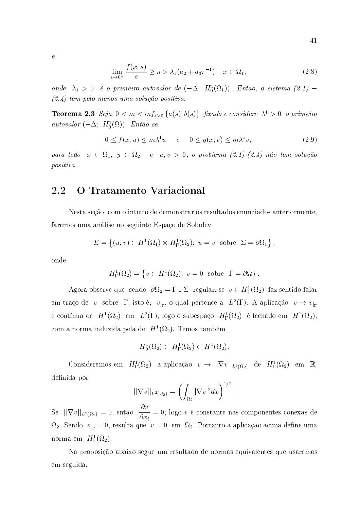$$
\lim_{\eta \to 0^+} \frac{f(x, s)}{s} \ge \eta > \lambda_1(a_2 + a_3 \tau^{-1}), \quad x \in \Omega_1,\tag{2.8}
$$

onde  $\lambda_1 > 0$  é o primeiro autovalor de  $(-\Delta; H_0^1(\Omega_1))$ . Então, o sistema  $(2.1)$  –  $(2.4)$  tem pelo menos uma solução positiva.

**Teorema 2.3** Seja  $0 < m < inf_{s \geq 0}$  {a(s), b(s)} fixado e considere  $\lambda^1 > 0$  o primeiro autovalor  $(-\Delta; H_0^1(\Omega))$ . Então se

$$
0 \le f(x, u) \le m\lambda^1 u \qquad e \qquad 0 \le g(x, v) \le m\lambda^1 v,\tag{2.9}
$$

para todo  $x \in \Omega_1$ ,  $y \in \Omega_2$ , e  $u, v > 0$ , o problema  $(2.1)-(2.4)$  não tem solução positiva.

#### O Tratamento Variacional 2.2

Nesta seção, com o intuito de demonstrar os resultados enunciados anteriormente. faremos uma análise no seguinte Espaço de Sobolev

$$
E = \left\{ (u, v) \in H^1(\Omega_1) \times H^1_{\Gamma}(\Omega_2); \ u = v \text{ sobre } \Sigma = \partial \Omega_1 \right\},\
$$

onde

$$
H^1_{\Gamma}(\Omega_2) = \{ v \in H^1(\Omega_2); \ v = 0 \text{ sobre } \Gamma = \partial \Omega \}
$$

Agora observe que, sendo  $\partial\Omega_2 = \Gamma \cup \Sigma$  regular, se  $v \in H^1_{\Gamma}(\Omega_2)$  faz sentido falar em traço de v sobre  $\Gamma$ , isto é,  $v_{\vert_{\Gamma}}$ , o qual pertence a  $L^2(\Gamma)$ . A aplicação  $v \to v_{\vert_{\Gamma}}$ é contínua de  $H^1(\Omega_2)$  em  $L^2(\Gamma)$ , logo o subespaço  $H^1_{\Gamma}(\Omega_2)$  é fechado em  $H^1(\Omega_2)$ , com a norma induzida pela de  $H^1(\Omega_2)$ . Temos também

$$
H_0^1(\Omega_2) \subset H^1_\Gamma(\Omega_2) \subset H^1(\Omega_2).
$$

Consideremos em  $H^1_{\Gamma}(\Omega_2)$  a aplicação  $v \to ||\nabla v||_{L^2(\Omega_2)}$  de  $H^1_{\Gamma}(\Omega_2)$  em  $\mathbb{R}$ , definida por

$$
||\nabla v||_{L^2(\Omega_2)} = \left(\int_{\Omega_2} |\nabla v|^2 dx\right)^{1/2}
$$

Se  $||\nabla v||_{L^2(\Omega_2)} = 0$ , então  $\frac{\partial v}{\partial x_i} = 0$ , logo v é constante nas componentes conexas de  $\Omega_2$ . Sendo  $v_{\vert r} = 0$ , resulta que  $v = 0$  em  $\Omega_2$ . Portanto a aplicação acima define uma norma em  $H^1_{\Gamma}(\Omega_2)$ .

Na proposição abaixo segue um resultado de normas equivalentes que usaremos em seguida.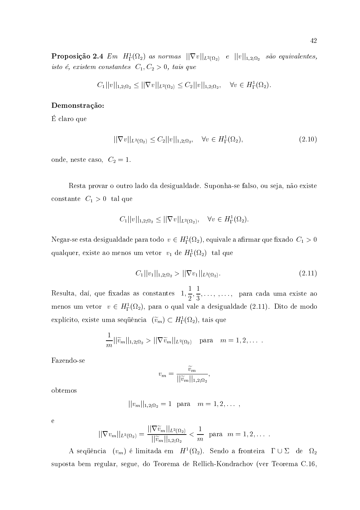$$
C_1||v||_{1,2;\Omega_2} \le ||\nabla v||_{L^2(\Omega_2)} \le C_2||v||_{1,2;\Omega_2}, \quad \forall v \in H^1_{\Gamma}(\Omega_2).
$$

### Demonstração:

É claro que

$$
||\nabla v||_{L^{2}(\Omega_{2})} \leq C_{2}||v||_{1,2;\Omega_{2}}, \quad \forall v \in H^{1}_{\Gamma}(\Omega_{2}), \tag{2.10}
$$

onde, neste caso,  $C_2 = 1$ .

Resta provar o outro lado da desigualdade. Suponha-se falso, ou seja, não existe constante $C_1 > 0$ tal que

$$
C_1||v||_{1,2;\Omega_2} \le ||\nabla v||_{L^2(\Omega_2)}, \quad \forall v \in H^1_{\Gamma}(\Omega_2).
$$

Negar-se esta desigualdade para todo  $v \in H^1_{\Gamma}(\Omega_2)$ , equivale a afirmar que fixado  $C_1 > 0$ qualquer, existe ao menos um vetor  $v_1$  de  $H^1_1(\Omega_2)$  tal que

$$
C_1||v_1||_{1,2;\Omega_2} > ||\nabla v_1||_{L^2(\Omega_2)}.
$$
\n(2.11)

Resulta, daí, que fixadas as constantes  $1, \frac{1}{2}, \frac{1}{3}, \ldots, , \ldots,$  para cada uma existe ao menos um vetor  $v \in H^1_{\Gamma}(\Omega_2)$ , para o qual vale a desigualdade (2.11). Dito de modo explícito, existe uma sequência  $(\tilde{v}_m) \subset H^1_{\Gamma}(\Omega_2)$ , tais que

$$
\frac{1}{m}||\widetilde{v}_m||_{1,2;\Omega_2} > ||\nabla \widetilde{v}_m||_{L^2(\Omega_2)} \quad \text{para} \quad m=1,2,\ldots.
$$

Fazendo-se

$$
v_m = \frac{\widetilde{v}_m}{||\widetilde{v}_m||_{1,2;\Omega_2}},
$$

obtemos

$$
||v_m||_{1,2;\Omega_2} = 1
$$
 para  $m = 1,2,...$ 

 $\overline{e}$ 

$$
||\nabla v_m||_{L^2(\Omega_2)} = \frac{||\nabla \tilde{v}_m||_{L^2(\Omega_2)}}{||\tilde{v}_m||_{1,2;\Omega_2}} < \frac{1}{m} \text{ para } m = 1, 2, ...
$$

A sequência  $(v_m)$  é limitada em  $H^1(\Omega_2)$ . Sendo a fronteira  $\Gamma \cup \Sigma$  de  $\Omega_2$ suposta bem regular, segue, do Teorema de Rellich-Kondrachov (ver Teorema C.16.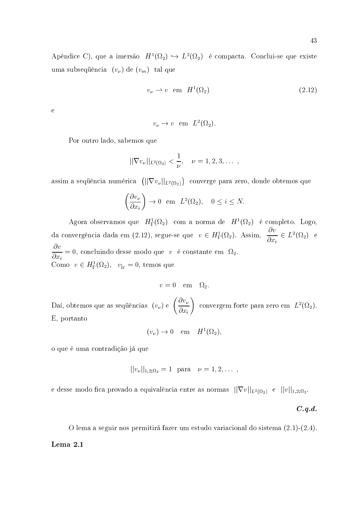Apêndice C), que a imersão  $H^1(\Omega_2) \hookrightarrow L^2(\Omega_2)$  é compacta. Conclui-se que existe uma subsequência  $(v_{\nu})$  de  $(v_m)$  tal que

$$
v_{\nu} \rightharpoonup v \quad \text{em} \quad H^{1}(\Omega_{2}) \tag{2.12}
$$

 $\overline{e}$ 

$$
v_{\nu} \rightarrow v
$$
 em  $L^2(\Omega_2)$ 

Por outro lado, sabemos que

$$
||\nabla v_{\nu}||_{L^{2}(\Omega_{2})}<\frac{1}{\nu}, \quad \nu=1,2,3,\ldots
$$

assim a sequência numérica  $(||\nabla v_{\nu}||_{L^2(\Omega_2)})$  converge para zero, donde obtemos que

$$
\left(\frac{\partial v_{\nu}}{\partial x_i}\right) \to 0 \quad \text{em} \quad L^2(\Omega_2), \quad 0 \le i \le N.
$$

Agora observamos que  $H^1_{\Gamma}(\Omega_2)$  com a norma de  $H^1(\Omega_2)$  é completo. Logo, da convergência dada em (2.12), segue-se que  $v \in H^1_{\Gamma}(\Omega_2)$ . Assim,  $\frac{\partial v}{\partial x_i} \in L^2(\Omega_2)$  e  $\frac{\partial v}{\partial x_i} = 0$ , concluindo desse modo que v é constante em  $\Omega_2$ . Como  $v \in H^1_{\Gamma}(\Omega_2)$ ,  $v_{|_{\Gamma}} = 0$ , temos que

$$
v=0 \quad \text{em} \quad \Omega_2.
$$

Daí, obtemos que as sequências  $(v_\nu)$  e  $\left(\frac{\partial v_\nu}{\partial x_i}\right)$  convergem forte para zero em  $L^2(\Omega_2)$ . E, portanto

$$
(v_{\nu}) \to 0 \quad \text{em} \quad H^1(\Omega_2),
$$

o que é uma contradição já que

$$
||v_{\nu}||_{1,2;\Omega_2} = 1
$$
 para  $\nu = 1,2,...$ ,

e desse modo fica provado a equivalência entre as normas  $||\nabla v||_{L^2(\Omega_2)}$  e  $||v||_{1,2;\Omega_2}$ .

 $C.q.d.$ 

O lema a seguir nos permitirá fazer um estudo variacional do sistema  $(2.1)$ - $(2.4)$ . Lema 2.1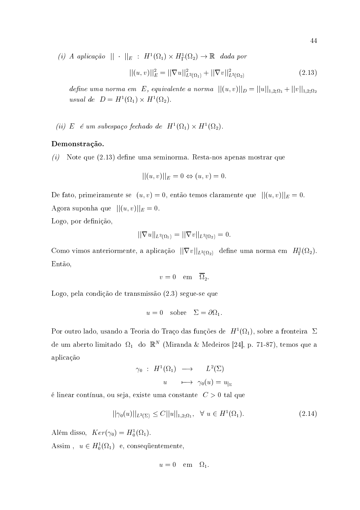(i) A aplicação  $|| \cdot ||_E : H^1(\Omega_1) \times H^1_{\Gamma}(\Omega_2) \to \mathbb{R}$  dada por

$$
||(u,v)||_{E}^{2} = ||\nabla u||_{L^{2}(\Omega_{1})}^{2} + ||\nabla v||_{L^{2}(\Omega_{2})}^{2}
$$
\n(2.13)

define uma norma em E, equivalente a norma  $||(u, v)||_D = ||u||_{1,2;\Omega_1} + ||v||_{1,2;\Omega_2}$ usual de  $D = H^1(\Omega_1) \times H^1(\Omega_2)$ .

(ii) E é um subespaço fechado de  $H^1(\Omega_1) \times H^1(\Omega_2)$ .

#### Demonstração.

 $(i)$  Note que  $(2.13)$  define uma seminorma. Resta-nos apenas mostrar que

$$
||(u,v)||_E = 0 \Leftrightarrow (u,v) = 0.
$$

De fato, primeiramente se  $(u, v) = 0$ , então temos claramente que  $||(u, v)||_E = 0$ . Agora suponha que  $||(u, v)||_E = 0$ . Logo, por definição,

$$
|\nabla u||_{L^2(\Omega_1)}=||\nabla v||_{L^2(\Omega_2)}=0
$$

Como vimos anteriormente, a aplicação  $||\nabla v||_{L^2(\Omega_2)}$  define uma norma em  $H^1_{\Gamma}(\Omega_2)$ . Então,

$$
v=0 \quad \text{em} \quad \overline{\Omega}_2
$$

Logo, pela condição de transmissão (2.3) segue-se que

$$
u = 0 \quad \text{sobre} \quad \Sigma = \partial \Omega_1.
$$

Por outro lado, usando a Teoria do Traço das funções de  $H^1(\Omega_1)$ , sobre a fronteira  $\Sigma$ de um aberto limitado  $\Omega_1$  do  $\mathbb{R}^N$  (Miranda & Medeiros [24], p. 71-87), temos que a aplicação

$$
\gamma_0 : H^1(\Omega_1) \longrightarrow L^2(\Sigma)
$$
  

$$
u \longmapsto \gamma_0(u) = u_{|_{\Sigma}}
$$

é linear contínua, ou seja, existe uma constante  $C > 0$  tal que

$$
||\gamma_0(u)||_{L^2(\Sigma)} \le C||u||_{1,2;\Omega_1}, \quad \forall \ u \in H^1(\Omega_1). \tag{2.14}
$$

Além disso,  $Ker(\gamma_0) = H_0^1(\Omega_1)$ . Assim,  $u \in H_0^1(\Omega_1)$  e, consequentemente,

$$
u=0 \quad \text{em} \quad \Omega_1.
$$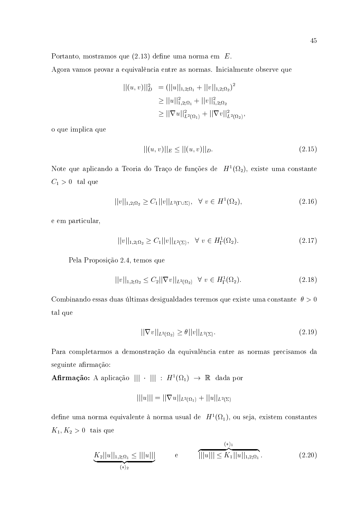Portanto, mostramos que  $(2.13)$  define uma norma em  $E$ .

Agora vamos provar a equivalência entre as normas. Inicialmente observe que

$$
||(u, v)||_{D}^{2} = (||u||_{1,2;\Omega_{1}} + ||v||_{1,2;\Omega_{2}})^{2}
$$
  
\n
$$
\geq ||u||_{1,2;\Omega_{1}}^{2} + ||v||_{1,2;\Omega_{2}}^{2}
$$
  
\n
$$
\geq ||\nabla u||_{L^{2}(\Omega_{1})}^{2} + ||\nabla v||_{L^{2}(\Omega_{2})}^{2}
$$

o que implica que

$$
||(u,v)||_E \le ||(u,v)||_D. \tag{2.15}
$$

Note que aplicando a Teoria do Traço de funções de  $H^1(\Omega_2)$ , existe uma constante  $C_1 > 0$  tal que

$$
||v||_{1,2;\Omega_2} \ge C_1 ||v||_{L^2(\Gamma \cup \Sigma)}, \quad \forall \ v \in H^1(\Omega_2), \tag{2.16}
$$

e em particular,

$$
||v||_{1,2;\Omega_2} \ge C_1 ||v||_{L^2(\Sigma)}, \quad \forall \ v \in H^1_{\Gamma}(\Omega_2). \tag{2.17}
$$

Pela Proposição 2.4, temos que

$$
||v||_{1,2;\Omega_2} \le C_2 ||\nabla v||_{L^2(\Omega_2)} \quad \forall \ v \in H^1_{\Gamma}(\Omega_2). \tag{2.18}
$$

Combinando essas duas últimas desigualdades teremos que existe uma constante  $\theta > 0$ tal que

$$
||\nabla v||_{L^2(\Omega_2)} \ge \theta ||v||_{L^2(\Sigma)}.
$$
\n
$$
(2.19)
$$

Para completarmos a demonstração da equivalência entre as normas precisamos da seguinte afirmação:

**Afirmação:** A aplicação  $||| \cdot |||$  :  $H^1(\Omega_1) \rightarrow \mathbb{R}$  dada por

$$
|||u||| = ||\nabla u||_{L^2(\Omega_1)} + ||u||_{L^2(\Sigma)}
$$

define uma norma equivalente à norma usual de  $H^1(\Omega_1)$ , ou seja, existem constantes  $K_1, K_2 > 0$  tais que

$$
\underbrace{K_2||u||_{1,2;\Omega_1} \le |||u|||}_{(*)_2} \qquad e \qquad \qquad \underbrace{^{(*)_1}}_{|||u||| \le K_1||u||_{1,2;\Omega_1}}.
$$
\n(2.20)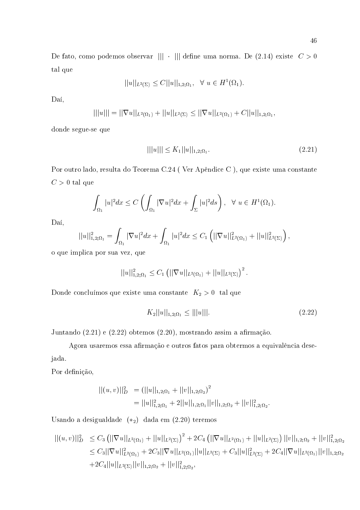$$
||u||_{L^{2}(\Sigma)} \leq C||u||_{1,2;\Omega_1}, \ \ \forall \ u \in H^{1}(\Omega_1).
$$

Daí,

$$
|||u||| = ||\nabla u||_{L^2(\Omega_1)} + ||u||_{L^2(\Sigma)} \le ||\nabla u||_{L^2(\Omega_1)} + C||u||_{1,2;\Omega_1},
$$

donde segue-se que

$$
|||u||| \le K_1 ||u||_{1,2;\Omega_1}.
$$
\n(2.21)

Por outro lado, resulta do Teorema C.24 (Ver Apêndice C), que existe uma constante  $C > 0$  tal que

$$
\int_{\Omega_1} |u|^2 dx \le C \left( \int_{\Omega_1} |\nabla u|^2 dx + \int_{\Sigma} |u|^2 ds \right), \quad \forall u \in H^1(\Omega_1)
$$

Daí,

$$
||u||_{1,2;\Omega_1}^2 = \int_{\Omega_1} |\nabla u|^2 dx + \int_{\Omega_1} |u|^2 dx \leq C_1 \left( ||\nabla u||_{L^2(\Omega_1)}^2 + ||u||_{L^2(\Sigma)}^2 \right),
$$

o que implica por sua vez, que

$$
||u||_{1,2;\Omega_1}^2 \leq C_1 (||\nabla u||_{L^2(\Omega_1)} + ||u||_{L^2(\Sigma)})^2
$$

Donde concluímos que existe uma constante  $K_2 > 0$ tal que

$$
K_2||u||_{1,2;\Omega_1} \le |||u|||.
$$
\n(2.22)

Juntando (2.21) e (2.22) obtemos (2.20), mostrando assim a afirmação.

Agora usaremos essa afirmação e outros fatos para obtermos a equivalência desejada.

Por definição,

$$
||(u, v)||_{D}^{2} = (||u||_{1,2;\Omega_{1}} + ||v||_{1,2;\Omega_{2}})^{2}
$$
  
= 
$$
||u||_{1,2;\Omega_{1}}^{2} + 2||u||_{1,2;\Omega_{1}}||v||_{1,2;\Omega_{2}} + ||v||_{1,2;\Omega_{2}}^{2}.
$$

Usando a desigualdade  $(*_2)$  dada em  $(2.20)$  teremos

$$
\begin{aligned} ||(u,v)||_D^2 &\leq C_3 \left( ||\nabla u||_{L^2(\Omega_1)} + ||u||_{L^2(\Sigma)} \right)^2 + 2C_4 \left( ||\nabla u||_{L^2(\Omega_1)} + ||u||_{L^2(\Sigma)} \right) ||v||_{1,2;\Omega_2} + ||v||_{1,2;\Omega_2}^2 \\ &\leq C_3 ||\nabla u||_{L^2(\Omega_1)}^2 + 2C_3 ||\nabla u||_{L^2(\Omega_1)} ||u||_{L^2(\Sigma)} + C_3 ||u||_{L^2(\Sigma)}^2 + 2C_4 ||\nabla u||_{L^2(\Omega_1)} ||v||_{1,2;\Omega_2} \\ &\quad + 2C_4 ||u||_{L^2(\Sigma)} ||v||_{1,2;\Omega_2} + ||v||_{1,2;\Omega_2}^2, \end{aligned}
$$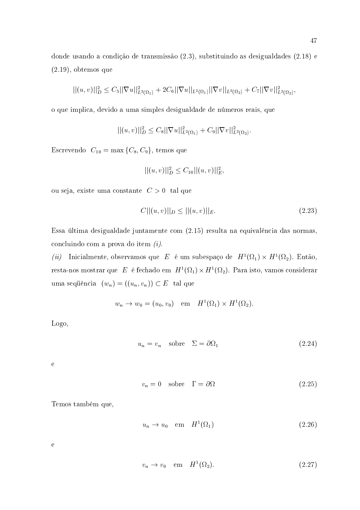donde usando a condição de transmissão (2.3), substituindo as desigualdades (2.18) e  $(2.19)$ , obtemos que

$$
||(u,v)||_{D}^{2} \leq C_{5}||\nabla u||_{L^{2}(\Omega_{1})}^{2} + 2C_{6}||\nabla u||_{L^{2}(\Omega_{1})}||\nabla v||_{L^{2}(\Omega_{2})} + C_{7}||\nabla v||_{L^{2}(\Omega_{2})}^{2},
$$

o que implica, devido a uma simples desigualdade de números reais, que

$$
||(u,v)||_{D}^{2} \leq C_{8}||\nabla u||_{L^{2}(\Omega_{1})}^{2}+C_{9}||\nabla v||_{L^{2}(\Omega_{2})}^{2}.
$$

Escrevendo  $C_{10} = \max\{C_8, C_9\}$ , temos que

$$
||(u, v)||_D^2 \leq C_{10}||(u, v)||_E^2
$$

ou seja, existe uma constante  $C > 0$  tal que

$$
C||(u, v)||_D \le ||(u, v)||_E. \tag{2.23}
$$

Essa última desigualdade juntamente com (2.15) resulta na equivalência das normas, concluindo com a prova do item  $(i)$ .

 $(ii)$  Inicialmente, observamos que  $\,E\,$  é um subespaço de  $\,H^1(\Omega_1)\times H^1(\Omega_2).$  Então, resta-nos mostrar que  $\;E\;$  é fechado em  $\;H^1(\Omega_1)\times H^1(\Omega_2).$  Para isto, vamos considerar uma sequência  $(w_n) = ((u_n, v_n)) \subset E$  tal que

$$
w_n \to w_0 = (u_0, v_0)
$$
 em  $H^1(\Omega_1) \times H^1(\Omega_2)$ .

Logo,

$$
u_n = v_n \quad \text{sobre} \quad \Sigma = \partial \Omega_1 \tag{2.24}
$$

 $\mathbf{e}$ 

$$
v_n = 0 \quad \text{sobre} \quad \Gamma = \partial \Omega \tag{2.25}
$$

Temos também que,

$$
u_n \to u_0 \quad \text{em} \quad H^1(\Omega_1) \tag{2.26}
$$

 $\mathbf{e}$ 

$$
v_n \to v_0 \quad \text{em} \quad H^1(\Omega_2). \tag{2.27}
$$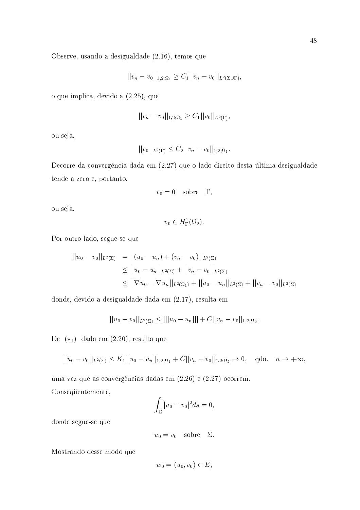Observe, usando a desigualdade (2.16), temos que

$$
||v_n - v_0||_{1,2;\Omega_1} \geq C_1||v_n - v_0||_{L^2(\Sigma \cup \Gamma)},
$$

o que implica, devido a  $(2.25)$ , que

$$
||v_n - v_0||_{1,2;\Omega_1} \geq C_1 ||v_0||_{L^2(\Gamma)},
$$

ou seja,

$$
||v_0||_{L^2(\Gamma)} \leq C_2||v_n - v_0||_{1,2;\Omega_1}.
$$

Decorre da convergência dada em (2.27) que o lado direito desta última desigualdade tende a zero e, portanto,

$$
v_0=0 \quad {\rm sobre} \quad \Gamma,
$$

ou seja,

$$
v_0 \in H^1_{\Gamma}(\Omega_2).
$$

Por outro lado, segue-se que

$$
||u_0 - v_0||_{L^2(\Sigma)} = ||(u_0 - u_n) + (v_n - v_0)||_{L^2(\Sigma)}
$$
  
\n
$$
\leq ||u_0 - u_n||_{L^2(\Sigma)} + ||v_n - v_0||_{L^2(\Sigma)}
$$
  
\n
$$
\leq ||\nabla u_0 - \nabla u_n||_{L^2(\Omega_1)} + ||u_0 - u_n||_{L^2(\Sigma)} + ||v_n - v_0||_{L^2(\Sigma)}
$$

donde, devido a desigualdade dada em (2.17), resulta em

$$
||u_0 - v_0||_{L^2(\Sigma)} \le |||u_0 - u_n||| + C||v_n - v_0||_{1,2;\Omega_2}.
$$

De  $(*_1)$  dada em  $(2.20)$ , resulta que

$$
||u_0 - v_0||_{L^2(\Sigma)} \le K_1||u_0 - u_n||_{1,2;\Omega_1} + C||v_n - v_0||_{1,2;\Omega_2} \to 0, \quad \text{qdo.} \quad n \to +\infty,
$$

uma vez que as convergências dadas em (2.26) e (2.27) ocorrem. Consequentemente,

$$
\int_{\Sigma} |u_0 - v_0|^2 ds = 0,
$$

donde segue-se que

$$
u_0 = v_0 \quad \text{sobre} \quad \Sigma
$$

Mostrando desse modo que

$$
w_0 = (u_0, v_0) \in E,
$$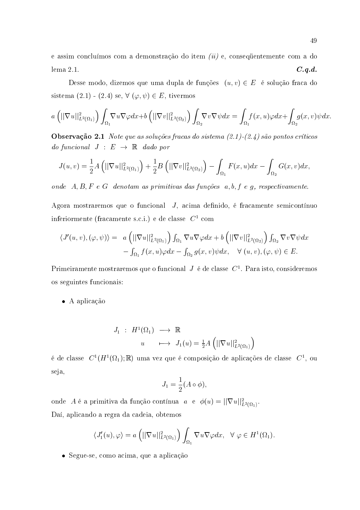e assim concluímos com a demonstração do item  $(ii)$  e, consequentemente com a do  $lema 2.1.$  $C.q.d.$ 

Desse modo, dizemos que uma dupla de funções  $(u, v) \in E$  é solução fraca do sistema  $(2.1)$  -  $(2.4)$  se,  $\forall$   $(\varphi, \psi) \in E$ , tivermos

$$
a\left(||\nabla u||^{2}_{L^{2}(\Omega_{1})}\right)\int_{\Omega_{1}}\nabla u \nabla \varphi dx+b\left(||\nabla v||^{2}_{L^{2}(\Omega_{2})}\right)\int_{\Omega_{2}}\nabla v \nabla \psi dx=\int_{\Omega_{1}}f(x,u)\varphi dx+\int_{\Omega_{2}}g(x,v)\psi dx
$$

**Observação 2.1** Note que as soluções fracas do sistema  $(2.1)$ - $(2.4)$  são pontos críticos do funcional  $J : E \rightarrow \mathbb{R}$  dado por

$$
J(u,v) = \frac{1}{2}A\left(||\nabla u||^2_{L^2(\Omega_1)}\right) + \frac{1}{2}B\left(||\nabla v||^2_{L^2(\Omega_2)}\right) - \int_{\Omega_1} F(x,u)dx - \int_{\Omega_2} G(x,v)dx
$$

onde  $A, B, F, e, G$  denotam as primitivas das funções  $a, b, f, e, g$ , respectivamente.

Agora mostraremos que o funcional J, acima definido, é fracamente semicontínuo inferiormente (fracamente s.c.i.) e de classe  $C^1$  com

$$
\langle J'(u,v),(\varphi,\psi)\rangle = a\left(||\nabla u||^2_{L^2(\Omega_1)}\right) \int_{\Omega_1} \nabla u \nabla \varphi dx + b\left(||\nabla v||^2_{L^2(\Omega_2)}\right) \int_{\Omega_2} \nabla v \nabla \psi dx - \int_{\Omega_1} f(x,u)\varphi dx - \int_{\Omega_2} g(x,v)\psi dx, \quad \forall (u,v), (\varphi,\psi) \in E.
$$

Primeiramente mostraremos que o funcional  $J$  é de classe  $C<sup>1</sup>$ . Para isto, consideremos os seguintes funcionais:

 $\bullet$  A aplicação

$$
J_1 : H^1(\Omega_1) \longrightarrow \mathbb{R}
$$
  

$$
u \longmapsto J_1(u) = \frac{1}{2}A\left(||\nabla u||^2_{L^2(\Omega_1)}\right)
$$

é de classe  $C^1(H^1(\Omega_1); \mathbb{R})$  uma vez que é composição de aplicações de classe  $C^1$ , ou seja,

$$
J_1 = \frac{1}{2}(A \circ \phi)
$$

onde A é a primitiva da função contínua  $a \cdot e \phi(u) = ||\nabla u||^2_{L^2(\Omega_1)}$ . Daí, aplicando a regra da cadeia, obtemos

$$
\langle J_1'(u), \varphi \rangle = a \left( ||\nabla u||^2_{L^2(\Omega_1)} \right) \int_{\Omega_1} \nabla u \nabla \varphi dx, \quad \forall \varphi \in H^1(\Omega_1).
$$

· Segue-se, como acima, que a aplicação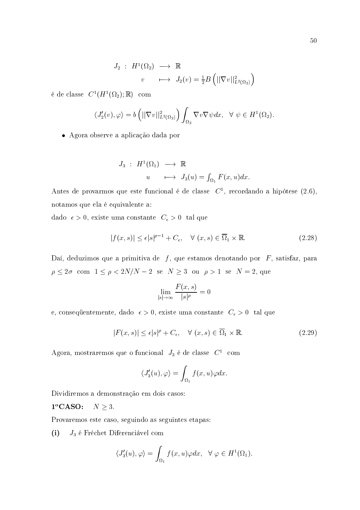$$
J_2 : H^1(\Omega_2) \longrightarrow \mathbb{R}
$$
  

$$
v \longrightarrow J_2(v) = \frac{1}{2}B\left(||\nabla v||^2_{L^2(\Omega_2)}\right)
$$

é de classe  $C^1(H^1(\Omega_2); \mathbb{R})$  com

$$
\langle J_2'(v), \varphi \rangle = b \left( ||\nabla v||^2_{L^2(\Omega_2)} \right) \int_{\Omega_2} \nabla v \nabla \psi dx, \quad \forall \psi \in H^1(\Omega_2).
$$

· Agora observe a aplicação dada por

$$
J_3 : H^1(\Omega_1) \longrightarrow \mathbb{R}
$$
  

$$
u \longrightarrow J_3(u) = \int_{\Omega_1} F(x, u) dx.
$$

Antes de provarmos que este funcional é de classe  $C<sup>1</sup>$ , recordando a hipótese (2.6), notamos que ela é equivalente a:

dado  $\epsilon > 0$ , existe uma constante  $C_{\epsilon} > 0$  tal que

$$
|f(x,s)| \le \epsilon |s|^{\rho-1} + C_{\epsilon}, \quad \forall (x,s) \in \overline{\Omega}_1 \times \mathbb{R}.
$$
 (2.28)

Daí, deduzimos que a primitiva de  $f$ , que estamos denotando por  $F$ , satisfaz, para  $\rho \leq 2\sigma \hspace{2mm} \hbox{com} \hspace{2mm} 1\leq \rho < 2N/N-2 \hspace{2mm} \hbox{se} \hspace{2mm} N\geq 3 \hspace{2mm} \hbox{ou} \hspace{2mm} \rho >1 \hspace{2mm} \hbox{se} \hspace{2mm} N=2, \hbox{ que}$ 

$$
\lim_{|s| \to \infty} \frac{F(x, s)}{|s|^\rho} = 0
$$

e, consequentemente, dado $\ \epsilon >0,$ existe uma constante $\ C_{\epsilon} >0\ \ \text{tal}$ que

$$
|F(x,s)| \le \epsilon |s|^{\rho} + C_{\epsilon}, \quad \forall (x,s) \in \overline{\Omega}_1 \times \mathbb{R}.
$$
 (2.29)

Agora, mostraremos que o funcional $\ J_{3}$ é de classe  $\ C^{1}$  com

$$
\langle J_3'(u), \varphi \rangle = \int_{\Omega_1} f(x, u) \varphi dx
$$

Dividiremos a demonstração em dois casos:

 $1^{\circ}$ CASO:  $N \geq 3$ .

Provaremos este caso, seguindo as seguintes etapas:

 $J_3$  é Fréchet Diferenciável com  $(i)$ 

$$
\langle J_3'(u), \varphi \rangle = \int_{\Omega_1} f(x, u) \varphi dx, \ \ \forall \ \varphi \in H^1(\Omega_1).
$$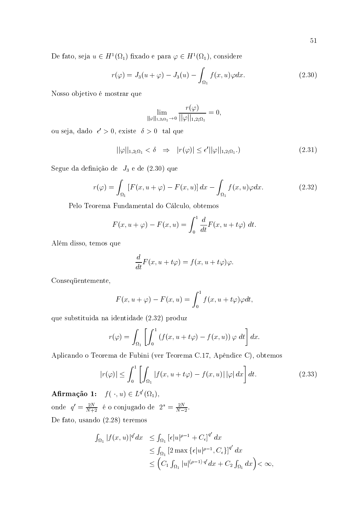De fato, seja  $u \in H^1(\Omega_1)$  fixado e para  $\varphi \in H^1(\Omega_1)$ , considere

$$
r(\varphi) = J_3(u + \varphi) - J_3(u) - \int_{\Omega_1} f(x, u)\varphi dx.
$$
 (2.30)

Nosso objetivo é mostrar que

$$
\lim_{\|\varphi\|_{1,2;\Omega_1}\to 0}\frac{r(\varphi)}{\|\varphi\|_{1,2;\Omega_1}}=0,
$$

ou seja, dado  $\epsilon' > 0$ , existe  $\delta > 0$  tal que

$$
||\varphi||_{1,2;\Omega_1} < \delta \quad \Rightarrow \quad |r(\varphi)| \le \epsilon' ||\varphi||_{1,2;\Omega_1}.)
$$
\n(2.31)

Segue da definição de  $J_3$  e de  $(2.30)$  que

$$
r(\varphi) = \int_{\Omega_1} \left[ F(x, u + \varphi) - F(x, u) \right] dx - \int_{\Omega_1} f(x, u) \varphi dx.
$$
 (2.32)

Pelo Teorema Fundamental do Cálculo, obtemos

$$
F(x, u + \varphi) - F(x, u) = \int_0^1 \frac{d}{dt} F(x, u + t\varphi) dt
$$

Além disso, temos que

$$
\frac{d}{dt}F(x, u + t\varphi) = f(x, u + t\varphi)\varphi.
$$

Consequentemente,

$$
F(x, u + \varphi) - F(x, u) = \int_0^1 f(x, u + t\varphi)\varphi dt,
$$

que substituida na identidade (2.32) produz

$$
r(\varphi) = \int_{\Omega_1} \left[ \int_0^1 \left( f(x, u + t\varphi) - f(x, u) \right) \varphi \, dt \right] dx
$$

Aplicando o Teorema de Fubini (ver Teorema C.17, Apêndice C), obtemos

$$
|r(\varphi)| \le \int_0^1 \left[ \int_{\Omega_1} |f(x, u + t\varphi) - f(x, u)| \, |\varphi| \, dx \right] dt. \tag{2.33}
$$

**Afirmação 1:**  $f(\cdot, u) \in L^{q'}(\Omega_1)$ , onde  $q' = \frac{2N}{N+2}$  é o conjugado de  $2^* = \frac{2N}{N-2}$ . De fato, usando  $(2.28)$  teremos

$$
\int_{\Omega_1} |f(x, u)|^{q'} dx \leq \int_{\Omega_1} \left[ \epsilon |u|^{\rho - 1} + C_{\epsilon} \right]^{q'} dx
$$
  
\n
$$
\leq \int_{\Omega_1} \left[ 2 \max \{ \epsilon |u|^{\rho - 1}, C_{\epsilon} \} \right]^{q'} dx
$$
  
\n
$$
\leq \left( C_1 \int_{\Omega_1} |u|^{(\rho - 1) \cdot q'} dx + C_2 \int_{\Omega_1} dx \right) < \infty
$$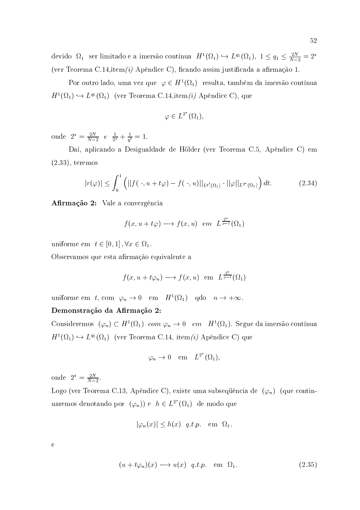devido $\Omega_1$ ser limitado e a imersão contínua  $H^1(\Omega_1) \hookrightarrow L^{q_1}(\Omega_1)$ ,  $1 \leq q_1 \leq \frac{2N}{N-2} = 2^*$ (ver Teorema C.14, item (i) Apêndice C), ficando assim justificada a afirmação 1.

Por outro lado, uma vez que  $\varphi \in H^1(\Omega_1)$  resulta, também da imersão contínua  $H^1(\Omega_1) \hookrightarrow L^{q_1}(\Omega_1)$  (ver Teorema C.14, item (i) Apêndice C), que

$$
\varphi \in L^{2^*}(\Omega_1)
$$

onde  $2^* = \frac{2N}{N-2}$   $e \frac{1}{2^*} + \frac{1}{q'} = 1$ .

Daí, aplicando a Desigualdade de Hölder (ver Teorema C.5, Apêndice C) em  $(2.33)$ , teremos

$$
|r(\varphi)| \leq \int_0^1 \left( \left| |f(\cdot, u + t\varphi) - f(\cdot, u)| \right|_{L^{q'}(\Omega_1)} \cdot ||\varphi||_{L^{2^*}(\Omega_1)} \right) dt. \tag{2.34}
$$

Afirmação 2: Vale a convergência

$$
f(x, u + t\varphi) \longrightarrow f(x, u) \text{ em } L^{\frac{2^*}{\rho-1}}(\Omega_1)
$$

uniforme em  $t \in [0,1], \forall x \in \Omega_1$ .

Observamos que esta afirmação equivalente a

$$
f(x, u + t\varphi_n) \longrightarrow f(x, u)
$$
 em  $L^{\frac{2^*}{\rho-1}}(\Omega_1)$ 

uniforme em t, com  $\varphi_n \to 0$  em  $H^1(\Omega_1)$  qdo  $n \to +\infty$ .

## Demonstração da Afirmação 2:

Consideremos  $(\varphi_n) \subset H^1(\Omega_1)$  com  $\varphi_n \to 0$  em  $H^1(\Omega_1)$ . Segue da imersão contínua  $H^1(\Omega_1) \hookrightarrow L^{q_1}(\Omega_1)$  (ver Teorema C.14, item *(i)* Apêndice C) que

$$
\varphi_n \to 0 \quad \text{em} \quad L^{2^*}(\Omega_1),
$$

onde  $2^* = \frac{2N}{N-2}$ .

Logo (ver Teorema C.13, Apêndice C), existe uma subsequência de  $(\varphi_n)$  (que continuaremos denotando por  $(\varphi_n)$ ) e  $h \in L^{2^*}(\Omega_1)$  de modo que

$$
|\varphi_n(x)| \le h(x) \quad q.t.p. \quad \text{em} \quad \Omega_1
$$

 $\mathbf e$ 

$$
(u + t\varphi_n)(x) \longrightarrow u(x) \quad q.t.p. \quad \text{em} \quad \Omega_1. \tag{2.35}
$$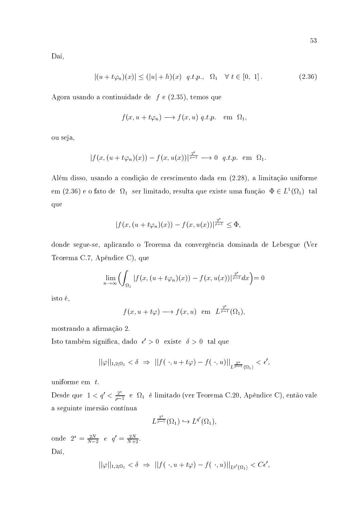Daí,

$$
|(u + t\varphi_n)(x)| \le (|u| + h)(x) \quad q.t.p., \quad \Omega_1 \quad \forall \ t \in [0, 1]. \tag{2.36}
$$

Agora usando a continuidade de  $f$  e (2.35), temos que

$$
f(x, u + t\varphi_n) \longrightarrow f(x, u) q.t.p. \text{ em } \Omega_1
$$

ou seja,

$$
|f(x,(u+t\varphi_n)(x))-f(x,u(x))|^{\frac{2^*}{\rho-1}}\longrightarrow 0 \quad q.t.p. \text{ em } \Omega_1.
$$

Além disso, usando a condição de crescimento dada em (2.28), a limitação uniforme em (2.36) e o fato de  $\Omega_1$  ser limitado, resulta que existe uma função  $\Phi \in L^1(\Omega_1)$  tal que

$$
|f(x,(u+t\varphi_n)(x)) - f(x,u(x))|^{\frac{2^*}{\rho-1}} \leq \Phi,
$$

donde segue-se, aplicando o Teorema da convergência dominada de Lebesgue (Ver Teorema C.7, Apêndice C), que

$$
\lim_{n \to \infty} \left( \int_{\Omega_1} |f(x, (u + t\varphi_n)(x)) - f(x, u(x))| \frac{2^*}{p-1} dx \right) = 0
$$

isto é,

$$
f(x, u + t\varphi) \longrightarrow f(x, u)
$$
 em  $L^{\frac{2^*}{\rho-1}}(\Omega_1)$ ,

mostrando a afirmação 2.

Isto também significa, dado $\,\epsilon'>0\,\,$ existe $\,\delta>0\,\,$ tal que

$$
||\varphi||_{1,2;\Omega_1} < \delta \Rightarrow ||f(\cdot, u + t\varphi) - f(\cdot, u)||_{L^{\frac{2^*}{\rho-1}}(\Omega_1)} < \epsilon',
$$

uniforme em  $t$ .

Desde que  $1 < q' < \frac{2^*}{\rho - 1}$ e  $\Omega_1$ é limitado (ver Teorema C.20, Apêndice C), então vale a seguinte imersão contínua

$$
L^{\frac{2^*}{\rho-1}}(\Omega_1) \hookrightarrow L^{q'}(\Omega_1),
$$

onde  $2^* = \frac{2N}{N-2}$  e  $q' = \frac{2N}{N+2}$ . Daí,

$$
||\varphi||_{1,2;\Omega_1} < \delta \Rightarrow ||f(\cdot,u+t\varphi)-f(\cdot,u)||_{L^{q'}(\Omega_1)} < C\epsilon',
$$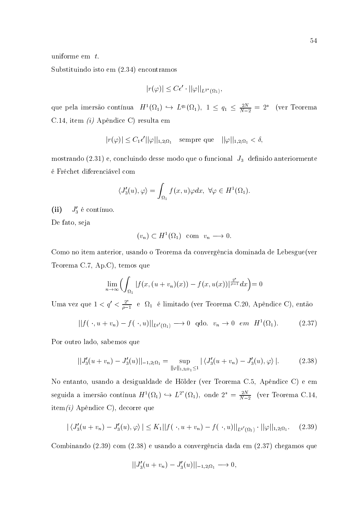uniforme em  $t$ .

Substituindo isto em  $(2.34)$  encontramos

$$
|r(\varphi)| \leq C\epsilon' \cdot ||\varphi||_{L^{2^*}(\Omega_1)}
$$

que pela imersão contínua  $H^1(\Omega_1) \hookrightarrow L^{q_1}(\Omega_1)$ ,  $1 \le q_1 \le \frac{2N}{N-2} = 2^*$  (ver Teorema C.14, item *(i)* Apêndice C) resulta em

$$
|r(\varphi)| \leq C_1 \epsilon' ||\varphi||_{1,2;\Omega_1} \quad \text{sempre que} \quad ||\varphi||_{1,2;\Omega_1} < \delta,
$$

mostrando  $(2.31)$  e, concluindo desse modo que o funcional  $J_3$  definido anteriormente é Fréchet diferenciável com

$$
\langle J_3'(u), \varphi \rangle = \int_{\Omega_1} f(x, u) \varphi dx, \ \forall \varphi \in H^1(\Omega_1)
$$

 $(ii)$  $J'_3$  é contínuo.

De fato, seja

$$
(v_n)\subset H^1(\Omega_1)\quad \text{com}\quad v_n\longrightarrow 0.
$$

Como no item anterior, usando o Teorema da convergência dominada de Lebesgue(ver Teorema C.7, Ap.C), temos que

$$
\lim_{n\to\infty}\Bigl(\int_{\Omega_1}|f(x,(u+v_n)(x))-f(x,u(x))|^{\frac{2^*}{\rho-1}}dx\Bigr)=0
$$

Uma vez que $1 < q' < \frac{2^*}{\rho - 1}$ e  $\Omega_1$ é limitado (ver Teorema C.20, Apêndice C), então

$$
||f(\cdot, u+v_n)-f(\cdot, u)||_{L^{q'}(\Omega_1)} \longrightarrow 0 \quad \text{qdo.} \quad v_n \to 0 \quad \text{em} \quad H^1(\Omega_1). \tag{2.37}
$$

Por outro lado, sabemos que

$$
||J_3'(u+v_n) - J_3'(u)||_{-1,2;\Omega_1} = \sup_{||\varphi||_{1,2;\Omega_1} \leq 1} |\langle J_3'(u+v_n) - J_3'(u), \varphi \rangle|.
$$
 (2.38)

No entanto, usando a desigualdade de Hölder (ver Teorema C.5, Apêndice C) e em seguida a imersão contínua  $H^1(\Omega_1) \hookrightarrow L^{2^*}(\Omega_1)$ , onde  $2^* = \frac{2N}{N-2}$  (ver Teorema C.14,  $item(i)$  Apêndice C), decorre que

$$
|\langle J_3'(u+v_n) - J_3'(u), \varphi \rangle| \le K_1 ||f(\cdot, u+v_n) - f(\cdot, u)||_{L^{q'}(\Omega_1)} \cdot ||\varphi||_{1,2;\Omega_1}.
$$
 (2.39)

Combinando (2.39) com (2.38) e usando a convergência dada em (2.37) chegamos que

$$
||J_3'(u + v_n) - J_3'(u)||_{-1,2;\Omega_1} \longrightarrow 0,
$$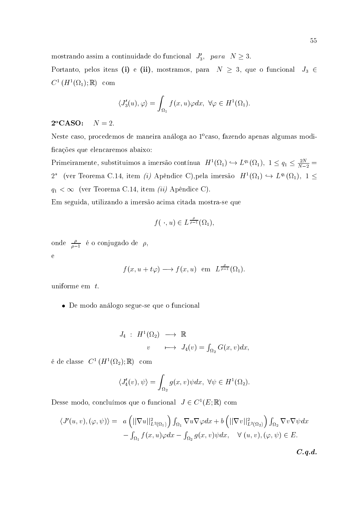mostrando assim a continuidade do funcional  $J'_3$ , para  $N \geq 3$ .

Portanto, pelos itens (i) e (ii), mostramos, para  $N \geq 3$ , que o funcional  $J_3 \in$  $C^1(H^1(\Omega_1);\mathbb{R})$  com

$$
\langle J_3'(u), \varphi \rangle = \int_{\Omega_1} f(x, u) \varphi dx, \ \forall \varphi \in H^1(\Omega_1).
$$

#### $2^{\circ}$ CASO:  $N=2$ .

Neste caso, procedemos de maneira análoga ao 1<sup>o</sup>caso, fazendo apenas algumas modificações que elencaremos abaixo:

Primeiramente, substituimos a imersão contínua  $H^1(\Omega_1) \hookrightarrow L^{q_1}(\Omega_1)$ ,  $1 \leq q_1 \leq \frac{2N}{N-2}$  $2^*$  (ver Teorema C.14, item $(i)$  Apêndice C),<br>pela imersão  $\ H^1(\Omega_1)\hookrightarrow L^{q_1}(\Omega_1),\ 1\leq$  $q_1 < \infty$  (ver Teorema C.14, item *(ii)* Apêndice C).

Em seguida, utilizando a imersão acima citada mostra-se que

$$
f(\cdot, u) \in L^{\frac{\rho}{\rho-1}}(\Omega_1),
$$

onde  $\frac{\rho}{\rho-1}$  é o conjugado de  $\rho$ ,  $\overline{e}$ 

$$
f(x, u + t\varphi) \longrightarrow f(x, u)
$$
 em  $L^{\frac{\rho}{\rho-1}}(\Omega_1)$ .

uniforme em  $t$ .

• De modo análogo segue-se que o funcional

$$
J_4 : H^1(\Omega_2) \longrightarrow \mathbb{R}
$$
  

$$
v \longrightarrow J_4(v) = \int_{\Omega_2} G(x, v) dx,
$$

é de classe  $C^1(H^1(\Omega_2); \mathbb{R})$  com

$$
\langle J_4'(v), \psi \rangle = \int_{\Omega_2} g(x, v) \psi dx, \ \forall \psi \in H^1(\Omega_2)
$$

Desse modo, concluímos que o funcional  $\ J\in C^1(E;\mathbb{R})$ com

$$
\langle J'(u, v), (\varphi, \psi) \rangle = a \left( ||\nabla u||_{L^2(\Omega_1)}^2 \right) \int_{\Omega_1} \nabla u \nabla \varphi dx + b \left( ||\nabla v||_{L^2(\Omega_2)}^2 \right) \int_{\Omega_2} \nabla v \nabla \psi dx - \int_{\Omega_1} f(x, u) \varphi dx - \int_{\Omega_2} g(x, v) \psi dx, \quad \forall (u, v), (\varphi, \psi) \in E.
$$
  
*C.q.d.*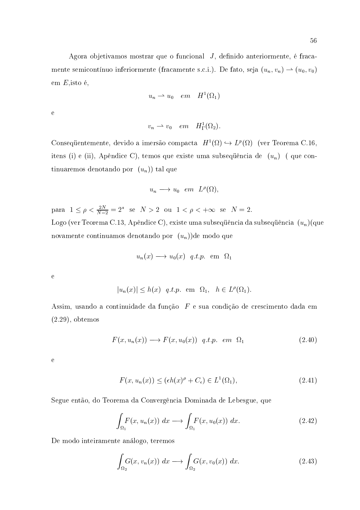Agora objetivamos mostrar que o funcional J, definido anteriormente, é fracamente semicontínuo inferiormente (fracamente s.c.i.). De fato, seja  $(u_n, v_n) \rightarrow (u_0, v_0)$ em  $E$ , isto é,

$$
u_n \rightharpoonup u_0 \quad em \quad H^1(\Omega_1)
$$

 ${\bf e}$ 

$$
v_n \rightharpoonup v_0 \quad em \quad H^1_\Gamma(\Omega_2).
$$

Consequentemente, devido a imersão compacta  $H^1(\Omega) \hookrightarrow L^p(\Omega)$  (ver Teorema C.16, itens (i) e (ii), Apêndice C), temos que existe uma subsequência de  $(u_n)$  (que continuaremos denotando por  $(u_n)$  tal que

$$
u_n \longrightarrow u_0 \quad e m \quad L^{\rho}(\Omega),
$$

para  $1 \le \rho < \frac{2N}{N-2} = 2^*$  se  $N > 2$  ou  $1 < \rho < +\infty$  se  $N = 2$ . Logo (ver Teorema C.13, Apêndice C), existe uma subsequência da subsequência  $(u_n)(\text{que})$ novamente continuamos denotando por  $(u_n)$ ) de modo que

$$
u_n(x) \longrightarrow u_0(x)
$$
 q.t.p. em  $\Omega_1$ 

 $\mathbf{e}$ 

 $|u_n(x)| \leq h(x)$  q.t.p. em  $\Omega_1$ ,  $h \in L^{\rho}(\Omega_1)$ .

Assim, usando a continuidade da função  $F$  e sua condição de crescimento dada em  $(2.29)$ , obtemos

$$
F(x, u_n(x)) \longrightarrow F(x, u_0(x)) \quad q.t.p. \quad em \quad \Omega_1 \tag{2.40}
$$

 $\mathbf{e}$ 

$$
F(x, u_n(x)) \le (\epsilon h(x)^{\rho} + C_{\epsilon}) \in L^1(\Omega_1), \tag{2.41}
$$

Segue então, do Teorema da Convergência Dominada de Lebesgue, que

$$
\int_{\Omega_1} F(x, u_n(x)) dx \longrightarrow \int_{\Omega_1} F(x, u_0(x)) dx.
$$
\n(2.42)

De modo inteiramente análogo, teremos

$$
\int_{\Omega_2} G(x, v_n(x)) dx \longrightarrow \int_{\Omega_2} G(x, v_0(x)) dx.
$$
\n(2.43)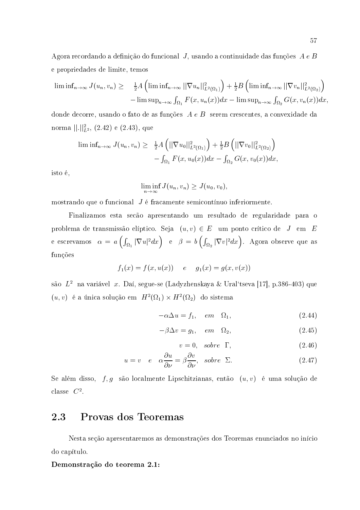Agora recordando a definição do funcional J, usando a continuidade das funções  $A e B$ e propriedades de limite, temos

$$
\liminf_{n\to\infty} J(u_n, v_n) \geq \frac{1}{2} A \left( \liminf_{n\to\infty} ||\nabla u_n||_{L^2(\Omega_1)}^2 \right) + \frac{1}{2} B \left( \liminf_{n\to\infty} ||\nabla v_n||_{L^2(\Omega_2)}^2 \right)
$$

$$
- \limsup_{n\to\infty} \int_{\Omega_1} F(x, u_n(x)) dx - \limsup_{n\to\infty} \int_{\Omega_2} G(x, v_n(x)) dx
$$

donde decorre, usando o fato de as funções  $A e B$  serem crescentes, a convexidade da norma $||.||_{L^2}^2, (2.42)$ e (2.43), que

$$
\liminf_{n\to\infty} J(u_n, v_n) \geq \frac{1}{2} A \left( ||\nabla u_0||^2_{L^2(\Omega_1)} \right) + \frac{1}{2} B \left( ||\nabla v_0||^2_{L^2(\Omega_2)} \right) - \int_{\Omega_1} F(x, u_0(x)) dx - \int_{\Omega_2} G(x, v_0(x)) dx,
$$

isto é,

$$
\liminf_{n\to\infty} J(u_n,v_n)\geq J(u_0,v_0),
$$

mostrando que o funcional  $J$  é fracamente semicontínuo inferiormente.

Finalizamos esta secão apresentando um resultado de regularidade para o problema de transmissão elíptico. Seja  $(u, v) \in E$  um ponto crítico de J em E e escrevamos  $\alpha = a\left(\int_{\Omega_1} |\nabla u|^2 dx\right)$  e  $\beta = b\left(\int_{\Omega_2} |\nabla v|^2 dx\right)$ . Agora observe que as funções

$$
f_1(x) = f(x, u(x))
$$
 e  $g_1(x) = g(x, v(x))$ 

são  $L^2$ na variável  $x.$  Daí, segue-se (Ladyzhenskaya & Ural'tseva [17], p.386-403) que  $(u,v)$ é a única solução em  $\ H^2(\Omega_1)\times H^2(\Omega_2)$ do sistema

$$
-\alpha \Delta u = f_1, \quad em \quad \Omega_1,\tag{2.44}
$$

$$
-\beta \Delta v = g_1, \quad em \quad \Omega_2,\tag{2.45}
$$

$$
v = 0, \quad sobre \quad \Gamma, \tag{2.46}
$$

$$
u = v \quad e \quad \alpha \frac{\partial u}{\partial \nu} = \beta \frac{\partial v}{\partial \nu}, \quad \text{sobre} \quad \Sigma. \tag{2.47}
$$

Se além disso,  $f,g$ são localmente Lipschitzianas, então  $(u,v)$ é uma solução de classe  $C^2$ .

#### Provas dos Teoremas 2.3

Nesta seção apresentaremos as demonstrações dos Teoremas enunciados no início do capítulo.

Demonstração do teorema 2.1: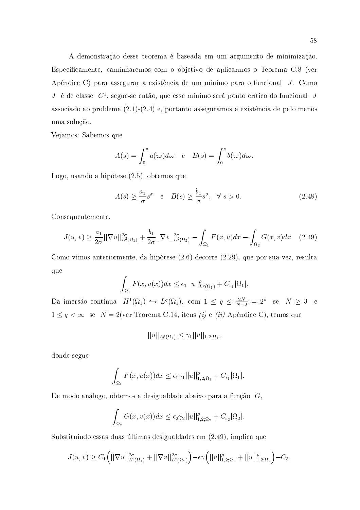A demonstração desse teorema é baseada em um argumento de minimização. Especificamente, caminharemos com o objetivo de aplicarmos o Teorema C.8 (ver Apêndice C) para assegurar a existência de um mínimo para o funcional J. Como  $J_{\perp}$ é de classe  $C^1$ , segue-se então, que esse mínimo será ponto crítico do funcional  $J$ associado ao problema  $(2.1)-(2.4)$  e, portanto asseguramos a existência de pelo menos uma solução.

Vejamos: Sabemos que

$$
A(s) = \int_0^s a(\omega)d\omega \quad e \quad B(s) = \int_0^s b(\omega)d\omega
$$

Logo, usando a hipótese (2.5), obtemos que

$$
A(s) \ge \frac{a_1}{\sigma} s^{\sigma} \quad e \quad B(s) \ge \frac{b_1}{\sigma} s^{\sigma}, \quad \forall \ s > 0. \tag{2.48}
$$

Consequentemente,

$$
J(u,v) \ge \frac{a_1}{2\sigma} ||\nabla u||_{L^2(\Omega_1)}^{2\sigma} + \frac{b_1}{2\sigma} ||\nabla v||_{L^2(\Omega_2)}^{2\sigma} - \int_{\Omega_1} F(x,u)dx - \int_{\Omega_2} G(x,v)dx. \tag{2.49}
$$

Como vimos anteriormente, da hipótese (2.6) decorre (2.29), que por sua vez, resulta que

$$
\int_{\Omega_1} F(x, u(x))dx \leq \epsilon_1 ||u||_{L^{\rho}(\Omega_1)}^{\rho} + C_{\epsilon_1} |\Omega_1|
$$

Da imersão contínua  $H^1(\Omega_1) \hookrightarrow L^q(\Omega_1)$ , com  $1 \le q \le \frac{2N}{N-2} = 2^*$  se  $N \ge 3$  e  $1 \leq q < \infty$  se  $N = 2$ (ver Teorema C.14, itens *(i)* e *(ii)* Apêndice C), temos que

$$
||u||_{L^{\rho}(\Omega_1)} \leq \gamma_1 ||u||_{1,2;\Omega_1}
$$

donde segue

$$
\int_{\Omega_1} F(x, u(x))dx \leq \epsilon_1 \gamma_1 ||u||_{1,2;\Omega_1}^{\rho} + C_{\epsilon_1} |\Omega_1|.
$$

De modo análogo, obtemos a desigualdade abaixo para a função  $G$ ,

$$
\int_{\Omega_2} G(x, v(x)) dx \le \epsilon_2 \gamma_2 ||u||_{1,2;\Omega_2}^{\rho} + C_{\epsilon_2} |\Omega_2|
$$

Substituindo essas duas últimas desigualdades em (2.49), implica que

$$
J(u,v) \geq C_1(||\nabla u||_{L^2(\Omega_1)}^{2\sigma} + ||\nabla v||_{L^2(\Omega_2)}^{2\sigma}) - \epsilon \gamma (||u||_{1,2;\Omega_1}^{\rho} + ||u||_{1,2;\Omega_2}^{\rho}) - C_3
$$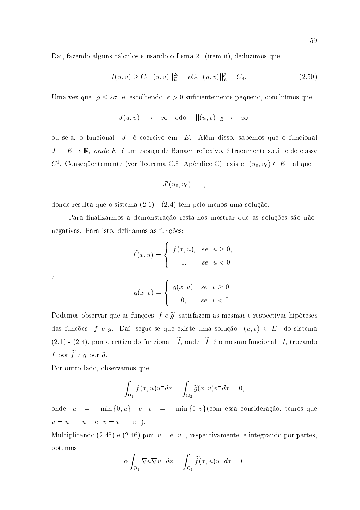Daí, fazendo alguns cálculos e usando o Lema 2.1 (item ii), deduzimos que

$$
J(u, v) \ge C_1 ||(u, v)||_E^{2\sigma} - \epsilon C_2 ||(u, v)||_E^{\rho} - C_3.
$$
\n(2.50)

Uma vez que  $\rho \leq 2\sigma$  e, escolhendo  $\epsilon > 0$  suficientemente pequeno, concluímos que

$$
J(u, v) \longrightarrow +\infty
$$
 qdo.  $||(u, v)||_E \rightarrow +\infty$ 

ou seja, o funcional  $J$  é coercivo em  $E$ . Além disso, sabemos que o funcional  $J : E \to \mathbb{R}$ , onde E é um espaço de Banach reflexivo, é fracamente s.c.i. e de classe  $C^1$ . Consequentemente (ver Teorema C.8, Apêndice C), existe  $(u_0, v_0) \in E$  tal que

$$
J^\prime(u_0,v_0)=0
$$

donde resulta que o sistema  $(2.1)$  -  $(2.4)$  tem pelo menos uma solução.

Para finalizarmos a demonstração resta-nos mostrar que as soluções são nãonegativas. Para isto, definamos as funções:

$$
\widetilde{f}(x, u) = \begin{cases} f(x, u), & \text{se} \quad u \ge 0, \\ 0, & \text{se} \quad u < 0, \end{cases}
$$

 $\overline{\mathbf{e}}$ 

$$
\widetilde{g}(x,v) = \begin{cases} g(x,v), & \text{se} \quad v \ge 0, \\ 0, & \text{se} \quad v < 0. \end{cases}
$$

Podemos observar que as funções  $\tilde{f} e \tilde{g}$  satisfazem as mesmas e respectivas hipóteses das funções f e g. Daí, segue-se que existe uma solução  $(u, v) \in E$  do sistema  $(2.1)$  -  $(2.4)$ , ponto crítico do funcional  $\widetilde{J}$ , onde  $\widetilde{J}$  é o mesmo funcional J, trocando f por  $\widetilde{f}$  e g por  $\widetilde{g}$ .

Por outro lado, observamos que

$$
\int_{\Omega_1} \widetilde{f}(x, u)u^- dx = \int_{\Omega_2} \widetilde{g}(x, v)v^- dx = 0
$$

onde  $u^- = - \min\{0, u\}$  e  $v^- = - \min\{0, v\}$ (com essa consideração, temos que  $u = u^{+} - u^{-}$  e  $v = v^{+} - v^{-}$ ).

Multiplicando (2.45) e (2.46) por  $u^-$  e v<sup>-</sup>, respectivamente, e integrando por partes, obtemos

$$
\alpha \int_{\Omega_1} \nabla u \nabla u^- dx = \int_{\Omega_1} \widetilde{f}(x, u) u^- dx = 0
$$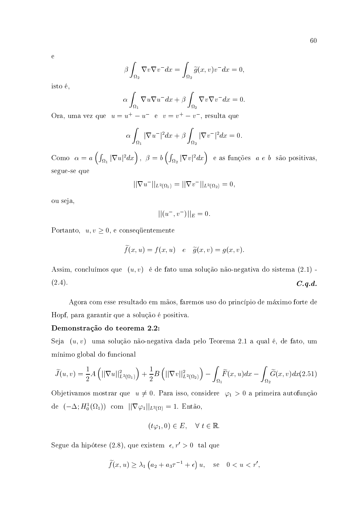$\ddot{e}$ 

$$
\beta \int_{\Omega_2} \nabla v \nabla v^- dx = \int_{\Omega_2} \widetilde{g}(x, v) v^- dx = 0
$$

isto é,

$$
\alpha \int_{\Omega_1} \nabla u \nabla u^- dx + \beta \int_{\Omega_2} \nabla v \nabla v^- dx = 0.
$$

Ora, uma vez que  $\;u=u^+-u^-\;$ e $\;v=v^+-v^-\label{eq:u}$ resulta que

$$
\alpha \int_{\Omega_1} |\nabla u^-|^2 dx + \beta \int_{\Omega_2} |\nabla v^-|^2 dx = 0.
$$

Como  $\alpha = a\left(\int_{\Omega_1} |\nabla u|^2 dx\right), \ \beta = b\left(\int_{\Omega_2} |\nabla v|^2 dx\right)$  e as funções  $a e b$  são positivas, segue-se que

$$
||\nabla u^-||_{L^2(\Omega_1)}=||\nabla v^-||_{L^2(\Omega_2)}=0
$$

ou seja,

$$
|| (u^-, v^-) ||_E = 0
$$

Portanto,  $u, v \geq 0$ , e consequentemente

$$
\widetilde{f}(x, u) = f(x, u) \quad e \quad \widetilde{g}(x, v) = g(x, v).
$$

Assim, concluímos que  $(u, v)$  é de fato uma solução não-negativa do sistema  $(2.1)$  - $(2.4).$  $C.q.d.$ 

Agora com esse resultado em mãos, faremos uso do princípio de máximo forte de Hopf, para garantir que a solução é positiva.

## Demonstração do teorema 2.2:

Seja  $(u, v)$  uma solução não-negativa dada pelo Teorema 2.1 a qual é, de fato, um mínimo global do funcional

$$
\widetilde{J}(u,v) = \frac{1}{2}A\left(||\nabla u||^2_{L^2(\Omega_1)}\right) + \frac{1}{2}B\left(||\nabla v||^2_{L^2(\Omega_2)}\right) - \int_{\Omega_1} \widetilde{F}(x,u)dx - \int_{\Omega_2} \widetilde{G}(x,v)dx(2.51)
$$

Objetivamos mostrar que  $\;u\neq0.$  Para isso, considere  $\;\varphi_1>0$ a primeira autofunção de  $(-\Delta; H_0^1(\Omega_1))$  com  $||\nabla \varphi_1||_{L^2(\Omega)} = 1$ . Então,

$$
(t\varphi_1,0) \in E, \quad \forall \ t \in \mathbb{R}.
$$

Segue da hipótese (2.8), que existem  $\epsilon, r' > 0$  tal que

$$
\widetilde{f}(x, u) \geq \lambda_1 \left( a_2 + a_3 \tau^{-1} + \epsilon \right) u
$$
, see  $0 < u < r'$ ,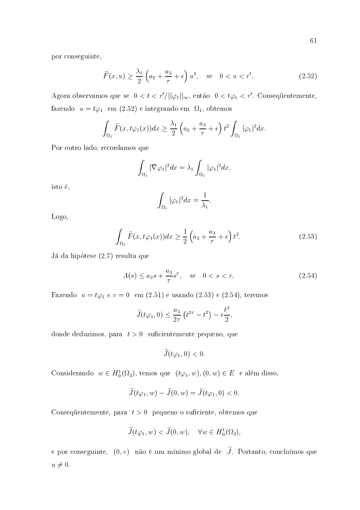por conseguinte,

$$
\widetilde{F}(x,u) \ge \frac{\lambda_1}{2} \left( a_2 + \frac{a_3}{\tau} + \epsilon \right) u^2, \quad \text{se} \quad 0 < u < r'.\tag{2.52}
$$

Agora observamos que se  $0 < t < r'/||\varphi_1||_{\infty}$ , então  $0 < t\varphi_1 < r'$ . Consequentemente, fazendo  $u = t\varphi_1$  em (2.52) e integrando em  $\Omega_1$ , obtemos

$$
\int_{\Omega_1} \widetilde{F}(x,t\varphi_1(x))dx \geq \frac{\lambda_1}{2}\left(a_2 + \frac{a_3}{\tau} + \epsilon\right)t^2 \int_{\Omega_1} |\varphi_1|^2 dx.
$$

Por outro lado, recordamos que

$$
\int_{\Omega_1} |\nabla \varphi_1|^2 dx = \lambda_1 \int_{\Omega_1} |\varphi_1|^2 dx,
$$

isto é,

$$
\int_{\Omega_1} |\varphi_1|^2 dx = \frac{1}{\lambda_1}
$$

Logo,

$$
\int_{\Omega_1} \widetilde{F}(x, t\varphi_1(x))dx \ge \frac{1}{2} \left( a_2 + \frac{a_3}{\tau} + \epsilon \right) t^2.
$$
\n(2.53)

Já da hipótese (2.7) resulta que

$$
A(s) \le a_2 s + \frac{a_3}{\tau} s^{\tau}, \quad \text{se} \quad 0 < s < r. \tag{2.54}
$$

Fazendo  $u = t\varphi_1 e v = 0$  em (2.51) e usando (2.53) e (2.54), teremos

$$
\widetilde{J}(t\varphi_1,0) \le \frac{a_3}{2\tau} \left(t^{2\tau} - t^2\right) - \epsilon \frac{t^2}{2}
$$

donde deduzimos, para  $t > 0$  suficientemente pequeno, que

$$
\widetilde{J}(t\varphi_1,0)<0
$$

Considerando  $w \in H_0^1(\Omega_2)$ , temos que  $(t\varphi_1, w), (0, w) \in E$  e além disso,

$$
\widetilde{J}(t\varphi_1, w) - \widetilde{J}(0, w) = \widetilde{J}(t\varphi_1, 0) < 0.
$$

Consequentemente, para  $t > 0$  pequeno o suficiente, obtemos que

$$
\widetilde{J}(t\varphi_1, w) < \widetilde{J}(0, w), \quad \forall w \in H_0^1(\Omega_2),
$$

e por conseguinte,  $(0, v)$  não é um mínimo global de  $\widetilde{J}$ . Portanto, concluímos que  $u \neq 0.$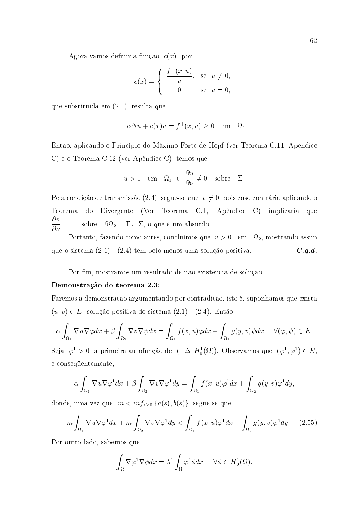Agora vamos definir a função  $c(x)$  por

$$
c(x) = \begin{cases} \frac{f^-(x,u)}{u}, & \text{se } u \neq 0, \\ 0, & \text{se } u = 0, \end{cases}
$$

que substituida em  $(2.1)$ , resulta que

$$
-\alpha \Delta u + c(x)u = f^+(x, u) \ge 0 \quad \text{em} \quad \Omega_1
$$

Então, aplicando o Princípio do Máximo Forte de Hopf (ver Teorema C.11, Apêndice C) e o Teorema C.12 (ver Apêndice C), temos que

$$
u > 0
$$
 em  $\Omega_1$  e  $\frac{\partial u}{\partial \nu} \neq 0$  sobre  $\Sigma$ .

Pela condição de transmissão (2.4), segue-se que  $v \neq 0$ , pois caso contrário aplicando o Teorema do Divergente (Ver Teorema C.1, Apêndice C) implicaria que  $\frac{\partial v}{\partial \nu} = 0$  sobre  $\partial \Omega_2 = \Gamma \cup \Sigma$ , o que é um absurdo.

Portanto, fazendo como antes, concluímos que  $v > 0$  em  $\Omega_2$ , mostrando assim que o sistema  $(2.1) - (2.4)$  tem pelo menos uma solução positiva.  $C.q.d.$ 

Por fim, mostramos um resultado de não existência de solução.

#### Demonstração do teorema 2.3:

Faremos a demonstração argumentando por contradição, isto é, suponhamos que exista  $(u, v) \in E$  solução positiva do sistema  $(2.1)$  -  $(2.4)$ . Então,

$$
\alpha \int_{\Omega_1} \nabla u \nabla \varphi dx + \beta \int_{\Omega_2} \nabla v \nabla \psi dx = \int_{\Omega_1} f(x, u) \varphi dx + \int_{\Omega_1} g(y, v) \psi dx, \quad \forall (\varphi, \psi) \in E.
$$

Seja  $\varphi^1 > 0$  a primeira autofunção de  $(-\Delta; H_0^1(\Omega))$ . Observamos que  $(\varphi^1, \varphi^1) \in E$ , e consequentemente,

$$
\alpha \int_{\Omega_1} \nabla u \nabla \varphi^1 dx + \beta \int_{\Omega_2} \nabla v \nabla \varphi^1 dy = \int_{\Omega_1} f(x, u) \varphi^1 dx + \int_{\Omega_2} g(y, v) \varphi^1 dy,
$$

donde, uma vez que  $m < inf_{s \geq 0} \{a(s), b(s)\}\)$ , segue-se que

$$
m\int_{\Omega_1} \nabla u \nabla \varphi^1 dx + m \int_{\Omega_2} \nabla v \nabla \varphi^1 dy < \int_{\Omega_1} f(x, u) \varphi^1 dx + \int_{\Omega_2} g(y, v) \varphi^1 dy. \tag{2.55}
$$

Por outro lado, sabemos que

$$
\int_{\Omega} \nabla \varphi^1 \nabla \phi dx = \lambda^1 \int_{\Omega} \varphi^1 \phi dx, \quad \forall \phi \in H_0^1(\Omega)
$$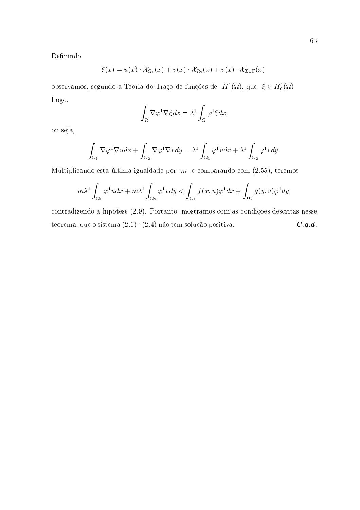Definindo

$$
\xi(x) = u(x) \cdot \mathcal{X}_{\Omega_1}(x) + v(x) \cdot \mathcal{X}_{\Omega_2}(x) + v(x) \cdot \mathcal{X}_{\Sigma \cup \Gamma}(x)
$$

observamos, segundo a Teoria do Traço de funções de  $H^1(\Omega)$ , que  $\xi \in H_0^1(\Omega)$ . Logo,

$$
\int_{\Omega} \nabla \varphi^1 \nabla \xi dx = \lambda^1 \int_{\Omega} \varphi^1 \xi dx
$$

ou seja,

$$
\int_{\Omega_1} \nabla \varphi^1 \nabla u dx + \int_{\Omega_2} \nabla \varphi^1 \nabla v dy = \lambda^1 \int_{\Omega_1} \varphi^1 u dx + \lambda^1 \int_{\Omega_2} \varphi^1 v dy
$$

Multiplicando esta última igualdade por  $m$  e comparando com (2.55), teremos

$$
m\lambda^1 \int_{\Omega_1} \varphi^1 u dx + m\lambda^1 \int_{\Omega_2} \varphi^1 v dy < \int_{\Omega_1} f(x, u)\varphi^1 dx + \int_{\Omega_2} g(y, v)\varphi^1 dy,
$$

contradizendo a hipótese (2.9). Portanto, mostramos com as condições descritas nesse teorema, que o sistema  $(2.1)$  -  $(2.4)$  não tem solução positiva.  $C.q.d.$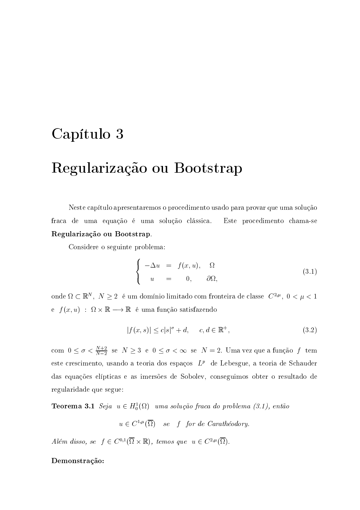## Capítulo 3

## Regularização ou Bootstrap

Neste capítulo apresentaremos o procedimento usado para provar que uma solução fraca de uma equação é uma solução clássica. Este procedimento chama-se Regularização ou Bootstrap.

Considere o seguinte problema:

$$
\begin{cases}\n-\Delta u = f(x, u), & \Omega \\
u = 0, & \partial\Omega,\n\end{cases}
$$
\n(3.1)

onde $\Omega\subset\mathbb{R}^N,\ N\geq 2\ \text{ é um domínio limitado com fronteira de classe }C^{2,\mu},\ 0<\mu<1$ e  $f(x, u)$ :  $\Omega \times \mathbb{R} \longrightarrow \mathbb{R}$ é uma função satisfazendo

$$
|f(x,s)| \le c|s|^{\sigma} + d, \quad c, d \in \mathbb{R}^+, \tag{3.2}
$$

com  $0 \leq \sigma < \frac{N+2}{N-2}$  se $N \geq 3$ e $0 \leq \sigma < \infty$  se $N=2.$ Uma vez que a função  $\,f\,$ tem este crescimento, usando a teoria dos espaços  $L^p$  de Lebesgue, a teoria de Schauder das equações elípticas e as imersões de Sobolev, conseguimos obter o resultado de regularidade que segue:

**Teorema 3.1** Seja  $u \in H_0^1(\Omega)$  uma solução fraca do problema (3.1), então

 $u \in C^{1,\mu}(\overline{\Omega})$  se f for de Carathéodory.

Além disso, se  $f \in C^{0,1}(\overline{\Omega} \times \mathbb{R})$ , temos que  $u \in C^{2,\mu}(\overline{\Omega})$ .

## Demonstração: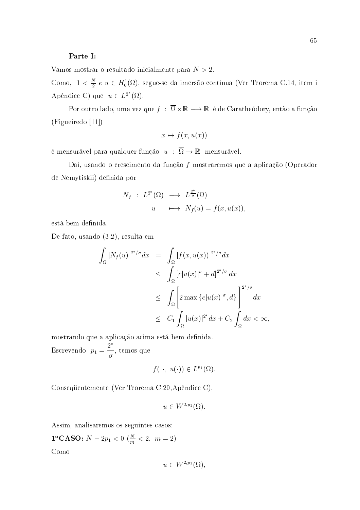## Parte I:

Vamos mostrar o resultado inicialmente para  $N > 2$ .

Como,  $1 < \frac{N}{2} e u \in H_0^1(\Omega)$ , segue-se da imersão contínua (Ver Teorema C.14, item i Apêndice C) que  $u \in L^{2^*}(\Omega)$ .

Por outro lado, uma vez que  $f : \overline{\Omega} \times \mathbb{R} \longrightarrow \mathbb{R}$  é de Caratheódory, então a função  $(Figueiredo [11])$ 

$$
x \mapsto f(x, u(x))
$$

é mensurável para qualquer função  $u : \overline{\Omega} \to \mathbb{R}$  mensurável.

Daí, usando o crescimento da função f mostraremos que a aplicação (Operador de Nemytiskii) definida por

$$
N_f : L^{2^*}(\Omega) \longrightarrow L^{\frac{2^*}{\sigma}}(\Omega)
$$
  
 
$$
u \longmapsto N_f(u) = f(x, u(x))
$$

está bem definida.

De fato, usando (3.2), resulta em

$$
\int_{\Omega} |N_f(u)|^{2^*/\sigma} dx = \int_{\Omega} |f(x, u(x))|^{2^*/\sigma} dx
$$
\n
$$
\leq \int_{\Omega} |c| u(x)|^{\sigma} + d|^{2^*/\sigma} dx
$$
\n
$$
\leq \int_{\Omega} \left[ 2 \max \{ c |u(x)|^{\sigma}, d \} \right]^{2^*/\sigma} dx
$$
\n
$$
\leq C_1 \int_{\Omega} |u(x)|^{2^*} dx + C_2 \int_{\Omega} dx < \infty
$$

mostrando que a aplicação acima está bem definida. Escrevendo  $p_1 = \frac{2^*}{\sigma}$ , temos que

$$
f(\cdot, u(\cdot)) \in L^{p_1}(\Omega).
$$

Consequentemente (Ver Teorema C.20, Apêndice C),

$$
u \in W^{2,p_1}(\Omega)
$$

Assim, analisaremos os seguintes casos:

**1°CASO:**  $N - 2p_1 < 0$  ( $\frac{N}{p_1} < 2$ ,  $m = 2$ ) Como

65

$$
u \in W^{2,p_1}(\Omega),
$$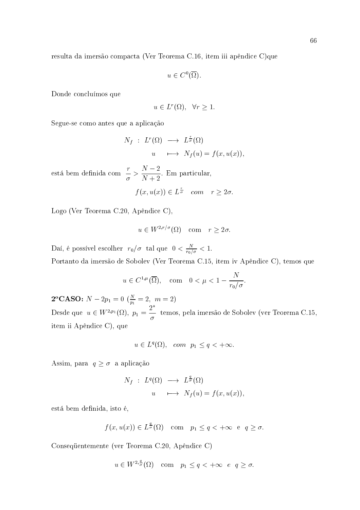resulta da imersão compacta (Ver Teorema C.16, item iii apêndice C)que

$$
u\in C^0(\overline{\Omega}).
$$

Donde concluímos que

$$
u \in L^r(\Omega), \quad \forall r \ge 1.
$$

Segue-se como antes que a aplicação

$$
N_f : L^r(\Omega) \longrightarrow L^{\frac{r}{\sigma}}(\Omega)
$$
  
 
$$
u \longmapsto N_f(u) = f(x, u(x)),
$$

está bem definida com  $\frac{r}{\sigma} > \frac{N-2}{N+2}$ . Em particular,

$$
f(x, u(x)) \in L^{\frac{r}{\sigma}}
$$
 com  $r \geq 2\sigma$ .

Logo (Ver Teorema C.20, Apêndice C),

$$
u \in W^{2,r/\sigma}(\Omega)
$$
 com  $r \geq 2\sigma$ .

Daí, é possível escolher  $r_0/\sigma$  tal que  $0 < \frac{N}{r_0/\sigma} < 1$ . Portanto da imersão de Sobolev (Ver Teorema C.15, item iv Apêndice C), temos que

$$
u\in C^{1,\mu}(\overline{\Omega}),\quad \text{com}\quad 0<\mu<1-\frac{N}{r_0/\sigma}
$$

**2°CASO:**  $N - 2p_1 = 0$  ( $\frac{N}{p_1} = 2$ ,  $m = 2$ )<br>Desde que  $u \in W^{2,p_1}(\Omega)$ ,  $p_1 = \frac{2^*}{\sigma}$  temos, pela imersão de Sobolev (ver Teorema C.15, item ii Apêndice C), que

$$
u \in L^{q}(\Omega), \quad com \quad p_1 \leq q < +\infty.
$$

Assim, para  $q \geq \sigma$ a aplicação

$$
N_f : L^q(\Omega) \longrightarrow L^{\frac{q}{\sigma}}(\Omega)
$$
  
 
$$
u \longmapsto N_f(u) = f(x, u(x)),
$$

está bem definida, isto é,

$$
f(x, u(x)) \in L^{\frac{q}{\sigma}}(\Omega)
$$
 com  $p_1 \leq q < +\infty$  e  $q \geq \sigma$ .

Consequentemente (ver Teorema C.20, Apêndice C)

$$
u \in W^{2, \frac{q}{\sigma}}(\Omega) \quad \text{com} \quad p_1 \le q < +\infty \quad e \quad q \ge \sigma
$$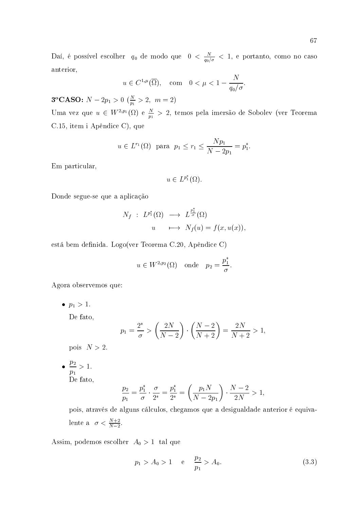Daí, é possível escolher  $q_0$  de modo que  $0 < \frac{N}{q_0/\sigma} < 1$ , e portanto, como no caso anterior,

$$
u \in C^{1,\mu}(\overline{\Omega}), \text{ com } 0 < \mu < 1 - \frac{N}{q_0/\sigma}
$$

**3°CASO:**  $N - 2p_1 > 0$  ( $\frac{N}{p_1} > 2$ ,  $m = 2$ )

Uma vez que  $u \in W^{2,p_1}(\Omega)$  e  $\frac{N}{p_1} > 2$ , temos pela imersão de Sobolev (ver Teorema C.15, item i Apêndice C), que

$$
u \in L^{r_1}(\Omega)
$$
 para  $p_1 \le r_1 \le \frac{Np_1}{N-2p_1} = p_1^*$ .

Em particular,

$$
u \in L^{p_1^*}(\Omega).
$$

Donde segue-se que a aplicação

$$
N_f : L^{p_1^*}(\Omega) \longrightarrow L^{\frac{p_1^*}{\sigma}}(\Omega)
$$
  
 
$$
u \longmapsto N_f(u) = f(x, u(x)),
$$

está bem definida. Logo(ver Teorema C.20, Apêndice C)

$$
u \in W^{2,p_2}(\Omega)
$$
 onde  $p_2 = \frac{p_1^*}{\sigma}$ .

Agora observemos que:

•  $p_1 > 1$ .

De fato,

$$
p_1 = \frac{2^*}{\sigma} > \left(\frac{2N}{N-2}\right) \cdot \left(\frac{N-2}{N+2}\right) = \frac{2N}{N+2} > 1,
$$

pois  $N > 2$ .

•  $\frac{p_2}{p_1} > 1.$ De fato.

$$
\frac{p_2}{p_1} = \frac{p_1^*}{\sigma} \cdot \frac{\sigma}{2^*} = \frac{p_1^*}{2^*} = \left(\frac{p_1 N}{N - 2p_1}\right) \cdot \frac{N - 2}{2N} > 1,
$$

pois, através de alguns cálculos, chegamos que a desigualdade anterior é equivalente a  $\sigma < \frac{N+2}{N-2}$ .

Assim, podemos escolher  $A_0 > 1$  tal que

$$
p_1 > A_0 > 1
$$
 e  $\frac{p_2}{p_1} > A_0.$  (3.3)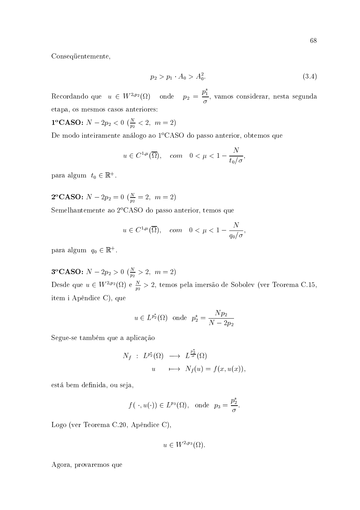Consequentemente,

$$
p_2 > p_1 \cdot A_0 > A_0^2. \tag{3.4}
$$

Recordando que  $u \in W^{2,p_2}(\Omega)$  onde  $p_2 = \frac{p_1^*}{\sigma}$ , vamos considerar, nesta segunda etapa, os mesmos casos anteriores:

**1**<sup>o</sup>**CASO:** 
$$
N - 2p_2 < 0
$$
 ( $\frac{N}{p_2} < 2$ ,  $m = 2$ )

De modo inteiramente análogo ao 1ºCASO do passo anterior, obtemos que

$$
u \in C^{1,\mu}(\overline{\Omega}), \quad com \quad 0 < \mu < 1 - \frac{N}{t_0/\sigma}
$$

para algum  $t_0 \in \mathbb{R}^+$ .

**2°CASO:**  $N - 2p_2 = 0$  ( $\frac{N}{p_2} = 2$ ,  $m = 2$ )

Semelhantemente ao 2ºCASO do passo anterior, temos que

$$
u\in C^{1,\mu}(\overline{\Omega}),\quad com \quad 0<\mu<1-\frac{N}{q_0/\sigma}
$$

para algum  $q_0 \in \mathbb{R}^+$ .

**3°CASO:**  $N - 2p_2 > 0$  ( $\frac{N}{p_2} > 2$ ,  $m = 2$ ) Desde que  $u \in W^{2,p_2}(\Omega)$  e  $\frac{N}{p_2} > 2$ , temos pela imersão de Sobolev (ver Teorema C.15, item i Apêndice C), que

$$
u \in L^{p_2^*}(\Omega)
$$
 onde  $p_2^* = \frac{Np_2}{N - 2p_2}$ 

Segue-se também que a aplicação

$$
N_f : L^{p_2^*}(\Omega) \longrightarrow L^{\frac{p_2^*}{\sigma}}(\Omega)
$$
  
 
$$
u \longmapsto N_f(u) = f(x, u(x)),
$$

está bem definida, ou seja,

$$
f(\cdot, u(\cdot)) \in L^{p_3}(\Omega)
$$
, onde  $p_3 = \frac{p_2^*}{\sigma}$ .

Logo (ver Teorema C.20, Apêndice C),

$$
u \in W^{2,p_3}(\Omega)
$$

Agora, provaremos que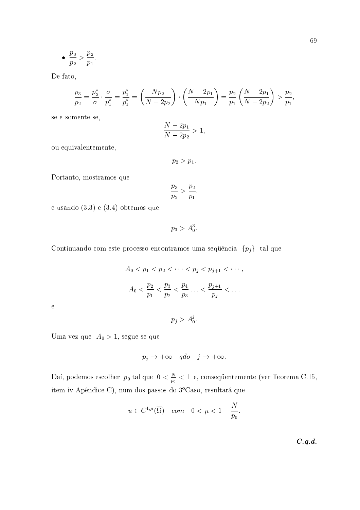$$
\bullet \ \ \frac{p_3}{p_2} > \frac{p_2}{p_1}.
$$

De fato,

$$
\frac{p_3}{p_2} = \frac{p_2^*}{\sigma} \cdot \frac{\sigma}{p_1^*} = \frac{p_1^*}{p_1^*} = \left(\frac{Np_2}{N-2p_2}\right) \cdot \left(\frac{N-2p_1}{Np_1}\right) = \frac{p_2}{p_1} \left(\frac{N-2p_1}{N-2p_2}\right) > \frac{p_2}{p_1},
$$

se e somente se,

$$
\frac{N - 2p_1}{N - 2p_2} > 1,
$$

ou equivalentemente,

$$
p_2>p_1.
$$

Portanto, mostramos que

$$
\frac{p_3}{p_2} > \frac{p_2}{p_1}
$$

e usando  $(3.3)$  e  $(3.4)$  obtemos que

 $p_3 > A_0^3$ .

Continuando com este processo encontramos uma sequência $\{p_j\}$ tal que

$$
A_0 < p_1 < p_2 < \cdots < p_j < p_{j+1} < \cdots,
$$
\n
$$
A_0 < \frac{p_2}{p_1} < \frac{p_3}{p_2} < \frac{p_4}{p_3} \cdots < \frac{p_{j+1}}{p_j} < \cdots
$$

 $\mathbf{e}$ 

$$
p_j>A_0^j.
$$

Uma vez que  $A_0 > 1$ , segue-se que

$$
p_j \to +\infty \quad qdo \quad j \to +\infty.
$$

Daí, podemos escolher  $p_0$  tal que  $0 < \frac{N}{p_0} < 1$  e, consequentemente (ver Teorema C.15, item iv Apêndice C), num dos passos do 3°Caso, resultará que

$$
u \in C^{1,\mu}(\overline{\Omega}) \quad com \quad 0 < \mu < 1 - \frac{N}{p_0}.
$$

 $C.q.d.$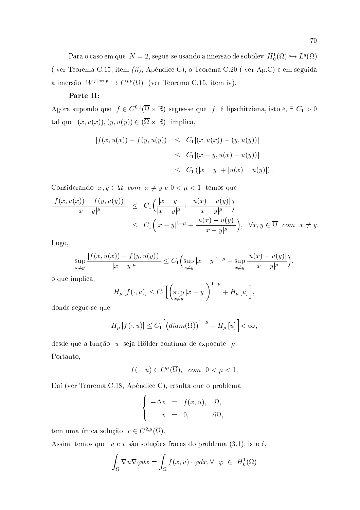Para o caso em que  $N=2$ , segue-se usando a imersão de sobolev  $H_0^1(\Omega) \hookrightarrow L^q(\Omega)$ (ver Teorema C.15, item *(ii)*, Apêndice C), o Teorema C.20 (ver Ap.C) e em seguida a imersão  $W^{j+m,p} \hookrightarrow C^{j,\mu}(\overline{\Omega})$  (ver Teorema C.15, item iv).

#### Parte II:

Agora supondo que  $f \in C^{0,1}(\overline{\Omega} \times \mathbb{R})$  segue-se que f é lipschitziana, isto é,  $\exists C_1 > 0$ tal que  $(x, u(x)), (y, u(y)) \in (\overline{\Omega} \times \mathbb{R})$  implica,

$$
|f(x, u(x)) - f(y, u(y))| \leq C_1 |(x, u(x)) - (y, u(y))|
$$
  
\n
$$
\leq C_1 |(x - y, u(x) - u(y))|
$$
  
\n
$$
\leq C_1 (|x - y| + |u(x) - u(y)|).
$$

Considerando  $x, y \in \overline{\Omega}$  com  $x \neq y e 0 < \mu < 1$  temos que

$$
\frac{|f(x, u(x)) - f(y, u(y))|}{|x - y|^{\mu}} \le C_1 \left( \frac{|x - y|}{|x - y|^{\mu}} + \frac{|u(x) - u(y)|}{|x - y|^{\mu}} \right)
$$
  

$$
\le C_1 \left( |x - y|^{1 - \mu} + \frac{|u(x) - u(y)|}{|x - y|^{\mu}} \right), \quad \forall x, y \in \overline{\Omega} \text{ com } x \ne y.
$$

Logo,

$$
\sup_{x \neq y} \frac{|f(x, u(x)) - f(y, u(y))|}{|x - y|^{\mu}} \leq C_1 \Big( \sup_{x \neq y} |x - y|^{1 - \mu} + \sup_{x \neq y} \frac{|u(x) - u(y)|}{|x - y|^{\mu}} \Big)
$$

o que implica,

$$
H_{\mu}\left[f(\cdot,u)\right] \leq C_{1}\Big[\Big(\sup_{x\neq y}|x-y|\Big)^{1-\mu}+H_{\mu}\left[u\right]\Big],
$$

donde segue-se que

$$
H_{\mu}\left[f(\cdot,u)\right] \leq C_{1}\left[\left(dim(\overline{\Omega})\right)^{1-\mu} + H_{\mu}\left[u\right]\right] < \infty
$$

desde que a função  $u$  seja Hölder contínua de expoente  $\mu$ . Portanto,

$$
f(\cdot, u) \in C^{\mu}(\overline{\Omega}), \quad com \ \ 0 < \mu < 1.
$$

Daí (ver Teorema C.18, Apêndice C), resulta que o problema

$$
\begin{cases}\n-\Delta v = f(x, u), & \Omega, \\
v = 0, & \partial\Omega,\n\end{cases}
$$

tem uma única solução  $v \in C^{2,\mu}(\overline{\Omega}).$ 

Assim, temos que  $u e v s$ ão soluções fracas do problema  $(3.1)$ , isto é,

$$
\int_{\Omega} \nabla u \nabla \varphi dx = \int_{\Omega} f(x, u) \cdot \varphi dx, \forall \varphi \in H_0^1(\Omega)
$$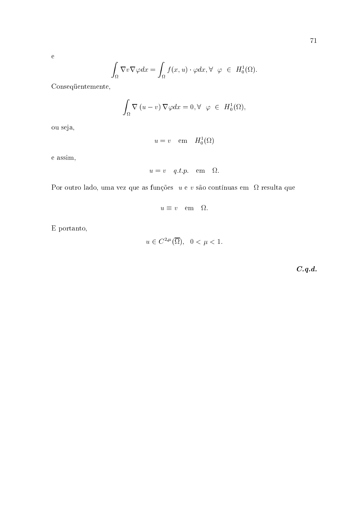$$
\int_{\Omega} \nabla v \nabla \varphi dx = \int_{\Omega} f(x, u) \cdot \varphi dx, \forall \varphi \in H_0^1(\Omega).
$$

Consequentemente,

$$
\int_{\Omega} \nabla (u - v) \nabla \varphi dx = 0, \forall \varphi \in H_0^1(\Omega),
$$

ou seja,

 $\rm e$ 

$$
u = v \quad \text{em} \quad H_0^1(\Omega)
$$

e assim,

$$
u = v \quad q.t.p. \quad em \quad \Omega
$$

Por outro lado, uma vez que as funções  $u e v s$ ão contínuas em  $\Omega$  resulta que

$$
u \equiv v \quad \text{em} \quad \Omega.
$$

E portanto,

$$
u \in C^{2,\mu}(\overline{\Omega}), \ \ 0 < \mu < 1.
$$

 $C.q.d.$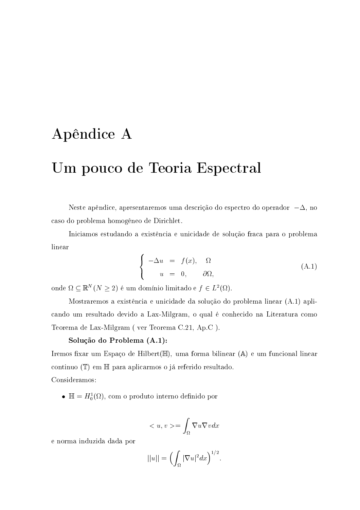# Apêndice A

# Um pouco de Teoria Espectral

Neste apêndice, apresentaremos uma descrição do espectro do operador  $-\Delta$ , no caso do problema homogêneo de Dirichlet.

Iniciamos estudando a existência e unicidade de solução fraca para o problema linear

$$
\begin{cases}\n-\Delta u = f(x), & \Omega \\
u = 0, & \partial\Omega,\n\end{cases}
$$
\n(A.1)

onde  $\Omega \subseteq \mathbb{R}^N (N \geq 2)$ é um domínio limitado e $f \in L^2(\Omega)$ .

Mostraremos a existência e unicidade da solução do problema linear (A.1) aplicando um resultado devido a Lax-Milgram, o qual é conhecido na Literatura como Teorema de Lax-Milgram (ver Teorema C.21, Ap.C).

### Solução do Problema (A.1):

Iremos fixar um Espaço de Hilbert(H), uma forma bilinear (A) e um funcional linear continuo (T) em H para aplicarmos o já referido resultado. Consideramos:

•  $\mathbb{H} = H_0^1(\Omega)$ , com o produto interno definido por

$$
\langle u, v \rangle = \int_{\Omega} \nabla u \nabla v dx
$$

e norma induzida dada por

$$
||u|| = \left(\int_{\Omega} |\nabla u|^2 dx\right)^{1/2}
$$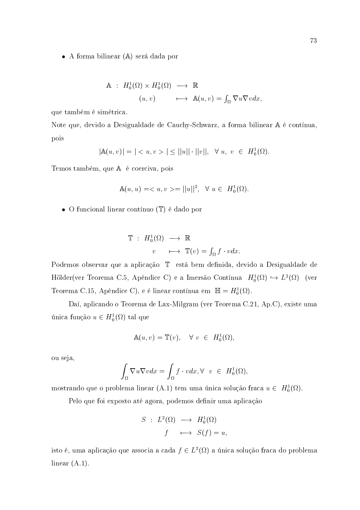• A forma bilinear (A) será dada por

$$
\begin{array}{rcl}\n\mathbb{A} & \colon H_0^1(\Omega) \times H_0^1(\Omega) \longrightarrow \mathbb{R} \\
(u, v) & \longmapsto \mathbb{A}(u, v) = \int_{\Omega} \nabla u \nabla v dx,\n\end{array}
$$

que também é simétrica.

Note que, devido a Desigualdade de Cauchy-Schwarz, a forma bilinear A é contínua, pois

$$
|\mathbb{A}(u,v)| = | < u, v > | \leq ||u|| \cdot ||v||, \ \forall \ u, \ v \in H_0^1(\Omega).
$$

Temos também, que A é coerciva, pois

$$
\mathbb{A}(u, u) = \langle u, v \rangle = ||u||^2, \quad \forall u \in H_0^1(\Omega)
$$

• O funcional linear contínuo  $(\mathbb{T})$  é dado por

$$
\mathbb{T} : H_0^1(\Omega) \longrightarrow \mathbb{R}
$$
  

$$
v \longrightarrow \mathbb{T}(v) = \int_{\Omega} f \cdot v dx
$$

Podemos observar que a aplicação T está bem definida, devido a Desigualdade de Hölder(ver Teorema C.5, Apêndice C) e a Imersão Contínua  $H_0^1(\Omega) \hookrightarrow L^2(\Omega)$  (ver Teorema C.15, Apêndice C), e é linear contínua em  $\mathbb{H} = H_0^1(\Omega)$ .

Daí, aplicando o Teorema de Lax-Milgram (ver Teorema C.21, Ap.C), existe uma única função $u\in H^1_0(\Omega)$ tal que

$$
\mathbb{A}(u, v) = \mathbb{T}(v), \quad \forall \ v \ \in \ H_0^1(\Omega),
$$

ou seja,

$$
\int_{\Omega} \nabla u \nabla v dx = \int_{\Omega} f \cdot v dx, \forall \ v \in H_0^1(\Omega),
$$

mostrando que o problema linear (A.1) tem uma única solução fraca  $u \in H_0^1(\Omega)$ .

Pelo que foi exposto até agora, podemos definir uma aplicação

$$
S : L^{2}(\Omega) \longrightarrow H_{0}^{1}(\Omega)
$$
  

$$
f \longmapsto S(f) = u,
$$

isto é, uma aplicação que associa a cada  $f \in L^2(\Omega)$  a única solução fraca do problema linear  $(A.1)$ .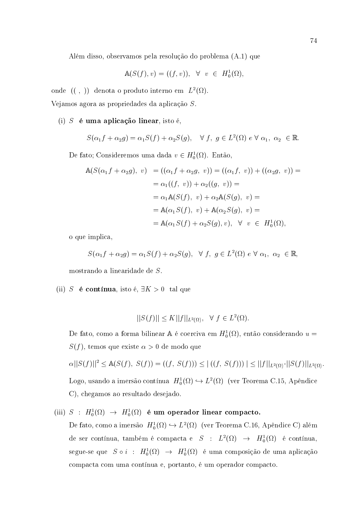Além disso, observamos pela resolução do problema (A.1) que

$$
\mathbb{A}(S(f), v) = ((f, v)), \forall v \in H_0^1(\Omega),
$$

onde  $(( , ))$  denota o produto interno em  $L^2(\Omega)$ .

Vejamos agora as propriedades da aplicação S.

#### (i)  $S$  é uma aplicação linear, isto é,

$$
S(\alpha_1 f + \alpha_2 g) = \alpha_1 S(f) + \alpha_2 S(g), \quad \forall \ f, \ g \in L^2(\Omega) \ e \ \forall \ \alpha_1, \ \alpha_2 \ \in \mathbb{R}.
$$

De fato; Consideremos uma dada  $v \in H_0^1(\Omega)$ . Então,

$$
\begin{aligned}\n\mathbb{A}(S(\alpha_1 f + \alpha_2 g), v) &= ((\alpha_1 f + \alpha_2 g, v)) = ((\alpha_1 f, v)) + ((\alpha_2 g, v)) = \\
&= \alpha_1((f, v)) + \alpha_2((g, v)) = \\
&= \alpha_1 \mathbb{A}(S(f), v) + \alpha_2 \mathbb{A}(S(g), v) = \\
&= \mathbb{A}(\alpha_1 S(f), v) + \mathbb{A}(\alpha_2 S(g), v) = \\
&= \mathbb{A}(\alpha_1 S(f) + \alpha_2 S(g), v), \quad \forall \ v \in H_0^1(\Omega),\n\end{aligned}
$$

o que implica,

$$
S(\alpha_1 f + \alpha_2 g) = \alpha_1 S(f) + \alpha_2 S(g), \quad \forall \ f, \ g \in L^2(\Omega) \ e \ \forall \ \alpha_1, \ \alpha_2 \ \in \mathbb{R},
$$

mostrando a linearidade de S.

(ii) S é contínua, isto é,  $\exists K > 0$  tal que

$$
||S(f)|| \le K||f||_{L^{2}(\Omega)}, \quad \forall f \in L^{2}(\Omega).
$$

De fato, como a forma bilinear A é coerciva em  $H_0^1(\Omega)$ , então considerando  $u =$  $S(f)$ , temos que existe  $\alpha > 0$  de modo que

 $\alpha||S(f)||^2 \leq A(S(f), S(f)) = ((f, S(f))) \leq |((f, S(f)))| \leq ||f||_{L^2(\Omega)} \cdot ||S(f)||_{L^2(\Omega)}$ Logo, usando a imersão contínua $\ H^1_0(\Omega) \hookrightarrow L^2(\Omega) \,$  (ver Teorema C.15, Apêndice C), chegamos ao resultado desejado.

(iii) 
$$
S : H_0^1(\Omega) \to H_0^1(\Omega)
$$
 **é um operador linear compacto.**  
De fato, como a imersão  $H_0^1(\Omega) \hookrightarrow L^2(\Omega)$  (ver Teorema C.16, Apêndice C) além  
de ser contínua, também é compacta e  $S : L^2(\Omega) \to H_0^1(\Omega)$  é contínua,  
segue-se que  $S \circ i : H_0^1(\Omega) \to H_0^1(\Omega)$  é uma composição de uma aplicação  
compacta com uma contínua e, portanto, é um operador compacto.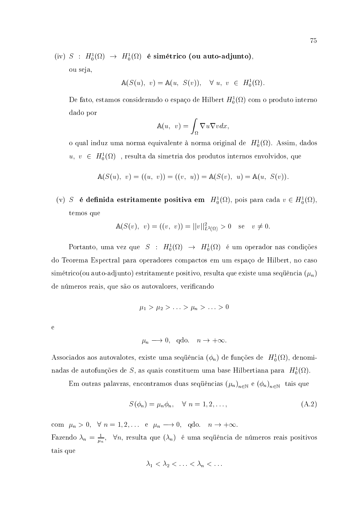(iv)  $S$  :  $H_0^1(\Omega) \rightarrow H_0^1(\Omega)$  é simétrico (ou auto-adjunto),

ou seja,

$$
\mathbb{A}(S(u), v) = \mathbb{A}(u, S(v)), \quad \forall u, v \in H_0^1(\Omega).
$$

De fato, estamos considerando o espaço de Hilbert $H^1_0(\Omega)$ com o produto interno dado por

$$
\mathbb{A}(u, v) = \int_{\Omega} \nabla u \nabla v dx,
$$

o qual induz uma norma equivalente à norma original de  $H_0^1(\Omega)$ . Assim, dados  $u, v \in H_0^1(\Omega)$ , resulta da simetria dos produtos internos envolvidos, que

$$
\mathbb{A}(S(u), v) = ((u, v)) = ((v, u)) = \mathbb{A}(S(v), u) = \mathbb{A}(u, S(v)).
$$

(v) S é definida estritamente positiva em  $H_0^1(\Omega)$ , pois para cada  $v \in H_0^1(\Omega)$ , temos que

$$
\mathbb{A}(S(v), v) = ((v, v)) = ||v||_{L^2(\Omega)}^2 > 0 \quad \text{se} \quad v \neq 0.
$$

Portanto, uma vez que  $S : H_0^1(\Omega) \to H_0^1(\Omega)$  é um operador nas condições do Teorema Espectral para operadores compactos em um espaço de Hilbert, no caso simétrico (ou auto-adjunto) estritamente positivo, resulta que existe uma sequência  $(\mu_n)$ de números reais, que são os autovalores, verificando

$$
\mu_1 > \mu_2 > \ldots > \mu_n > \ldots > 0
$$

 $\overline{e}$ 

$$
\mu_n \longrightarrow 0
$$
, qdo.  $n \rightarrow +\infty$ .

Associados aos autovalotes, existe uma sequência  $(\phi_n)$  de funções de  $H_0^1(\Omega)$ , denominadas de autofunções de S, as quais constituem uma base Hilbertiana para  $H_0^1(\Omega)$ .

Em outras palavras, encontramos duas sequências  $(\mu_n)_{n\in\mathbb{N}}$  e  $(\phi_n)_{n\in\mathbb{N}}$  tais que

$$
S(\phi_n) = \mu_n \phi_n, \quad \forall \ n = 1, 2, \dots,
$$
\n(A.2)

com  $\mu_n > 0$ ,  $\forall n = 1, 2, ...$  e  $\mu_n \longrightarrow 0$ , qdo.  $n \rightarrow +\infty$ . Fazendo  $\lambda_n = \frac{1}{\mu_n}$ ,  $\forall n$ , resulta que  $(\lambda_n)$  é uma sequência de números reais positivos tais que

$$
\lambda_1 < \lambda_2 < \ldots < \lambda_n < \ldots
$$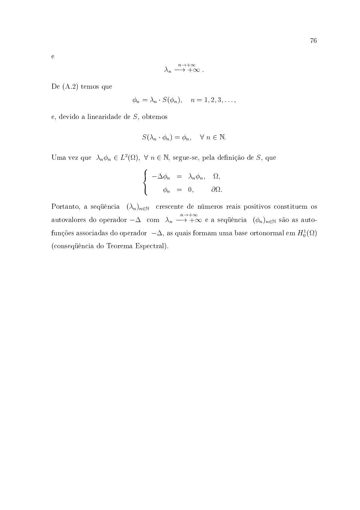$$
\lambda_n\stackrel{n\to+\infty}{\longrightarrow+\infty}
$$

De  $(A.2)$  temos que

$$
\phi_n = \lambda_n \cdot S(\phi_n), \quad n = 1, 2, 3, \dots
$$

e, devido a linearidade de  $S$ , obtemos

$$
S(\lambda_n \cdot \phi_n) = \phi_n, \quad \forall \ n \in \mathbb{N}.
$$

Uma vez que  $\lambda_n \phi_n \in L^2(\Omega)$ ,  $\forall n \in \mathbb{N}$ , segue-se, pela definição de S, que

$$
\begin{cases}\n-\Delta \phi_n = \lambda_n \phi_n, & \Omega, \\
\phi_n = 0, & \partial \Omega\n\end{cases}
$$

Portanto, a sequência  $(\lambda_n)_{n\in\mathbb{N}}$  crescente de números reais positivos constituem os autovalores do operador  $-\Delta$  com  $\lambda_n \longrightarrow +\infty$  e a sequência  $(\phi_n)_{n\in\mathbb{N}}$  são as autofunções associadas do operador $\; -\Delta,$ as quais formam uma base ortonormal em $H^1_0(\Omega)$ (consequência do Teorema Espectral).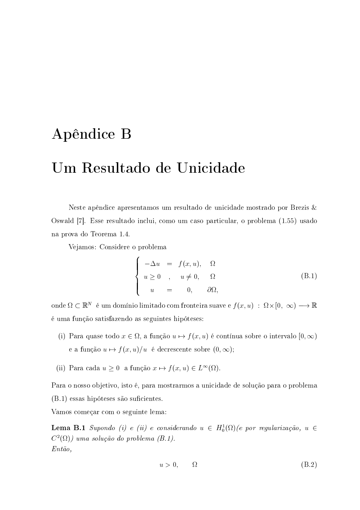# Apêndice B

# Um Resultado de Unicidade

Neste apêndice apresentamos um resultado de unicidade mostrado por Brezis & Oswald [7]. Esse resultado inclui, como um caso particular, o problema (1.55) usado na prova do Teorema 1.4.

Vejamos: Considere o problema

$$
\begin{cases}\n-\Delta u = f(x, u), & \Omega \\
u \ge 0, & u \ne 0, \Omega \\
u = 0, & \partial\Omega,\n\end{cases}
$$
\n(B.1)

onde  $\Omega \subset \mathbb{R}^N$  é um domínio limitado com fronteira suave e  $f(x, u) : \Omega \times [0, \infty) \longrightarrow \mathbb{R}$ é uma função satisfazendo as seguintes hipóteses:

- (i) Para quase todo  $x \in \Omega$ , a função  $u \mapsto f(x, u)$  é contínua sobre o intervalo  $[0, \infty)$ e a função  $u \mapsto f(x, u)/u$  é decrescente sobre  $(0, \infty)$ ;
- (ii) Para cada  $u \geq 0$  a função  $x \mapsto f(x, u) \in L^{\infty}(\Omega)$ .

Para o nosso objetivo, isto é, para mostrarmos a unicidade de solução para o problema  $(B.1)$  essas hipóteses são suficientes.

Vamos começar com o seguinte lema:

**Lema B.1** Supondo (i) e (ii) e considerando  $u \in H_0^1(\Omega)$  (e por regularização,  $u \in$  $C^2(\Omega)$ ) uma solução do problema (B.1).  $Ent\tilde{a}o$ ,

$$
u > 0, \qquad \Omega \tag{B.2}
$$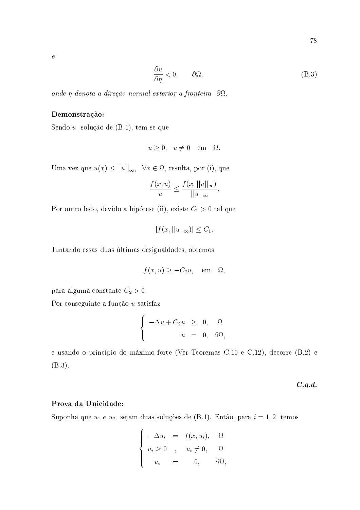$\ddot{e}$ 

$$
\frac{\partial u}{\partial \eta} < 0, \qquad \partial \Omega,\tag{B.3}
$$

onde  $\eta$  denota a direção normal exterior a fronteira  $\partial\Omega$ .

## Demonstração:

Sendo  $u$  solução de  $(B.1)$ , tem-se que

$$
u \ge 0
$$
,  $u \ne 0$  em  $\Omega$ .

Uma vez que  $u(x) \le ||u||_{\infty}, \forall x \in \Omega$ , resulta, por (i), que

$$
\frac{f(x,u)}{u} \le \frac{f(x,||u||_{\infty})}{||u||_{\infty}}.
$$

Por outro lado, devido a hipótese (ii), existe  $C_1 > 0$  tal que

$$
|f(x,||u||_{\infty})| \leq C_1.
$$

Juntando essas duas últimas desigualdades, obtemos

$$
f(x, u) \ge -C_2 u, \quad \text{em} \quad \Omega,
$$

para alguma constante  $C_2 > 0$ .

Por conseguinte a função  $\boldsymbol{u}$  satisfaz

$$
\begin{cases}\n-\Delta u + C_2 u \geq 0, & \Omega \\
u = 0, & \partial\Omega,\n\end{cases}
$$

e usando o princípio do máximo forte (Ver Teoremas C.10 e C.12), decorre (B.2) e  $(B.3).$ 

 $C.q.d.$ 

#### Prova da Unicidade:

Suponha que $u_1$ <br/> $e\ u_2\;$ sejam duas soluções de (B.1).<br> Então, par<br/>a $i=1,2\;$ temos

$$
\begin{cases}\n-\Delta u_i = f(x, u_i), & \Omega \\
u_i \ge 0, & u_i \ne 0, & \Omega \\
u_i = 0, & \partial \Omega,\n\end{cases}
$$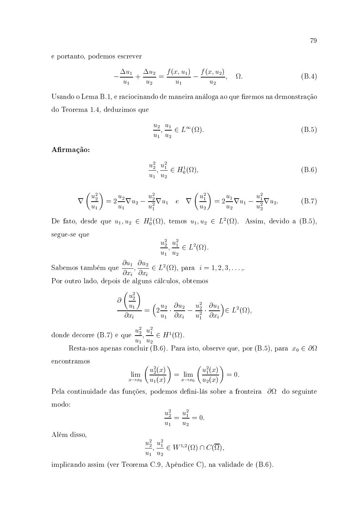e portanto, podemos escrever

$$
-\frac{\Delta u_1}{u_1} + \frac{\Delta u_2}{u_2} = \frac{f(x, u_1)}{u_1} - \frac{f(x, u_2)}{u_2}, \quad \Omega.
$$
 (B.4)

Usando o Lema B.1, e raciocinando de maneira análoga ao que fizemos na demonstração do Teorema 1.4, deduzimos que

$$
\frac{u_2}{u_1}, \frac{u_1}{u_2} \in L^{\infty}(\Omega). \tag{B.5}
$$

Afirmação:

$$
\frac{u_2^2}{u_1}, \frac{u_1^2}{u_2} \in H_0^1(\Omega),\tag{B.6}
$$

$$
\nabla \left(\frac{u_2^2}{u_1}\right) = 2\frac{u_2}{u_1}\nabla u_2 - \frac{u_2^2}{u_1^2}\nabla u_1 \quad e \quad \nabla \left(\frac{u_1^2}{u_2}\right) = 2\frac{u_1}{u_2}\nabla u_1 - \frac{u_1^2}{u_2^2}\nabla u_2.
$$
 (B.7)

De fato, desde que  $u_1, u_2 \in H_0^1(\Omega)$ , temos  $u_1, u_2 \in L^2(\Omega)$ . Assim, devido a (B.5), segue-se que

$$
\frac{u_2^2}{u_1}, \frac{u_1^2}{u_2} \in L^2(\Omega)
$$

Sabemos também que  $\frac{\partial u_1}{\partial x_i}, \frac{\partial u_2}{\partial x_i} \in L^2(\Omega)$ , para  $i = 1, 2, 3, ...,$ Por outro lado, depois de alguns cálculos, obtemos

$$
\frac{\partial \left(\frac{u_2^2}{u_1}\right)}{\partial x_i} = \left(2\frac{u_2}{u_1}\cdot \frac{\partial u_2}{\partial x_i} - \frac{u_2^2}{u_1^2}\cdot \frac{\partial u_1}{\partial x_i}\right) \in L^2(\Omega)
$$

donde decorre (B.7) e que  $\frac{u_2^2}{u_1}, \frac{u_1^2}{u_2} \in H^1(\Omega)$ .

Resta-nos apenas concluir (B.6). Para isto, observe que, por (B.5), para  $x_0 \in \partial\Omega$ encontramos

$$
\lim_{x \to x_0} \left( \frac{u_2^2(x)}{u_1(x)} \right) = \lim_{x \to x_0} \left( \frac{u_1^2(x)}{u_2(x)} \right) = 0
$$

Pela continuidade das funções, podemos defini-lás sobre a fronteira  $\partial\Omega$  do seguinte modo:

$$
\frac{u_2^2}{u_1} = \frac{u_1^2}{u_2} = 0
$$

Além disso,

$$
\frac{u_2^2}{u_1}, \frac{u_1^2}{u_2} \in W^{1,2}(\Omega) \cap C(\overline{\Omega}),
$$

implicando assim (ver Teorema C.9, Apêndice C), na validade de (B.6).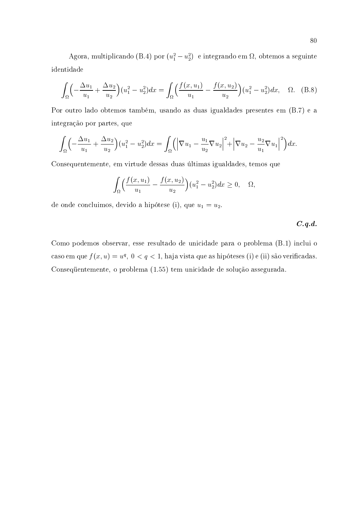Agora, multiplicando (B.4) por  $(u_1^2 - u_2^2)$  e integrando em  $\Omega$ , obtemos a seguinte identidade

$$
\int_{\Omega} \left( -\frac{\Delta u_1}{u_1} + \frac{\Delta u_2}{u_2} \right) (u_1^2 - u_2^2) dx = \int_{\Omega} \left( \frac{f(x, u_1)}{u_1} - \frac{f(x, u_2)}{u_2} \right) (u_1^2 - u_2^2) dx, \quad \Omega. \quad (B.8)
$$

Por outro lado obtemos também, usando as duas igualdades presentes em (B.7) e a integração por partes, que

$$
\int_{\Omega} \left( -\frac{\Delta u_1}{u_1} + \frac{\Delta u_2}{u_2} \right) (u_1^2 - u_2^2) dx = \int_{\Omega} \left( \left| \nabla u_1 - \frac{u_1}{u_2} \nabla u_2 \right|^2 + \left| \nabla u_2 - \frac{u_2}{u_1} \nabla u_1 \right|^2 \right) dx.
$$

Consequentemente, em virtude dessas duas últimas igualdades, temos que

$$
\int_{\Omega} \left( \frac{f(x, u_1)}{u_1} - \frac{f(x, u_2)}{u_2} \right) (u_1^2 - u_2^2) dx \ge 0, \quad \Omega
$$

de onde concluimos, devido a hipótese (i), que  $u_1 = u_2$ .

 $C.q.d.$ 

Como podemos observar, esse resultado de unicidade para o problema (B.1) inclui o caso em que $f(x,u)=u^q,\ 0< q<1,$ haja vista que as hipóteses (i) e (ii) são verificadas. Consequentemente, o problema (1.55) tem unicidade de solução assegurada.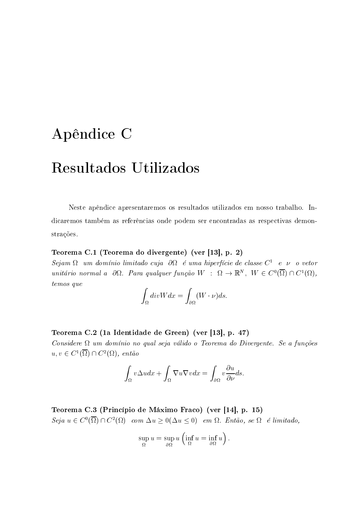# Apêndice C

# Resultados Utilizados

Neste apêndice apresentaremos os resultados utilizados em nosso trabalho. Indicaremos também as referências onde podem ser encontradas as respectivas demonstrações.

### Teorema C.1 (Teorema do divergente) (ver [13], p. 2)

 $Sejam \Omega$  um domínio limitado cuja  $\partial \Omega$  é uma hiperfície de classe  $C^1$  e  $\nu$  o vetor unitário normal a  $\partial\Omega$ . Para qualquer função  $W$ :  $\Omega \to \mathbb{R}^N$ ,  $W \in C^0(\overline{\Omega}) \cap C^1(\Omega)$ , temos que

$$
\int_{\Omega} \operatorname{div} W dx = \int_{\partial \Omega} (W \cdot \nu) ds.
$$

# Teorema C.2 (1a Identidade de Green) (ver [13], p. 47)

Considere  $\Omega$  um domínio no qual seja válido o Teorema do Divergente. Se a funções  $u, v \in C^1(\overline{\Omega}) \cap C^2(\Omega)$ , então

$$
\int_{\Omega} v \Delta u dx + \int_{\Omega} \nabla u \nabla v dx = \int_{\partial \Omega} v \frac{\partial u}{\partial \nu} ds.
$$

Teorema C.3 (Princípio de Máximo Fraco) (ver [14], p. 15)  $Seja u \in C^{0}(\overline{\Omega}) \cap C^{2}(\Omega)$  com  $\Delta u > 0$  ( $\Delta u < 0$ ) em  $\Omega$ . Então, se  $\Omega$  é limitado,

$$
\sup_{\Omega} u = \sup_{\partial \Omega} u \left( \inf_{\Omega} u = \inf_{\partial \Omega} u \right)
$$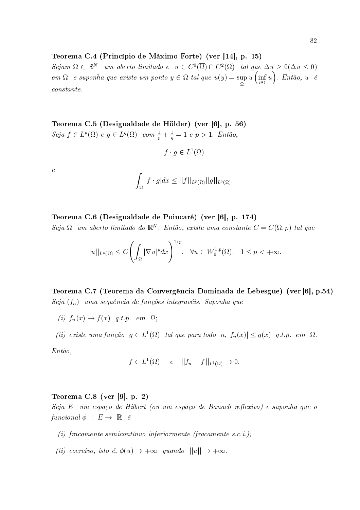## Teorema C.4 (Princípio de Máximo Forte) (ver [14], p. 15)

 $Sejam \Omega \subset \mathbb{R}^N$  um aberto limitado e  $u \in C^0(\overline{\Omega}) \cap C^2(\Omega)$  tal que  $\Delta u \geq 0$  ( $\Delta u \leq 0$ )  $em \; \Omega \ \ \, e \; suponha \; que \; existe \; um \; ponto \; y \in \Omega \; tal \; que \; u(y) = \sup_{\Omega} u \; \Bigl( \inf_{\partial \Omega} u \Bigr) . \; Ent\tilde{a}o, \; u \ \ \, \acute{e}$  $constante.$ 

Teorema C.5 (Desigualdade de Hölder) (ver [6], p. 56) Seja  $f \in L^p(\Omega)$  e  $g \in L^q(\Omega)$  com  $\frac{1}{p} + \frac{1}{q} = 1$  e  $p > 1$ . Então,

$$
f \cdot g \in L^1(\Omega)
$$

 $\overline{e}$ 

$$
\int_{\Omega} |f \cdot g| dx \leq ||f||_{L^{p}(\Omega)} ||g||_{L^{q}(\Omega)}
$$

# Teorema C.6 (Desigualdade de Poincaré) (ver [6], p. 174)

 $Seja \Omega$  um aberto limitado do  $\mathbb{R}^N$ . Então, existe uma constante  $C = C(\Omega, p)$  tal que

$$
||u||_{L^{p}(\Omega)} \leq C \left( \int_{\Omega} |\nabla u|^p dx \right)^{1/p}, \quad \forall u \in W_0^{1,p}(\Omega), \quad 1 \leq p < +\infty.
$$

Teorema C.7 (Teorema da Convergência Dominada de Lebesgue) (ver [6], p.54)  $Seja(f_n)$  uma sequência de funções integravéis. Suponha que

- (i)  $f_n(x) \rightarrow f(x)$  q.t.p. em  $\Omega$ ;
- (ii) existe uma função  $g \in L^1(\Omega)$  tal que para todo  $n, |f_n(x)| \leq g(x)$  q.t.p. em  $\Omega$ .

 $Ent\tilde{a}o$ ,

$$
f \in L^1(\Omega) \qquad e \qquad ||f_n - f||_{L^1(\Omega)} \to 0.
$$

### Teorema C.8 (ver [9], p. 2)

Seja E um espaço de Hilbert (ou um espaço de Banach reflexivo) e suponha que o funcional  $\phi$  :  $E \rightarrow \mathbb{R}$  é

- (i) fracamente semicontínuo inferiormente (fracamente s.c.i.);
- (ii) coercivo, isto é,  $\phi(u) \to +\infty$  quando  $||u|| \to +\infty$ .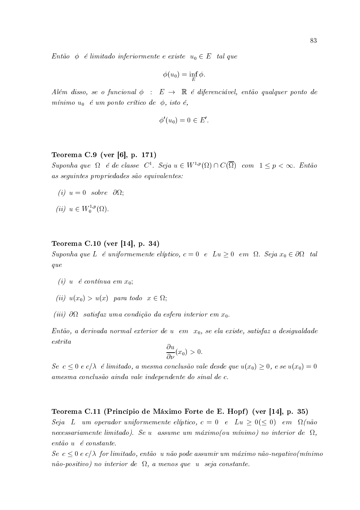Então  $\phi$  é limitado inferiormente e existe  $u_0 \in E$  tal que

$$
\phi(u_0) = \inf_E \phi.
$$

Além disso, se o funcional  $\phi : E \to \mathbb{R}$  é diferenciável, então qualquer ponto de mínimo  $u_0$  é um ponto crítico de  $\phi$ , isto é,

$$
\phi'(u_0)=0\in E'
$$

### Teorema C.9 (ver [6], p. 171)

Suponha que  $\Omega$  é de classe  $C^1$ . Seja  $u \in W^{1,p}(\Omega) \cap C(\overline{\Omega})$  com  $1 \leq p < \infty$ . Então as seguintes propriedades são equivalentes:

- (i)  $u = 0$  sobre  $\partial\Omega$ ;
- (*ii*)  $u \in W_0^{1,p}(\Omega)$ .

# Teorema C.10 (ver [14], p. 34)

Suponha que L é uniformemente elíptico,  $c = 0$  e Lu  $\geq 0$  em  $\Omega$ . Seja  $x_0 \in \partial \Omega$  tal que

- (i)  $u \notin$  continua em  $x_0$ ;
- (ii)  $u(x_0) > u(x)$  para todo  $x \in \Omega$ ;
- (iii)  $\partial\Omega$  satisfaz uma condição da esfera interior em  $x_0$ .

Então, a derivada normal exterior de u em  $x_0$ , se ela existe, satisfaz a desigualdade  $estrita$ 

$$
\frac{\partial u}{\partial \nu}(x_0) > 0.
$$

 $Se\ c \leq 0\ e\ c/\lambda$  é limitado, a mesma conclusão vale desde que  $u(x_0) \geq 0$ , e se  $u(x_0) = 0$ amesma conclusão ainda vale independente do sinal de c.

Teorema C.11 (Princípio de Máximo Forte de E. Hopf) (ver [14], p. 35)

Seja L um operador uniformemente elíptico,  $c = 0$  e Lu  $\geq 0 (\leq 0)$  em  $\Omega(n \tilde{a} \circ$ necessariamente limitado). Se u assume um máximo (ou mínimo) no interior de  $\Omega$ ,  $ent\tilde{a}o$  u é constante.

 $\textit{Se } c \leq 0 \textit{ e } c/\lambda \textit{ for limitado}, \textit{então } u \textit{ não pode assumir um máximo não-negativo (mínimo$  $n\tilde{a}o$ -positivo) no interior de  $\Omega$ , a menos que u seja constante.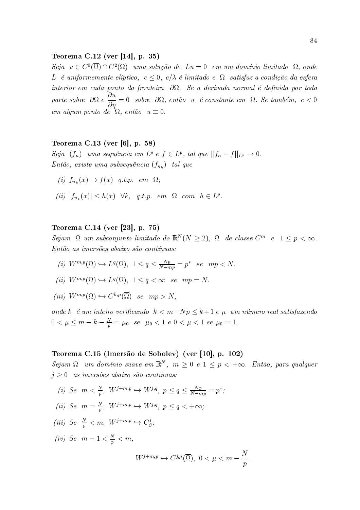### Teorema C.12 (ver [14], p. 35)

Seja  $u \in C^0(\overline{\Omega}) \cap C^2(\Omega)$  uma solução de Lu = 0 em um domínio limitado  $\Omega$ , onde L é uniformemente elíptico,  $c \leq 0$ ,  $c/\lambda$  é limitado e  $\Omega$  satisfaz a condição da esfera interior em cada ponto da fronteira  $\partial\Omega$ . Se a derivada normal é definida por toda parte sobre  $\partial\Omega e \frac{\partial u}{\partial n} = 0$  sobre  $\partial\Omega$ , então u é constante em  $\Omega$ . Se também,  $c < 0$ em algum ponto de  $\Omega$ , então  $u \equiv 0$ .

# Teorema C.13 (ver [6], p. 58)

Seja  $(f_n)$  uma sequência em L<sup>p</sup> e  $f \in L^p$ , tal que  $||f_n - f||_{L^p} \to 0$ . Então, existe uma subsequência  $(f_{n_k})$  tal que

- (i)  $f_{n_k}(x) \rightarrow f(x)$  q.t.p. em  $\Omega$ ;
- (ii)  $|f_{n_k}(x)| \leq h(x)$   $\forall k, q.t.p. em \Omega$  com  $h \in L^p$ .

#### Teorema C.14 (ver [23], p. 75)

Sejam  $\Omega$  um subconjunto limitado do  $\mathbb{R}^N(N \geq 2)$ ,  $\Omega$  de classe  $C^m$  e  $1 \leq p < \infty$ . Então as imersões abaixo são contínuas:

- (i)  $W^{m,p}(\Omega) \hookrightarrow L^q(\Omega)$ ,  $1 \leq q \leq \frac{Np}{N-mp} = p^*$  se  $mp < N$ .
- (ii)  $W^{m,p}(\Omega) \hookrightarrow L^q(\Omega)$ ,  $1 \leq q < \infty$  se  $mp = N$ .
- (iii)  $W^{m,p}(\Omega) \hookrightarrow C^{k,\mu}(\overline{\Omega})$  se  $mp > N$ .

onde k é um inteiro verificando  $k < m - Np \le k + 1$  e  $\mu$  um número real satisfazendo  $0 < \mu \leq m - k - \frac{N}{p} = \mu_0$  se  $\mu_0 < 1$  e  $0 < \mu < 1$  se  $\mu_0 = 1$ .

#### Teorema C.15 (Imersão de Sobolev) (ver [10], p. 102)

Sejam  $\Omega$  um domínio suave em  $\mathbb{R}^N$ ,  $m \geq 0$  e  $1 \leq p \leq +\infty$ . Então, para qualquer  $i > 0$  as imersões abaixo são contínuas:

- (i) Se  $m < \frac{N}{p}$ ,  $W^{j+m,p} \hookrightarrow W^{j,q}$ ,  $p \le q \le \frac{Np}{N-mp} = p^*$ ;
- (ii) Se  $m = \frac{N}{p}$ ,  $W^{j+m,p} \hookrightarrow W^{j,q}$ ,  $p \le q < +\infty$ ;
- (iii) Se  $\frac{N}{p} < m$ ,  $W^{j+m,p} \hookrightarrow C^j_{\beta}$ ;
- (iv) Se  $m-1 < \frac{N}{n} < m$ ,

$$
W^{j+m,p} \hookrightarrow C^{j,\mu}(\overline{\Omega}), \ 0 < \mu < m - \frac{N}{p}
$$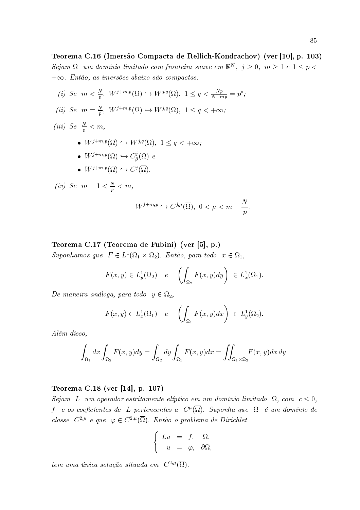Teorema C.16 (Imersão Compacta de Rellich-Kondrachov) (ver [10], p. 103)  $Sejam \Omega$  um domínio limitado com fronteira suave em  $\mathbb{R}^N$ ,  $j \geq 0$ ,  $m \geq 1$  e  $1 \leq p <$  $+\infty$ . Então, as imersões abaixo são compactas:

(i) Se  $m < \frac{N}{p}$ ,  $W^{j+m,p}(\Omega) \hookrightarrow W^{j,q}(\Omega)$ ,  $1 \leq q < \frac{Np}{N-mp} = p^*$ ; (ii) Se  $m = \frac{N}{p}$ ,  $W^{j+m,p}(\Omega) \hookrightarrow W^{j,q}(\Omega)$ ,  $1 \le q < +\infty$ ; (iii) Se  $\frac{N}{p} < m$ , •  $W^{j+m,p}(\Omega) \hookrightarrow W^{j,q}(\Omega)$ ,  $1 \leq q \leq +\infty$ . •  $W^{j+m,p}(\Omega) \hookrightarrow C^j_{\beta}(\Omega)$  e •  $W^{j+m,p}(\Omega) \hookrightarrow C^j(\overline{\Omega})$ . (iv) Se  $m-1 < \frac{N}{p} < m$ ,  $W^{j+m,p} \hookrightarrow C^{j,\mu}(\overline{\Omega}), \ 0 < \mu < m - \frac{N}{n}.$ 

Teorema C.17 (Teorema de Fubini) (ver [5], p.)

Suponhamos que  $F \in L^1(\Omega_1 \times \Omega_2)$ . Então, para todo  $x \in \Omega_1$ ,

$$
F(x,y) \in L_y^1(\Omega_2) \quad e \quad \left( \int_{\Omega_2} F(x,y) dy \right) \ \in L_x^1(\Omega_1)
$$

De maneira análoga, para todo  $y \in \Omega_2$ ,

$$
F(x,y) \in L_x^1(\Omega_1) \quad e \quad \left( \int_{\Omega_1} F(x,y) dx \right) \ \in L_y^1(\Omega_2)
$$

Além disso,

$$
\int_{\Omega_1} dx \int_{\Omega_2} F(x, y) dy = \int_{\Omega_2} dy \int_{\Omega_1} F(x, y) dx = \iint_{\Omega_1 \times \Omega_2} F(x, y) dx dy.
$$

# Teorema C.18 (ver [14], p. 107)

Sejam L um operador estritamente elíptico em um domínio limitado  $\Omega$ , com  $c \leq 0$ , f e os coeficientes de L pertencentes a  $C^{\mu}(\overline{\Omega})$ . Suponha que  $\Omega$  é um domínio de classe  $C^{2,\mu}$  e que  $\varphi \in C^{2,\mu}(\overline{\Omega})$ . Então o problema de Dirichlet

$$
\begin{cases}\nLu &= f, & \Omega, \\
u &= \varphi, & \partial\Omega,\n\end{cases}
$$

tem uma única solução situada em  $C^{2,\mu}(\overline{\Omega})$ .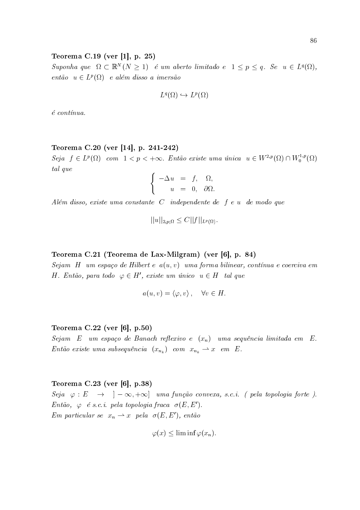# Teorema C.19 (ver [1], p. 25)

Suponha que  $\Omega \subset \mathbb{R}^N (N \geq 1)$  é um aberto limitado e  $1 \leq p \leq q$ . Se  $u \in L^q(\Omega)$ , então  $u \in L^p(\Omega)$  e além disso a imersão

$$
L^q(\Omega) \hookrightarrow L^p(\Omega)
$$

 $é$  contínua.

#### Teorema C.20 (ver [14], p. 241-242)

Seja  $f \in L^p(\Omega)$  com  $1 < p < +\infty$ . Então existe uma única  $u \in W^{2,p}(\Omega) \cap W^{1,p}_0(\Omega)$ tal que

$$
\begin{cases}\n-\Delta u &= f, & \Omega, \\
u &= 0, & \partial\Omega\n\end{cases}
$$

Além disso, existe uma constante  $C$  independente de  $f e u$  de modo que

$$
||u||_{2,p;\Omega} \leq C||f||_{L^p(\Omega)}.
$$

### Teorema C.21 (Teorema de Lax-Milgram) (ver [6], p. 84)

Sejam H um espaço de Hilbert e  $a(u, v)$  uma forma bilinear, contínua e coerciva em H. Então, para todo  $\varphi \in H'$ , existe um único  $u \in H$  tal que

$$
a(u, v) = \langle \varphi, v \rangle \,, \quad \forall v \in H
$$

# Teorema  $C.22$  (ver [6], p.50)

Sejam E um espaço de Banach reflexivo e  $(x_n)$  uma sequência limitada em E. Então existe uma subsequência  $(x_{n_k})$  com  $x_{n_k} \rightharpoonup x$  em E.

### Teorema  $C.23$  (ver [6], p.38)

Seja  $\varphi : E \rightarrow [-\infty, +\infty]$  uma função convexa, s.c.i. (pela topologia forte). Então,  $\varphi$  é s.c.i. pela topologia fraca  $\sigma(E, E')$ . Em particular se  $x_n \rightharpoonup x$  pela  $\sigma(E, E')$ , então

$$
\varphi(x) \le \liminf \varphi(x_n).
$$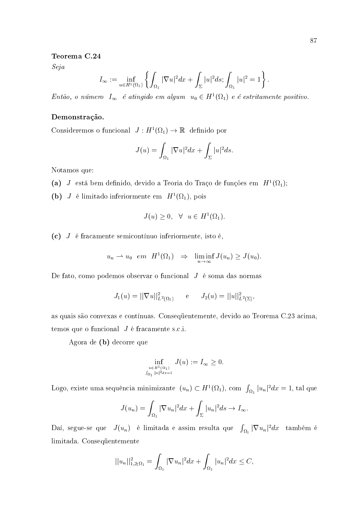#### Teorema C.24

Seja

$$
I_{\infty} := \inf_{u \in H^{1}(\Omega_{1})} \left\{ \int_{\Omega_{1}} |\nabla u|^{2} dx + \int_{\Sigma} |u|^{2} ds ; \int_{\Omega_{1}} |u|^{2} = 1 \right\}
$$

Então, o número  $I_{\infty}$  é atingido em algum  $u_0 \in H^1(\Omega_1)$  e é estritamente positivo.

### Demonstração.

Consideremos o funcional  $J: H^1(\Omega_1) \to \mathbb{R}$  definido por

$$
J(u) = \int_{\Omega_1} |\nabla u|^2 dx + \int_{\Sigma} |u|^2 ds
$$

Notamos que:

- (a) J está bem definido, devido a Teoria do Traço de funções em  $H^1(\Omega_1)$ ;
- (b) *J* é limitado inferiormente em  $H^1(\Omega_1)$ , pois

$$
J(u) \ge 0, \quad \forall \quad u \in H^1(\Omega_1).
$$

(c)  $J$  é fracamente semicontínuo inferiormente, isto é,

$$
u_n \rightharpoonup u_0 \quad em \quad H^1(\Omega_1) \quad \Rightarrow \quad \liminf_{n \to \infty} J(u_n) \geq J(u_0).
$$

De fato, como podemos observar o funcional  $J$  é soma das normas

$$
J_1(u) = ||\nabla u||^2_{L^2(\Omega_1)}
$$
 e  $J_2(u) = ||u||^2_{L^2(\Sigma)}$ ,

as quais são convexas e contínuas. Consequentemente, devido ao Teorema C.23 acima, temos que o funcional  $J$  é fracamente s.c.i.

Agora de (b) decorre que

$$
\inf_{\substack{u \in H^1(\Omega_1) \\ \int_{\Omega_1} |u|^2 dx = 1}} J(u) := I_{\infty} \ge 0.
$$

Logo, existe uma sequência minimizante  $(u_n) \subset H^1(\Omega_1)$ , com  $\int_{\Omega_1} |u_n|^2 dx = 1$ , tal que

$$
J(u_n) = \int_{\Omega_1} |\nabla u_n|^2 dx + \int_{\Sigma} |u_n|^2 ds \to I_{\infty}.
$$

Daí, segue-se que  $J(u_n)$  é limitada e assim resulta que  $\int_{\Omega_1} |\nabla u_n|^2 dx$  também é limitada. Consequentemente

$$
||u_n||_{1,2;\Omega_1}^2 = \int_{\Omega_1} |\nabla u_n|^2 dx + \int_{\Omega_1} |u_n|^2 dx \leq C,
$$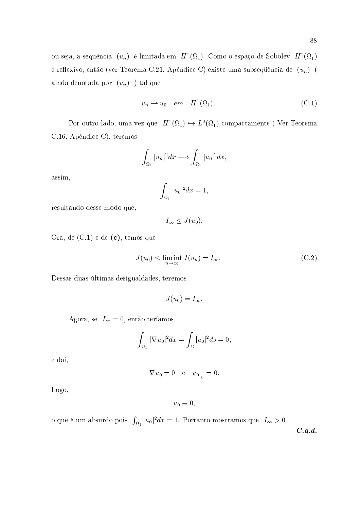ou seja, a sequência  $\;(u_n)\;$ é limitada em  $\;H^1(\Omega_1).$ Como o espaço de Sobolev $\;H^1(\Omega_1)\;$ é reflexivo, então (ver Teorema C.21, Apêndice C) existe uma subsequência de  $(u_n)$  ( ainda denotada por  $(u_n)$ ) tal que

$$
u_n \rightharpoonup u_0 \quad em \quad H^1(\Omega_1). \tag{C.1}
$$

Por outro lado, uma vez que  $\ H^1(\Omega_1)\hookrightarrow L^2(\Omega_1)$  compactamente ( Ver Teorema C.16, Apêndice C), teremos

$$
\int_{\Omega_1} |u_n|^2 dx \longrightarrow \int_{\Omega_1} |u_0|^2 dx,
$$

assim,

$$
\int_{\Omega_1}|u_0|^2dx=1,
$$

resultando desse modo que,

$$
I_{\infty} \leq J(u_0)
$$

Ora, de  $(C.1)$  e de  $(c)$ , temos que

$$
J(u_0) \le \liminf_{n \to \infty} J(u_n) = I_{\infty}.
$$
 (C.2)

Dessas duas últimas desigualdades, teremos

$$
J(u_0)=I_\infty
$$

Agora, se $\ I_\infty=0,$ então teríamos

$$
\int_{\Omega_1} |\nabla u_0|^2 dx = \int_{\Sigma} |u_0|^2 ds = 0,
$$

e daí,

$$
\nabla u_0 = 0 \quad \text{e} \quad u_{0|_{\Sigma}} = 0.
$$

Logo,

$$
u_0\equiv 0
$$

o que é um absurdo pois  $\int_{\Omega_1}|u_0|^2dx=1$ . Portanto mostramos que  $I_{\infty}>0$ .

 $C.q.d.$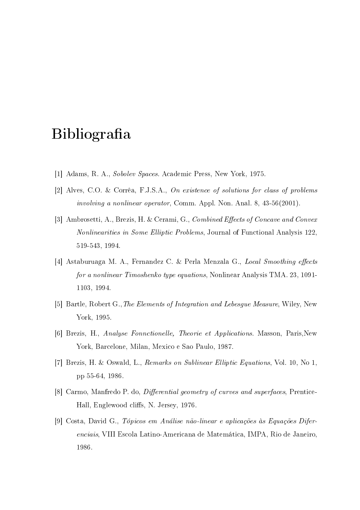# Bibliografia

- [1] Adams, R. A., Sobolev Spaces. Academic Press, New York, 1975.
- [2] Alves, C.O. & Corrêa, F.J.S.A., On existence of solutions for class of problems *involving a nonlinear operator*, Comm. Appl. Non. Anal. 8, 43-56(2001).
- [3] Ambrosetti, A., Brezis, H. & Cerami, G., Combined Effects of Concave and Convex *Nonlinearities in Some Elliptic Problems*, Journal of Functional Analysis 122, 519-543, 1994.
- [4] Astaburuaga M. A., Fernandez C. & Perla Menzala G., Local Smoothing effects *for a nonlinear Timoshenko type equations, Nonlinear Analysis TMA. 23, 1091-*1103, 1994.
- [5] Bartle, Robert G., The Elements of Integration and Lebesque Measure, Wiley, New York, 1995
- [6] Brezis, H., Analyse Fonnctionelle, Theorie et Applications. Masson, Paris, New York, Barcelone, Milan, Mexico e Sao Paulo, 1987.
- [7] Brezis, H. & Oswald, L., Remarks on Sublinear Elliptic Equations, Vol. 10, No 1, pp 55-64, 1986.
- [8] Carmo, Manfredo P. do, *Differential geometry of curves and superfaces*, Prentice-Hall, Englewood cliffs, N. Jersey, 1976.
- [9] Costa, David G., Tópicos em Análise não-linear e aplicações às Equações Diferenciais, VIII Escola Latino-Americana de Matemática, IMPA, Rio de Janeiro, 1986.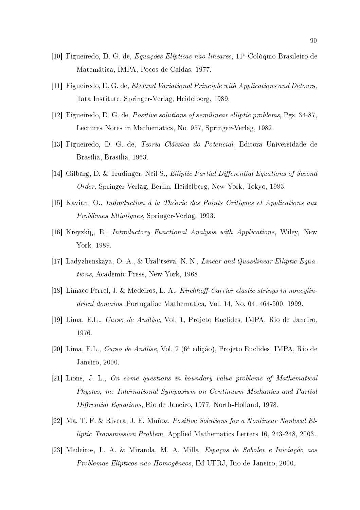- [10] Figueiredo, D. G. de, Equações Elípticas não lineares, 11<sup>°</sup> Colóquio Brasileiro de Matemática, IMPA, Poços de Caldas, 1977.
- [11] Figueiredo, D. G. de, Ekeland Variational Principle with Applications and Detours, Tata Institute, Springer-Verlag, Heidelberg, 1989.
- [12] Figueiredo, D. G. de, *Positive solutions of semilinear elliptic problems*, Pgs. 34-87, Lectures Notes in Mathematics, No. 957, Springer-Verlag, 1982.
- [13] Figueiredo, D. G. de, *Teoria Clássica do Potencial*, Editora Universidade de Brasília, Brasília, 1963.
- [14] Gilbarg, D. & Trudinger, Neil S., Elliptic Partial Differential Equations of Second Order. Springer-Verlag, Berlin, Heidelberg, New York, Tokyo, 1983.
- [15] Kavian, O., Indroduction à la Théorie des Points Critiques et Applications aux Problèmes Elliptiques, Springer-Verlag, 1993.
- [16] Kreyzkig, E., *Introductory Functional Analysis with Applications*, Wiley, New York, 1989
- [17] Ladyzhenskaya, O. A., & Ural'tseva, N. N., Linear and Quasilinear Elliptic Equations, Academic Press, New York, 1968.
- [18] Limaco Ferrel, J. & Medeiros, L. A., Kirchhoff-Carrier elastic strings in noncylindrical domains, Portugaliae Mathematica, Vol. 14, No. 04, 464-500, 1999.
- [19] Lima, E.L., Curso de Análise, Vol. 1, Projeto Euclides, IMPA, Rio de Janeiro, 1976.
- [20] Lima, E.L., Curso de Análise, Vol. 2 (6<sup>ª</sup> edição), Projeto Euclides, IMPA, Rio de Janeiro, 2000.
- [21] Lions, J. L., On some questions in boundary value problems of Mathematical Physics, in: International Symposium on Continuum Mechanics and Partial *Diffrential Equations*, Rio de Janeiro, 1977, North-Holland, 1978.
- [22] Ma, T. F. & Rivera, J. E. Muñoz, *Positive Solutions for a Nonlinear Nonlocal El*liptic Transmission Problem, Applied Mathematics Letters 16, 243-248, 2003.
- [23] Medeiros, L. A. & Miranda, M. A. Milla, Espaços de Sobolev e Iniciação aos Problemas Elípticos não Homogêneos, IM-UFRJ, Rio de Janeiro, 2000.